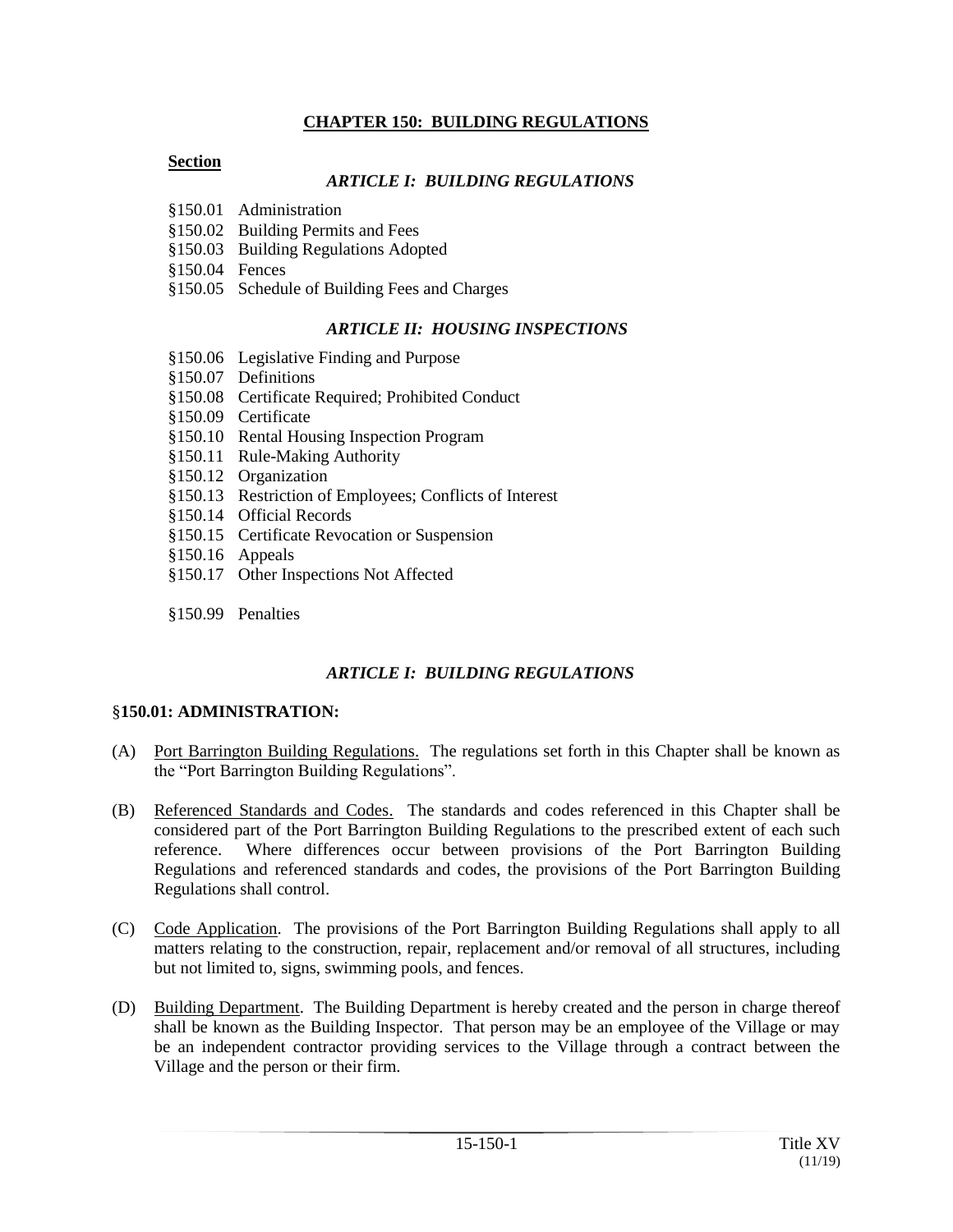## **CHAPTER 150: BUILDING REGULATIONS**

#### **Section**

## *ARTICLE I: BUILDING REGULATIONS*

- §150.01 Administration
- §150.02 Building Permits and Fees
- §150.03 Building Regulations Adopted
- §150.04 Fences
- §150.05 Schedule of Building Fees and Charges

## *ARTICLE II: HOUSING INSPECTIONS*

- §150.06 Legislative Finding and Purpose
- §150.07 Definitions
- §150.08 Certificate Required; Prohibited Conduct
- §150.09 Certificate
- §150.10 Rental Housing Inspection Program
- §150.11 Rule-Making Authority
- §150.12 Organization
- §150.13 Restriction of Employees; Conflicts of Interest
- §150.14 Official Records
- §150.15 Certificate Revocation or Suspension
- §150.16 Appeals
- §150.17 Other Inspections Not Affected
- §150.99 Penalties

## *ARTICLE I: BUILDING REGULATIONS*

#### §**150.01: ADMINISTRATION:**

- (A) Port Barrington Building Regulations. The regulations set forth in this Chapter shall be known as the "Port Barrington Building Regulations".
- (B) Referenced Standards and Codes. The standards and codes referenced in this Chapter shall be considered part of the Port Barrington Building Regulations to the prescribed extent of each such reference. Where differences occur between provisions of the Port Barrington Building Regulations and referenced standards and codes, the provisions of the Port Barrington Building Regulations shall control.
- (C) Code Application. The provisions of the Port Barrington Building Regulations shall apply to all matters relating to the construction, repair, replacement and/or removal of all structures, including but not limited to, signs, swimming pools, and fences.
- (D) Building Department. The Building Department is hereby created and the person in charge thereof shall be known as the Building Inspector. That person may be an employee of the Village or may be an independent contractor providing services to the Village through a contract between the Village and the person or their firm.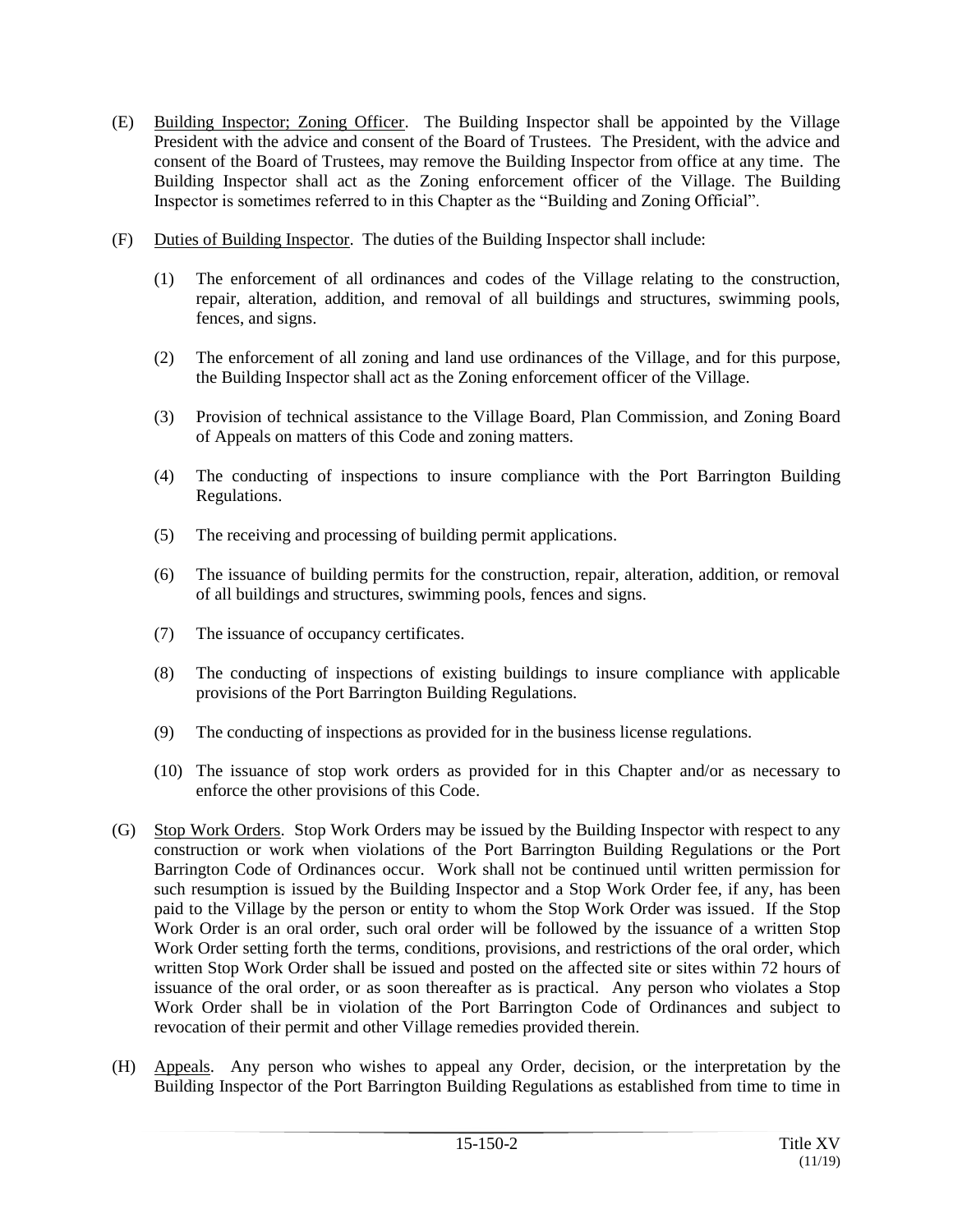- (E) Building Inspector; Zoning Officer. The Building Inspector shall be appointed by the Village President with the advice and consent of the Board of Trustees. The President, with the advice and consent of the Board of Trustees, may remove the Building Inspector from office at any time. The Building Inspector shall act as the Zoning enforcement officer of the Village. The Building Inspector is sometimes referred to in this Chapter as the "Building and Zoning Official".
- (F) Duties of Building Inspector. The duties of the Building Inspector shall include:
	- (1) The enforcement of all ordinances and codes of the Village relating to the construction, repair, alteration, addition, and removal of all buildings and structures, swimming pools, fences, and signs.
	- (2) The enforcement of all zoning and land use ordinances of the Village, and for this purpose, the Building Inspector shall act as the Zoning enforcement officer of the Village.
	- (3) Provision of technical assistance to the Village Board, Plan Commission, and Zoning Board of Appeals on matters of this Code and zoning matters.
	- (4) The conducting of inspections to insure compliance with the Port Barrington Building Regulations.
	- (5) The receiving and processing of building permit applications.
	- (6) The issuance of building permits for the construction, repair, alteration, addition, or removal of all buildings and structures, swimming pools, fences and signs.
	- (7) The issuance of occupancy certificates.
	- (8) The conducting of inspections of existing buildings to insure compliance with applicable provisions of the Port Barrington Building Regulations.
	- (9) The conducting of inspections as provided for in the business license regulations.
	- (10) The issuance of stop work orders as provided for in this Chapter and/or as necessary to enforce the other provisions of this Code.
- (G) Stop Work Orders. Stop Work Orders may be issued by the Building Inspector with respect to any construction or work when violations of the Port Barrington Building Regulations or the Port Barrington Code of Ordinances occur. Work shall not be continued until written permission for such resumption is issued by the Building Inspector and a Stop Work Order fee, if any, has been paid to the Village by the person or entity to whom the Stop Work Order was issued. If the Stop Work Order is an oral order, such oral order will be followed by the issuance of a written Stop Work Order setting forth the terms, conditions, provisions, and restrictions of the oral order, which written Stop Work Order shall be issued and posted on the affected site or sites within 72 hours of issuance of the oral order, or as soon thereafter as is practical. Any person who violates a Stop Work Order shall be in violation of the Port Barrington Code of Ordinances and subject to revocation of their permit and other Village remedies provided therein.
- (H) Appeals. Any person who wishes to appeal any Order, decision, or the interpretation by the Building Inspector of the Port Barrington Building Regulations as established from time to time in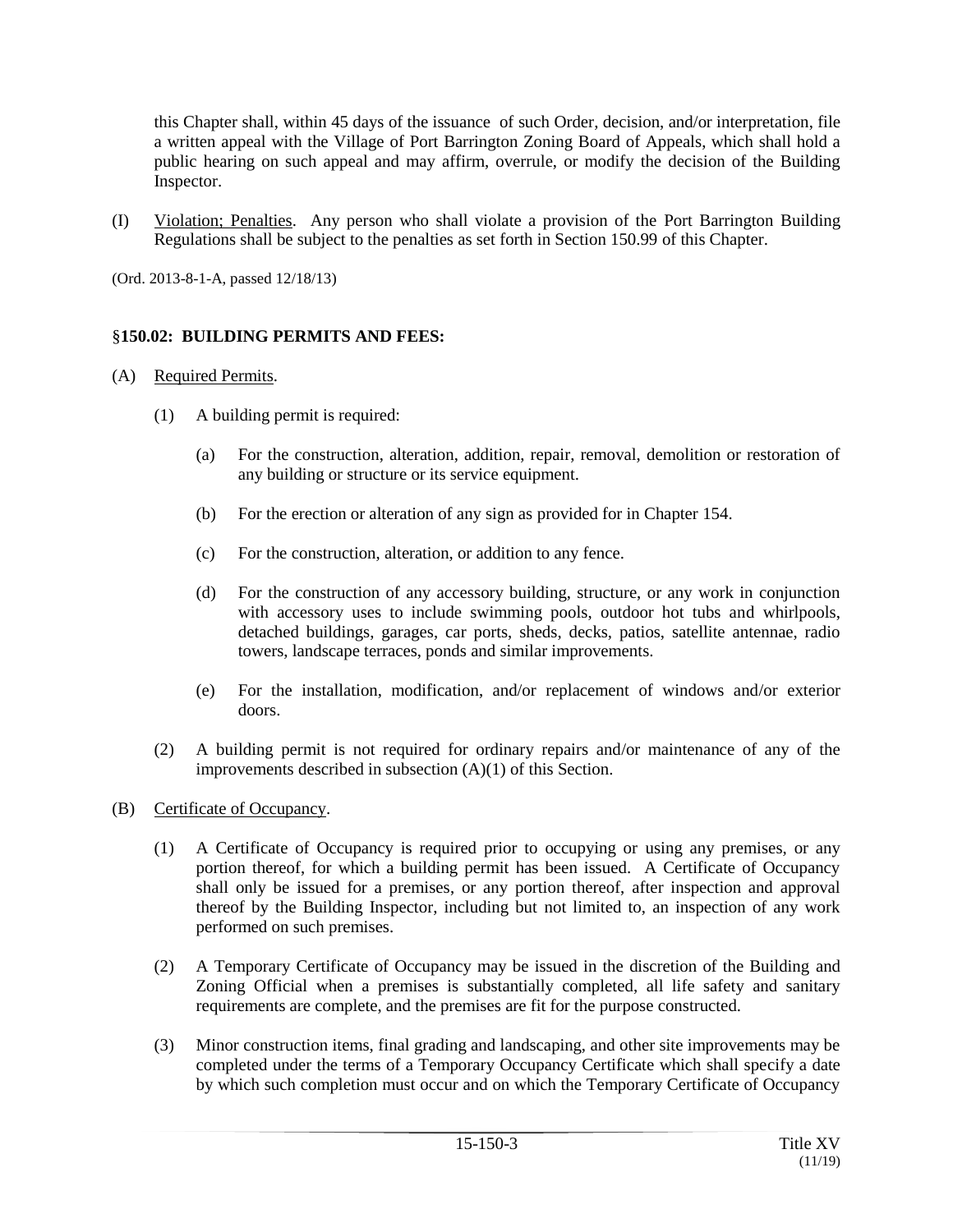this Chapter shall, within 45 days of the issuance of such Order, decision, and/or interpretation, file a written appeal with the Village of Port Barrington Zoning Board of Appeals, which shall hold a public hearing on such appeal and may affirm, overrule, or modify the decision of the Building Inspector.

(I) Violation; Penalties. Any person who shall violate a provision of the Port Barrington Building Regulations shall be subject to the penalties as set forth in Section 150.99 of this Chapter.

(Ord. 2013-8-1-A, passed 12/18/13)

## §**150.02: BUILDING PERMITS AND FEES:**

## (A) Required Permits.

- (1) A building permit is required:
	- (a) For the construction, alteration, addition, repair, removal, demolition or restoration of any building or structure or its service equipment.
	- (b) For the erection or alteration of any sign as provided for in Chapter 154.
	- (c) For the construction, alteration, or addition to any fence.
	- (d) For the construction of any accessory building, structure, or any work in conjunction with accessory uses to include swimming pools, outdoor hot tubs and whirlpools, detached buildings, garages, car ports, sheds, decks, patios, satellite antennae, radio towers, landscape terraces, ponds and similar improvements.
	- (e) For the installation, modification, and/or replacement of windows and/or exterior doors.
- (2) A building permit is not required for ordinary repairs and/or maintenance of any of the improvements described in subsection (A)(1) of this Section.

## (B) Certificate of Occupancy.

- (1) A Certificate of Occupancy is required prior to occupying or using any premises, or any portion thereof, for which a building permit has been issued. A Certificate of Occupancy shall only be issued for a premises, or any portion thereof, after inspection and approval thereof by the Building Inspector, including but not limited to, an inspection of any work performed on such premises.
- (2) A Temporary Certificate of Occupancy may be issued in the discretion of the Building and Zoning Official when a premises is substantially completed, all life safety and sanitary requirements are complete, and the premises are fit for the purpose constructed.
- (3) Minor construction items, final grading and landscaping, and other site improvements may be completed under the terms of a Temporary Occupancy Certificate which shall specify a date by which such completion must occur and on which the Temporary Certificate of Occupancy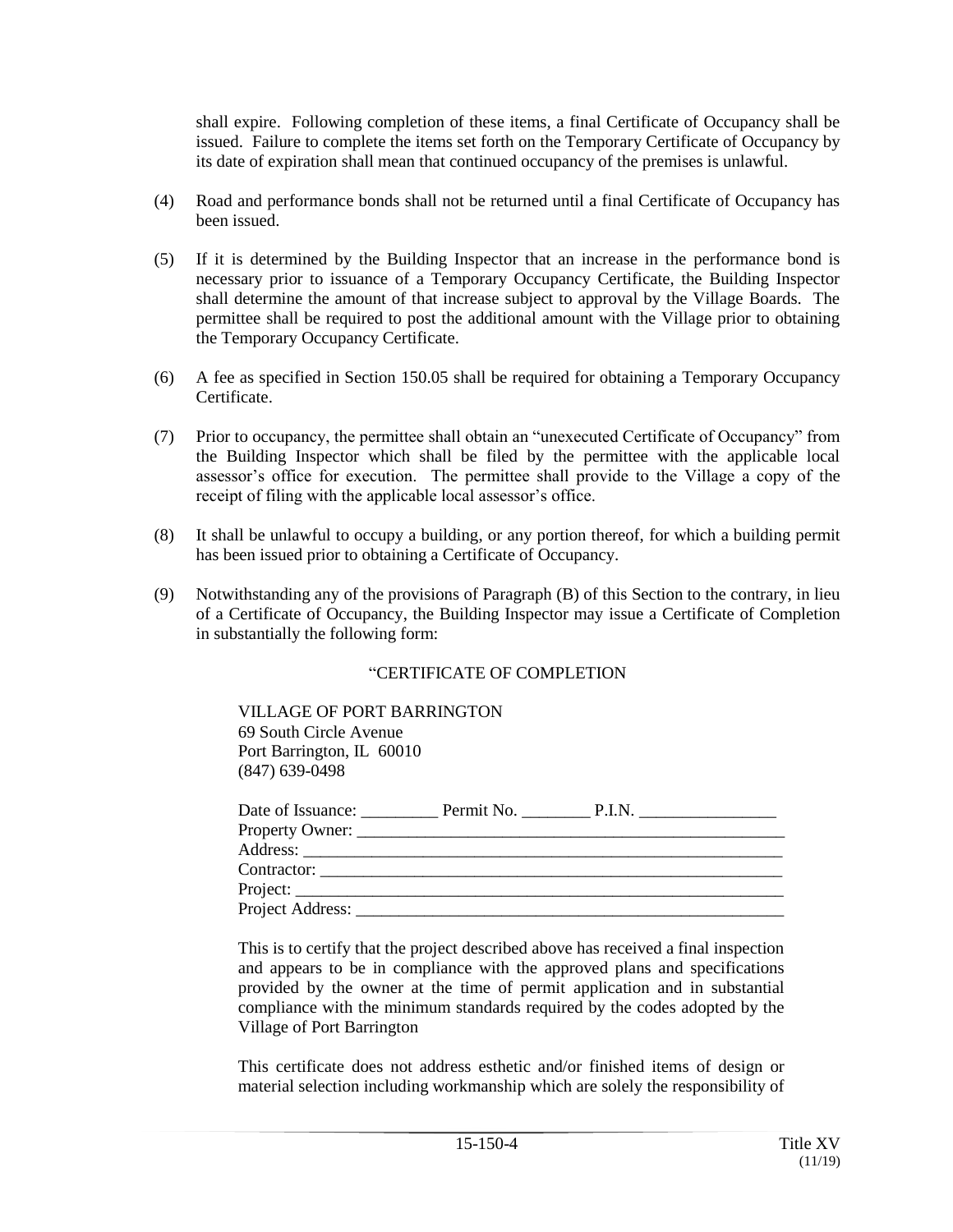shall expire. Following completion of these items, a final Certificate of Occupancy shall be issued. Failure to complete the items set forth on the Temporary Certificate of Occupancy by its date of expiration shall mean that continued occupancy of the premises is unlawful.

- (4) Road and performance bonds shall not be returned until a final Certificate of Occupancy has been issued.
- (5) If it is determined by the Building Inspector that an increase in the performance bond is necessary prior to issuance of a Temporary Occupancy Certificate, the Building Inspector shall determine the amount of that increase subject to approval by the Village Boards. The permittee shall be required to post the additional amount with the Village prior to obtaining the Temporary Occupancy Certificate.
- (6) A fee as specified in Section 150.05 shall be required for obtaining a Temporary Occupancy **Certificate**
- (7) Prior to occupancy, the permittee shall obtain an "unexecuted Certificate of Occupancy" from the Building Inspector which shall be filed by the permittee with the applicable local assessor's office for execution. The permittee shall provide to the Village a copy of the receipt of filing with the applicable local assessor's office.
- (8) It shall be unlawful to occupy a building, or any portion thereof, for which a building permit has been issued prior to obtaining a Certificate of Occupancy.
- (9) Notwithstanding any of the provisions of Paragraph (B) of this Section to the contrary, in lieu of a Certificate of Occupancy, the Building Inspector may issue a Certificate of Completion in substantially the following form:

#### "CERTIFICATE OF COMPLETION

#### VILLAGE OF PORT BARRINGTON

69 South Circle Avenue Port Barrington, IL 60010 (847) 639-0498

|                         | Date of Issuance: Permit No. P.I.N.                                                                                                                                                                                            |  |
|-------------------------|--------------------------------------------------------------------------------------------------------------------------------------------------------------------------------------------------------------------------------|--|
|                         |                                                                                                                                                                                                                                |  |
|                         |                                                                                                                                                                                                                                |  |
|                         | Contractor: the contractor of the contractor of the contractor of the contractor of the contractor of the contractor of the contractor of the contractor of the contractor of the contractor of the contractor of the contract |  |
| $Project: ____________$ |                                                                                                                                                                                                                                |  |
|                         |                                                                                                                                                                                                                                |  |

This is to certify that the project described above has received a final inspection and appears to be in compliance with the approved plans and specifications provided by the owner at the time of permit application and in substantial compliance with the minimum standards required by the codes adopted by the Village of Port Barrington

This certificate does not address esthetic and/or finished items of design or material selection including workmanship which are solely the responsibility of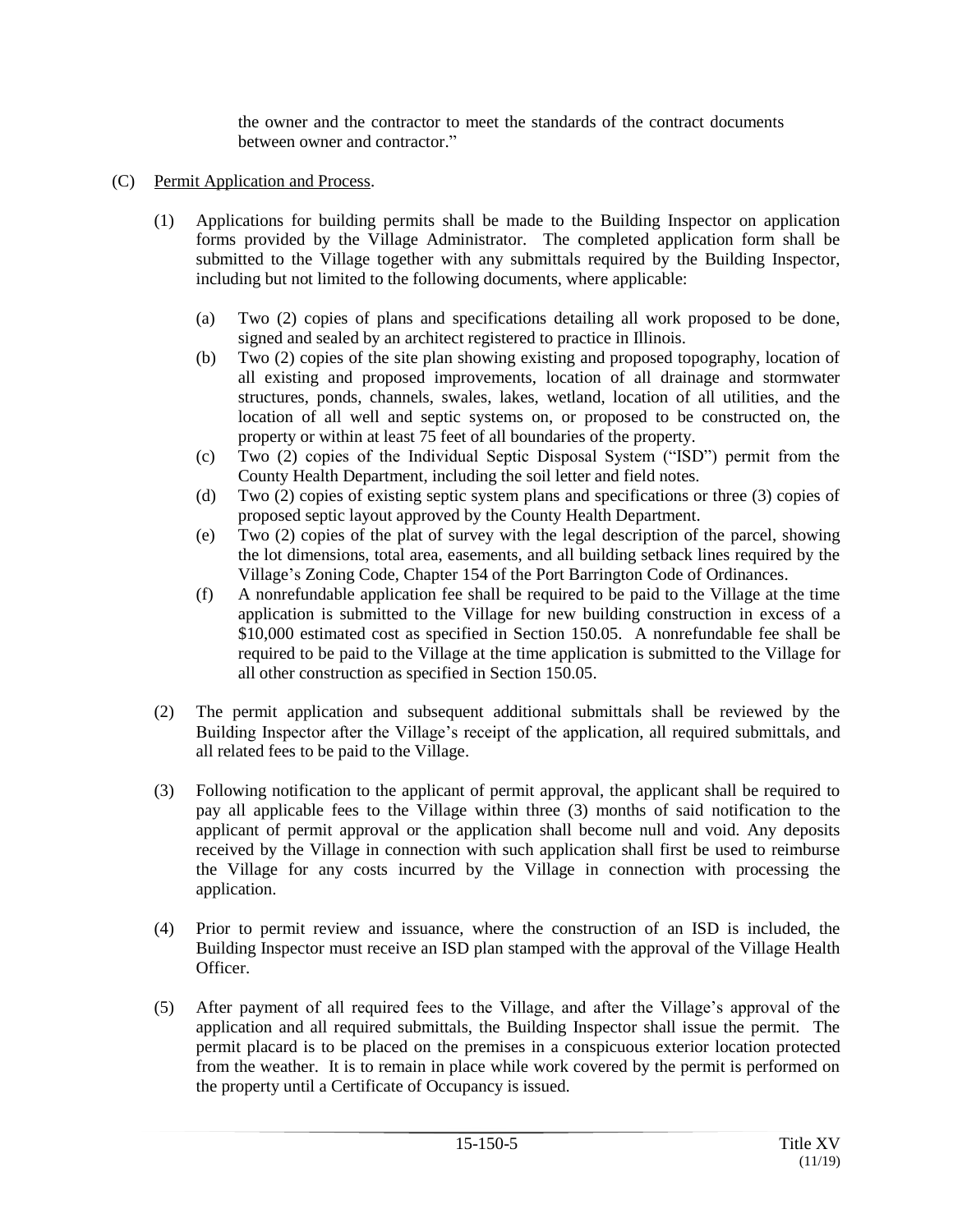the owner and the contractor to meet the standards of the contract documents between owner and contractor."

## (C) Permit Application and Process.

- (1) Applications for building permits shall be made to the Building Inspector on application forms provided by the Village Administrator. The completed application form shall be submitted to the Village together with any submittals required by the Building Inspector, including but not limited to the following documents, where applicable:
	- (a) Two (2) copies of plans and specifications detailing all work proposed to be done, signed and sealed by an architect registered to practice in Illinois.
	- (b) Two (2) copies of the site plan showing existing and proposed topography, location of all existing and proposed improvements, location of all drainage and stormwater structures, ponds, channels, swales, lakes, wetland, location of all utilities, and the location of all well and septic systems on, or proposed to be constructed on, the property or within at least 75 feet of all boundaries of the property.
	- (c) Two (2) copies of the Individual Septic Disposal System ("ISD") permit from the County Health Department, including the soil letter and field notes.
	- (d) Two (2) copies of existing septic system plans and specifications or three (3) copies of proposed septic layout approved by the County Health Department.
	- (e) Two (2) copies of the plat of survey with the legal description of the parcel, showing the lot dimensions, total area, easements, and all building setback lines required by the Village's Zoning Code, Chapter 154 of the Port Barrington Code of Ordinances.
	- (f) A nonrefundable application fee shall be required to be paid to the Village at the time application is submitted to the Village for new building construction in excess of a \$10,000 estimated cost as specified in Section 150.05. A nonrefundable fee shall be required to be paid to the Village at the time application is submitted to the Village for all other construction as specified in Section 150.05.
- (2) The permit application and subsequent additional submittals shall be reviewed by the Building Inspector after the Village's receipt of the application, all required submittals, and all related fees to be paid to the Village.
- (3) Following notification to the applicant of permit approval, the applicant shall be required to pay all applicable fees to the Village within three (3) months of said notification to the applicant of permit approval or the application shall become null and void. Any deposits received by the Village in connection with such application shall first be used to reimburse the Village for any costs incurred by the Village in connection with processing the application.
- (4) Prior to permit review and issuance, where the construction of an ISD is included, the Building Inspector must receive an ISD plan stamped with the approval of the Village Health Officer.
- (5) After payment of all required fees to the Village, and after the Village's approval of the application and all required submittals, the Building Inspector shall issue the permit. The permit placard is to be placed on the premises in a conspicuous exterior location protected from the weather. It is to remain in place while work covered by the permit is performed on the property until a Certificate of Occupancy is issued.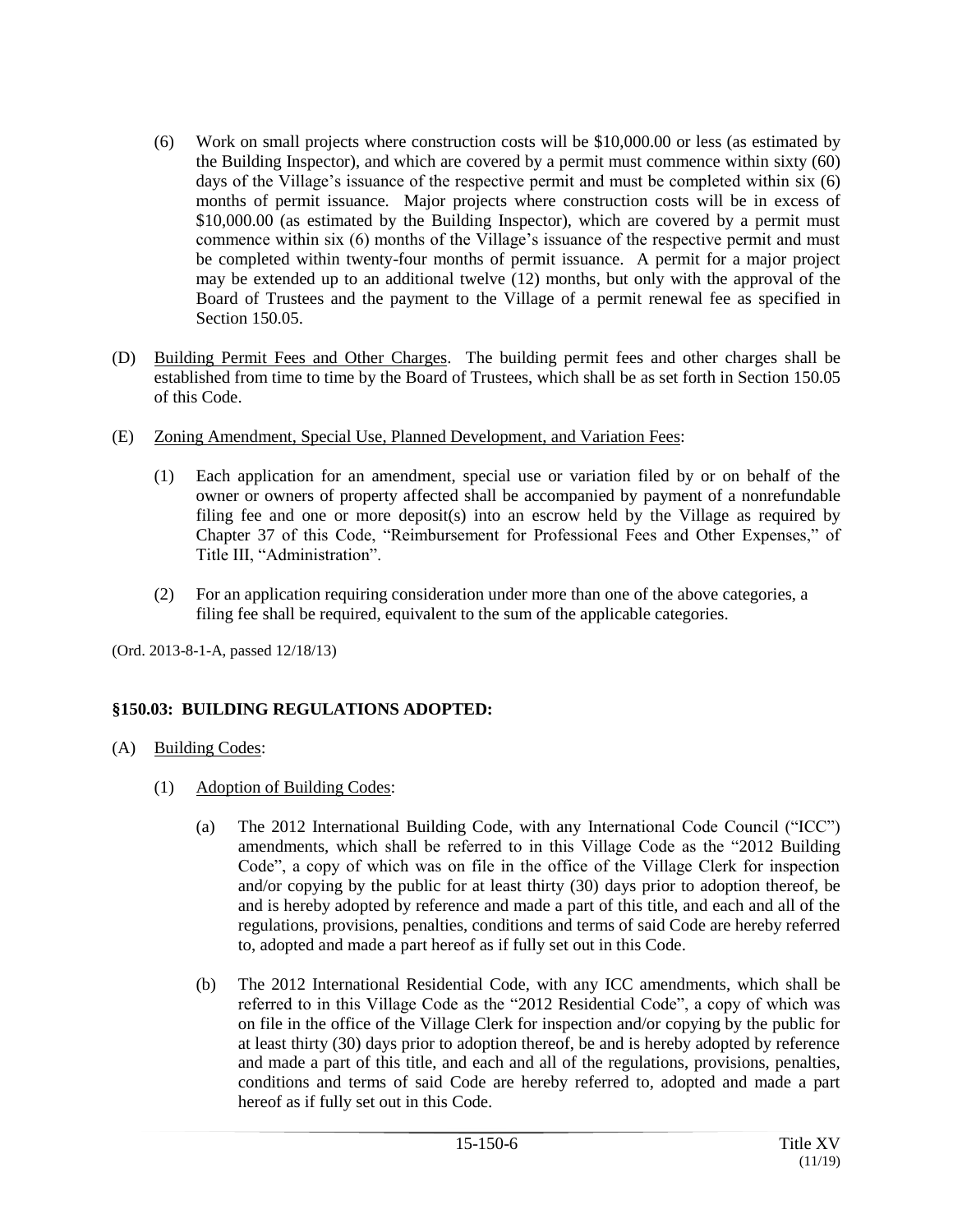- (6) Work on small projects where construction costs will be \$10,000.00 or less (as estimated by the Building Inspector), and which are covered by a permit must commence within sixty (60) days of the Village's issuance of the respective permit and must be completed within six (6) months of permit issuance. Major projects where construction costs will be in excess of \$10,000.00 (as estimated by the Building Inspector), which are covered by a permit must commence within six (6) months of the Village's issuance of the respective permit and must be completed within twenty-four months of permit issuance. A permit for a major project may be extended up to an additional twelve (12) months, but only with the approval of the Board of Trustees and the payment to the Village of a permit renewal fee as specified in Section 150.05.
- (D) Building Permit Fees and Other Charges. The building permit fees and other charges shall be established from time to time by the Board of Trustees, which shall be as set forth in Section 150.05 of this Code.
- (E) Zoning Amendment, Special Use, Planned Development, and Variation Fees:
	- (1) Each application for an amendment, special use or variation filed by or on behalf of the owner or owners of property affected shall be accompanied by payment of a nonrefundable filing fee and one or more deposit(s) into an escrow held by the Village as required by Chapter 37 of this Code, "Reimbursement for Professional Fees and Other Expenses," of Title III, "Administration".
	- (2) For an application requiring consideration under more than one of the above categories, a filing fee shall be required, equivalent to the sum of the applicable categories.

(Ord. 2013-8-1-A, passed 12/18/13)

# **§150.03: BUILDING REGULATIONS ADOPTED:**

- (A) Building Codes:
	- (1) Adoption of Building Codes:
		- (a) The 2012 International Building Code, with any International Code Council ("ICC") amendments, which shall be referred to in this Village Code as the "2012 Building Code", a copy of which was on file in the office of the Village Clerk for inspection and/or copying by the public for at least thirty (30) days prior to adoption thereof, be and is hereby adopted by reference and made a part of this title, and each and all of the regulations, provisions, penalties, conditions and terms of said Code are hereby referred to, adopted and made a part hereof as if fully set out in this Code.
		- (b) The 2012 International Residential Code, with any ICC amendments, which shall be referred to in this Village Code as the "2012 Residential Code", a copy of which was on file in the office of the Village Clerk for inspection and/or copying by the public for at least thirty (30) days prior to adoption thereof, be and is hereby adopted by reference and made a part of this title, and each and all of the regulations, provisions, penalties, conditions and terms of said Code are hereby referred to, adopted and made a part hereof as if fully set out in this Code.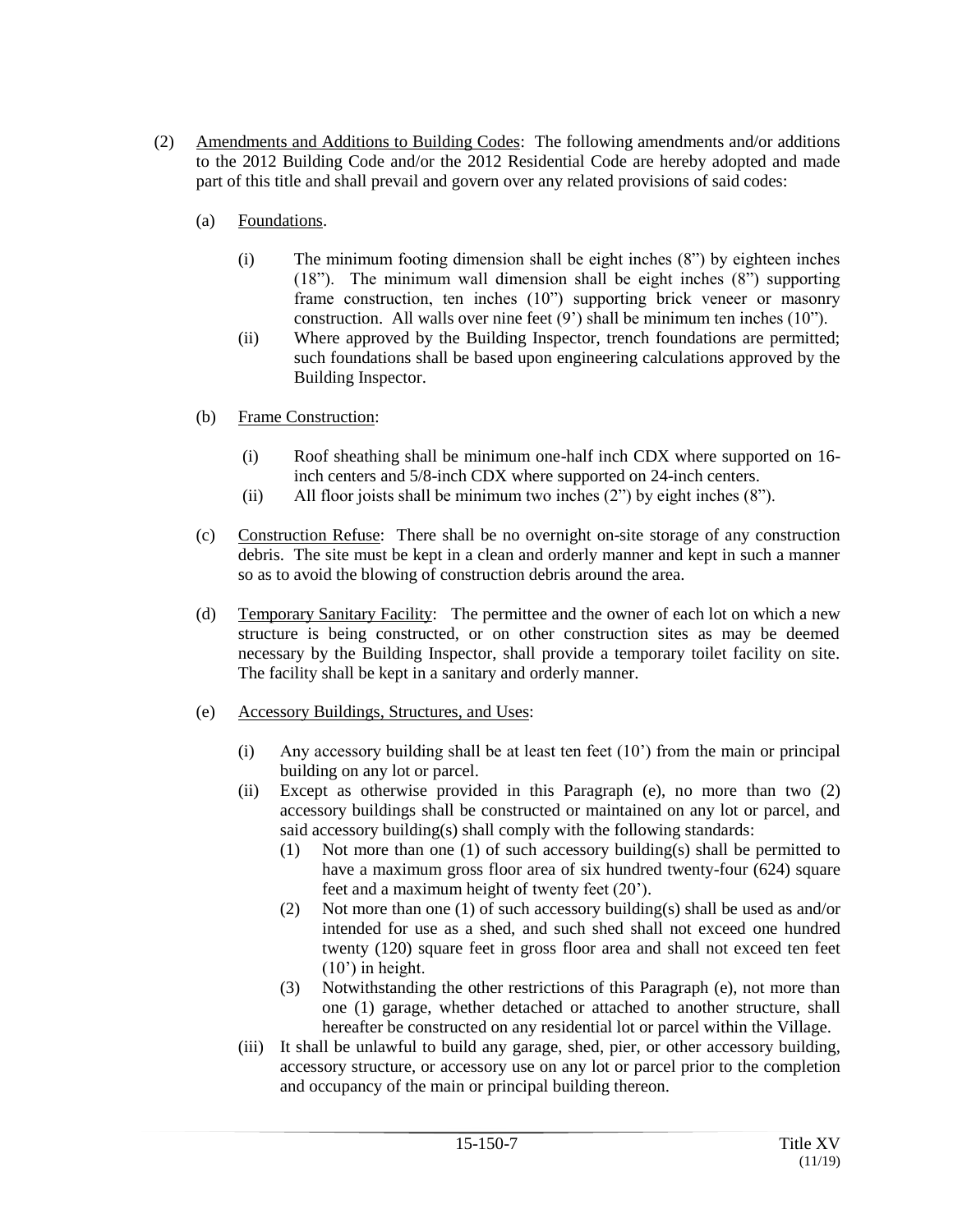- (2) Amendments and Additions to Building Codes: The following amendments and/or additions to the 2012 Building Code and/or the 2012 Residential Code are hereby adopted and made part of this title and shall prevail and govern over any related provisions of said codes:
	- (a) Foundations.
		- (i) The minimum footing dimension shall be eight inches (8") by eighteen inches (18"). The minimum wall dimension shall be eight inches (8") supporting frame construction, ten inches (10") supporting brick veneer or masonry construction. All walls over nine feet (9') shall be minimum ten inches (10").
		- (ii) Where approved by the Building Inspector, trench foundations are permitted; such foundations shall be based upon engineering calculations approved by the Building Inspector.
	- (b) Frame Construction:
		- (i) Roof sheathing shall be minimum one-half inch CDX where supported on 16 inch centers and 5/8-inch CDX where supported on 24-inch centers.
		- (ii) All floor joists shall be minimum two inches (2") by eight inches (8").
	- (c) Construction Refuse: There shall be no overnight on-site storage of any construction debris. The site must be kept in a clean and orderly manner and kept in such a manner so as to avoid the blowing of construction debris around the area.
	- (d) Temporary Sanitary Facility: The permittee and the owner of each lot on which a new structure is being constructed, or on other construction sites as may be deemed necessary by the Building Inspector, shall provide a temporary toilet facility on site. The facility shall be kept in a sanitary and orderly manner.
	- (e) Accessory Buildings, Structures, and Uses:
		- (i) Any accessory building shall be at least ten feet (10') from the main or principal building on any lot or parcel.
		- (ii) Except as otherwise provided in this Paragraph (e), no more than two (2) accessory buildings shall be constructed or maintained on any lot or parcel, and said accessory building(s) shall comply with the following standards:
			- (1) Not more than one (1) of such accessory building(s) shall be permitted to have a maximum gross floor area of six hundred twenty-four (624) square feet and a maximum height of twenty feet (20').
			- (2) Not more than one (1) of such accessory building(s) shall be used as and/or intended for use as a shed, and such shed shall not exceed one hundred twenty (120) square feet in gross floor area and shall not exceed ten feet (10') in height.
			- (3) Notwithstanding the other restrictions of this Paragraph (e), not more than one (1) garage, whether detached or attached to another structure, shall hereafter be constructed on any residential lot or parcel within the Village.
		- (iii) It shall be unlawful to build any garage, shed, pier, or other accessory building, accessory structure, or accessory use on any lot or parcel prior to the completion and occupancy of the main or principal building thereon.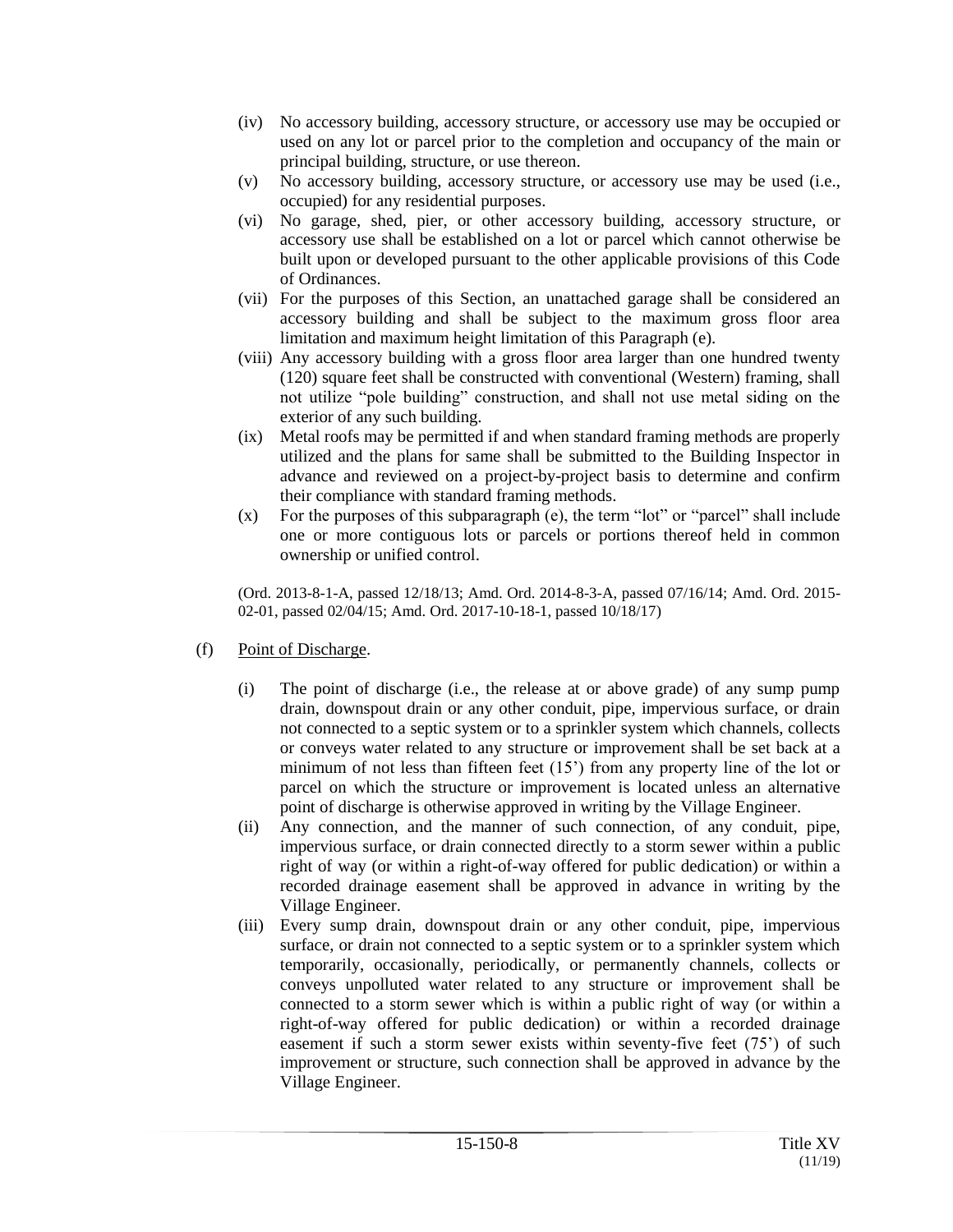- (iv) No accessory building, accessory structure, or accessory use may be occupied or used on any lot or parcel prior to the completion and occupancy of the main or principal building, structure, or use thereon.
- (v) No accessory building, accessory structure, or accessory use may be used (i.e., occupied) for any residential purposes.
- (vi) No garage, shed, pier, or other accessory building, accessory structure, or accessory use shall be established on a lot or parcel which cannot otherwise be built upon or developed pursuant to the other applicable provisions of this Code of Ordinances.
- (vii) For the purposes of this Section, an unattached garage shall be considered an accessory building and shall be subject to the maximum gross floor area limitation and maximum height limitation of this Paragraph (e).
- (viii) Any accessory building with a gross floor area larger than one hundred twenty (120) square feet shall be constructed with conventional (Western) framing, shall not utilize "pole building" construction, and shall not use metal siding on the exterior of any such building.
- (ix) Metal roofs may be permitted if and when standard framing methods are properly utilized and the plans for same shall be submitted to the Building Inspector in advance and reviewed on a project-by-project basis to determine and confirm their compliance with standard framing methods.
- (x) For the purposes of this subparagraph (e), the term "lot" or "parcel" shall include one or more contiguous lots or parcels or portions thereof held in common ownership or unified control.

(Ord. 2013-8-1-A, passed 12/18/13; Amd. Ord. 2014-8-3-A, passed 07/16/14; Amd. Ord. 2015- 02-01, passed 02/04/15; Amd. Ord. 2017-10-18-1, passed 10/18/17)

- (f) Point of Discharge.
	- (i) The point of discharge (i.e., the release at or above grade) of any sump pump drain, downspout drain or any other conduit, pipe, impervious surface, or drain not connected to a septic system or to a sprinkler system which channels, collects or conveys water related to any structure or improvement shall be set back at a minimum of not less than fifteen feet  $(15)$  from any property line of the lot or parcel on which the structure or improvement is located unless an alternative point of discharge is otherwise approved in writing by the Village Engineer.
	- (ii) Any connection, and the manner of such connection, of any conduit, pipe, impervious surface, or drain connected directly to a storm sewer within a public right of way (or within a right-of-way offered for public dedication) or within a recorded drainage easement shall be approved in advance in writing by the Village Engineer.
	- (iii) Every sump drain, downspout drain or any other conduit, pipe, impervious surface, or drain not connected to a septic system or to a sprinkler system which temporarily, occasionally, periodically, or permanently channels, collects or conveys unpolluted water related to any structure or improvement shall be connected to a storm sewer which is within a public right of way (or within a right-of-way offered for public dedication) or within a recorded drainage easement if such a storm sewer exists within seventy-five feet (75') of such improvement or structure, such connection shall be approved in advance by the Village Engineer.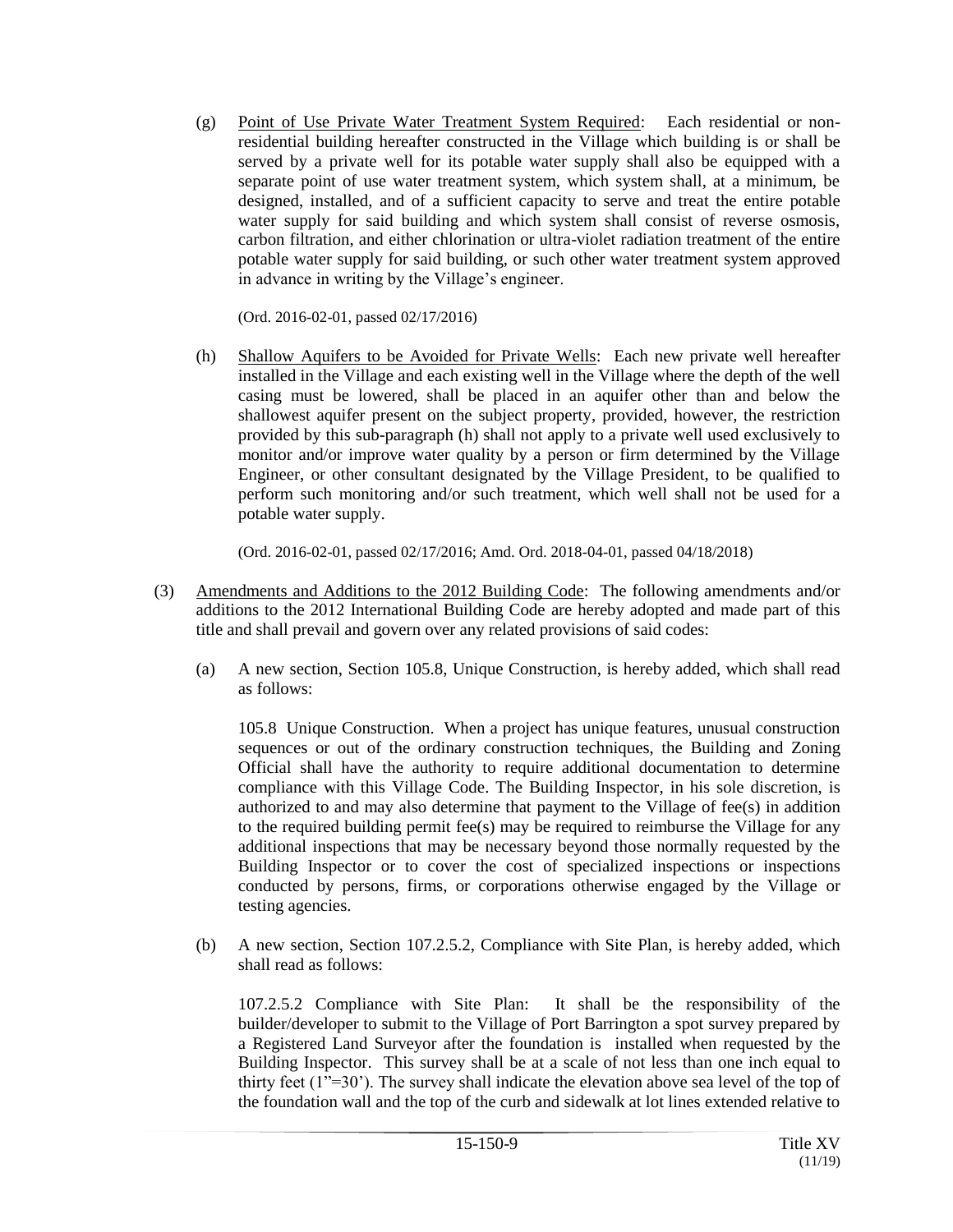(g) Point of Use Private Water Treatment System Required: Each residential or nonresidential building hereafter constructed in the Village which building is or shall be served by a private well for its potable water supply shall also be equipped with a separate point of use water treatment system, which system shall, at a minimum, be designed, installed, and of a sufficient capacity to serve and treat the entire potable water supply for said building and which system shall consist of reverse osmosis, carbon filtration, and either chlorination or ultra-violet radiation treatment of the entire potable water supply for said building, or such other water treatment system approved in advance in writing by the Village's engineer.

(Ord. 2016-02-01, passed 02/17/2016)

(h) Shallow Aquifers to be Avoided for Private Wells: Each new private well hereafter installed in the Village and each existing well in the Village where the depth of the well casing must be lowered, shall be placed in an aquifer other than and below the shallowest aquifer present on the subject property, provided, however, the restriction provided by this sub-paragraph (h) shall not apply to a private well used exclusively to monitor and/or improve water quality by a person or firm determined by the Village Engineer, or other consultant designated by the Village President, to be qualified to perform such monitoring and/or such treatment, which well shall not be used for a potable water supply.

(Ord. 2016-02-01, passed 02/17/2016; Amd. Ord. 2018-04-01, passed 04/18/2018)

- (3) Amendments and Additions to the 2012 Building Code: The following amendments and/or additions to the 2012 International Building Code are hereby adopted and made part of this title and shall prevail and govern over any related provisions of said codes:
	- (a) A new section, Section 105.8, Unique Construction, is hereby added, which shall read as follows:

105.8 Unique Construction. When a project has unique features, unusual construction sequences or out of the ordinary construction techniques, the Building and Zoning Official shall have the authority to require additional documentation to determine compliance with this Village Code. The Building Inspector, in his sole discretion, is authorized to and may also determine that payment to the Village of fee(s) in addition to the required building permit fee(s) may be required to reimburse the Village for any additional inspections that may be necessary beyond those normally requested by the Building Inspector or to cover the cost of specialized inspections or inspections conducted by persons, firms, or corporations otherwise engaged by the Village or testing agencies.

(b) A new section, Section 107.2.5.2, Compliance with Site Plan, is hereby added, which shall read as follows:

107.2.5.2 Compliance with Site Plan: It shall be the responsibility of the builder/developer to submit to the Village of Port Barrington a spot survey prepared by a Registered Land Surveyor after the foundation is installed when requested by the Building Inspector. This survey shall be at a scale of not less than one inch equal to thirty feet (1"=30'). The survey shall indicate the elevation above sea level of the top of the foundation wall and the top of the curb and sidewalk at lot lines extended relative to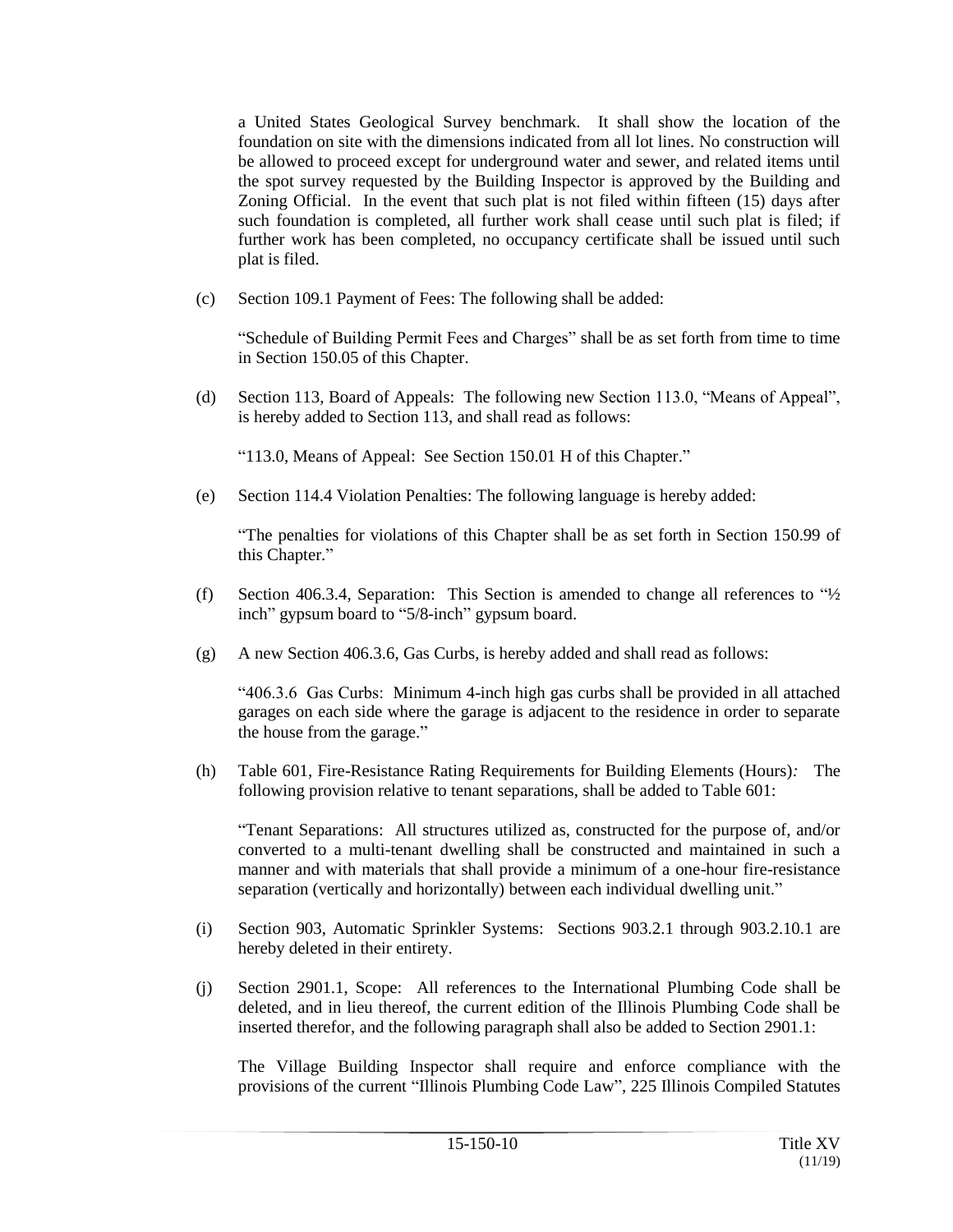a United States Geological Survey benchmark. It shall show the location of the foundation on site with the dimensions indicated from all lot lines. No construction will be allowed to proceed except for underground water and sewer, and related items until the spot survey requested by the Building Inspector is approved by the Building and Zoning Official. In the event that such plat is not filed within fifteen (15) days after such foundation is completed, all further work shall cease until such plat is filed; if further work has been completed, no occupancy certificate shall be issued until such plat is filed.

(c) Section 109.1 Payment of Fees: The following shall be added:

"Schedule of Building Permit Fees and Charges" shall be as set forth from time to time in Section 150.05 of this Chapter.

(d) Section 113, Board of Appeals: The following new Section 113.0, "Means of Appeal", is hereby added to Section 113, and shall read as follows:

"113.0, Means of Appeal: See Section 150.01 H of this Chapter."

(e) Section 114.4 Violation Penalties: The following language is hereby added:

"The penalties for violations of this Chapter shall be as set forth in Section 150.99 of this Chapter."

- (f) Section 406.3.4, Separation: This Section is amended to change all references to  $4/2$ inch" gypsum board to "5/8-inch" gypsum board.
- (g) A new Section 406.3.6, Gas Curbs, is hereby added and shall read as follows:

"406.3.6 Gas Curbs: Minimum 4-inch high gas curbs shall be provided in all attached garages on each side where the garage is adjacent to the residence in order to separate the house from the garage."

(h) Table 601, Fire-Resistance Rating Requirements for Building Elements (Hours)*:* The following provision relative to tenant separations, shall be added to Table 601:

"Tenant Separations: All structures utilized as, constructed for the purpose of, and/or converted to a multi-tenant dwelling shall be constructed and maintained in such a manner and with materials that shall provide a minimum of a one-hour fire-resistance separation (vertically and horizontally) between each individual dwelling unit."

- (i) Section 903, Automatic Sprinkler Systems: Sections 903.2.1 through 903.2.10.1 are hereby deleted in their entirety.
- (j) Section 2901.1, Scope: All references to the International Plumbing Code shall be deleted, and in lieu thereof, the current edition of the Illinois Plumbing Code shall be inserted therefor, and the following paragraph shall also be added to Section 2901.1:

The Village Building Inspector shall require and enforce compliance with the provisions of the current "Illinois Plumbing Code Law", 225 Illinois Compiled Statutes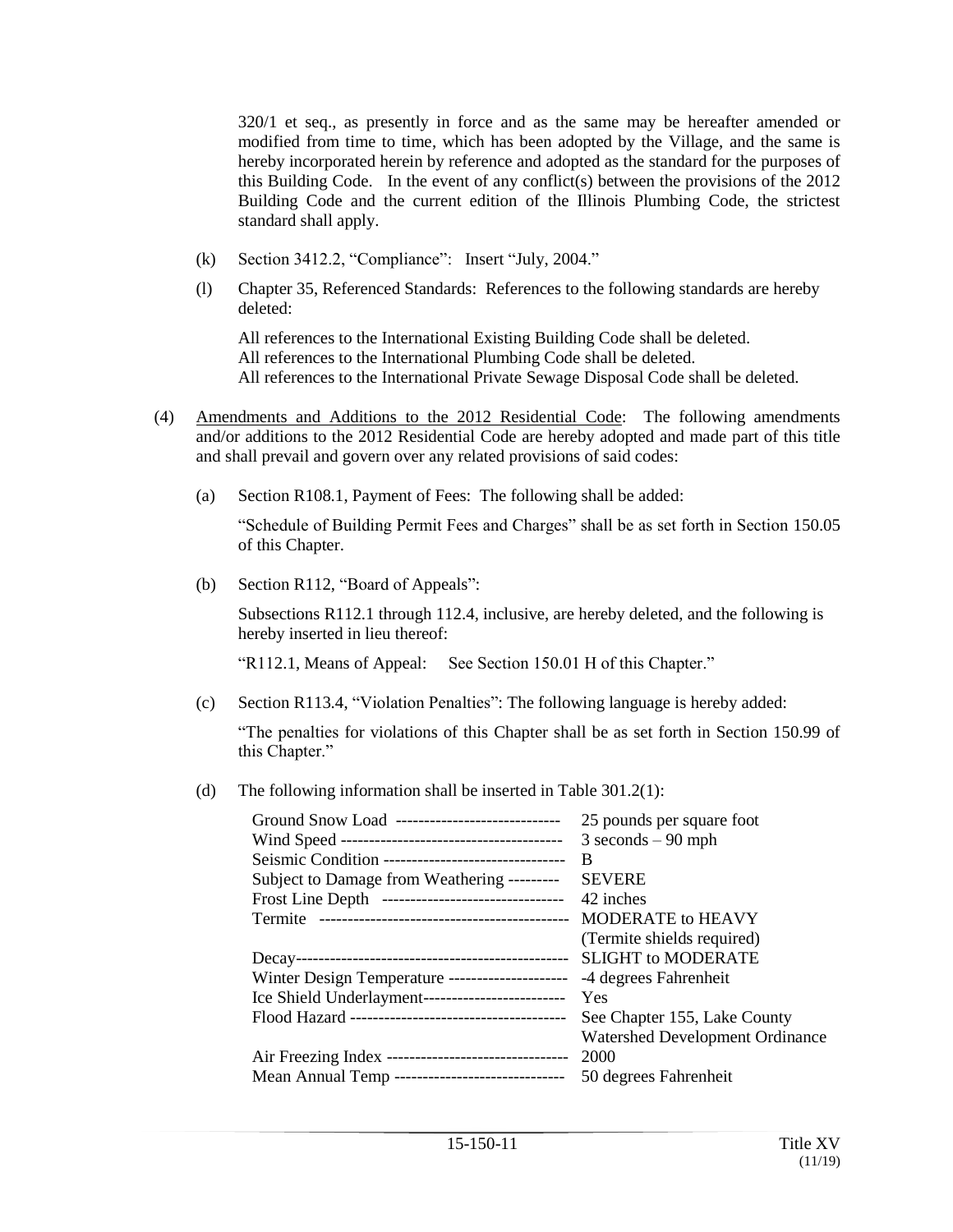320/1 et seq., as presently in force and as the same may be hereafter amended or modified from time to time, which has been adopted by the Village, and the same is hereby incorporated herein by reference and adopted as the standard for the purposes of this Building Code. In the event of any conflict(s) between the provisions of the  $2012$ Building Code and the current edition of the Illinois Plumbing Code, the strictest standard shall apply.

- (k) Section 3412.2, "Compliance": Insert "July, 2004."
- (l) Chapter 35, Referenced Standards: References to the following standards are hereby deleted:

All references to the International Existing Building Code shall be deleted. All references to the International Plumbing Code shall be deleted. All references to the International Private Sewage Disposal Code shall be deleted.

- (4) Amendments and Additions to the 2012 Residential Code: The following amendments and/or additions to the 2012 Residential Code are hereby adopted and made part of this title and shall prevail and govern over any related provisions of said codes:
	- (a) Section R108.1, Payment of Fees: The following shall be added:

"Schedule of Building Permit Fees and Charges" shall be as set forth in Section 150.05 of this Chapter.

(b) Section R112, "Board of Appeals":

Subsections R112.1 through 112.4, inclusive, are hereby deleted, and the following is hereby inserted in lieu thereof:

"R112.1, Means of Appeal: See Section 150.01 H of this Chapter."

(c) Section R113.4, "Violation Penalties": The following language is hereby added:

"The penalties for violations of this Chapter shall be as set forth in Section 150.99 of this Chapter."

(d) The following information shall be inserted in Table 301.2(1):

| Ground Snow Load -----------------------------     | 25 pounds per square foot              |
|----------------------------------------------------|----------------------------------------|
|                                                    | $3 seconds - 90 mph$                   |
| Seismic Condition -------------------------------- | B                                      |
| Subject to Damage from Weathering ---------        | <b>SEVERE</b>                          |
| Frost Line Depth --------------------------------  | 42 inches                              |
|                                                    |                                        |
|                                                    | (Termite shields required)             |
|                                                    | <b>SLIGHT to MODERATE</b>              |
| Winter Design Temperature ---------------------    | -4 degrees Fahrenheit                  |
| Ice Shield Underlayment--------------------------  | Yes                                    |
|                                                    | See Chapter 155, Lake County           |
|                                                    | <b>Watershed Development Ordinance</b> |
|                                                    | 2000                                   |
| Mean Annual Temp ------------------------------    | 50 degrees Fahrenheit                  |
|                                                    |                                        |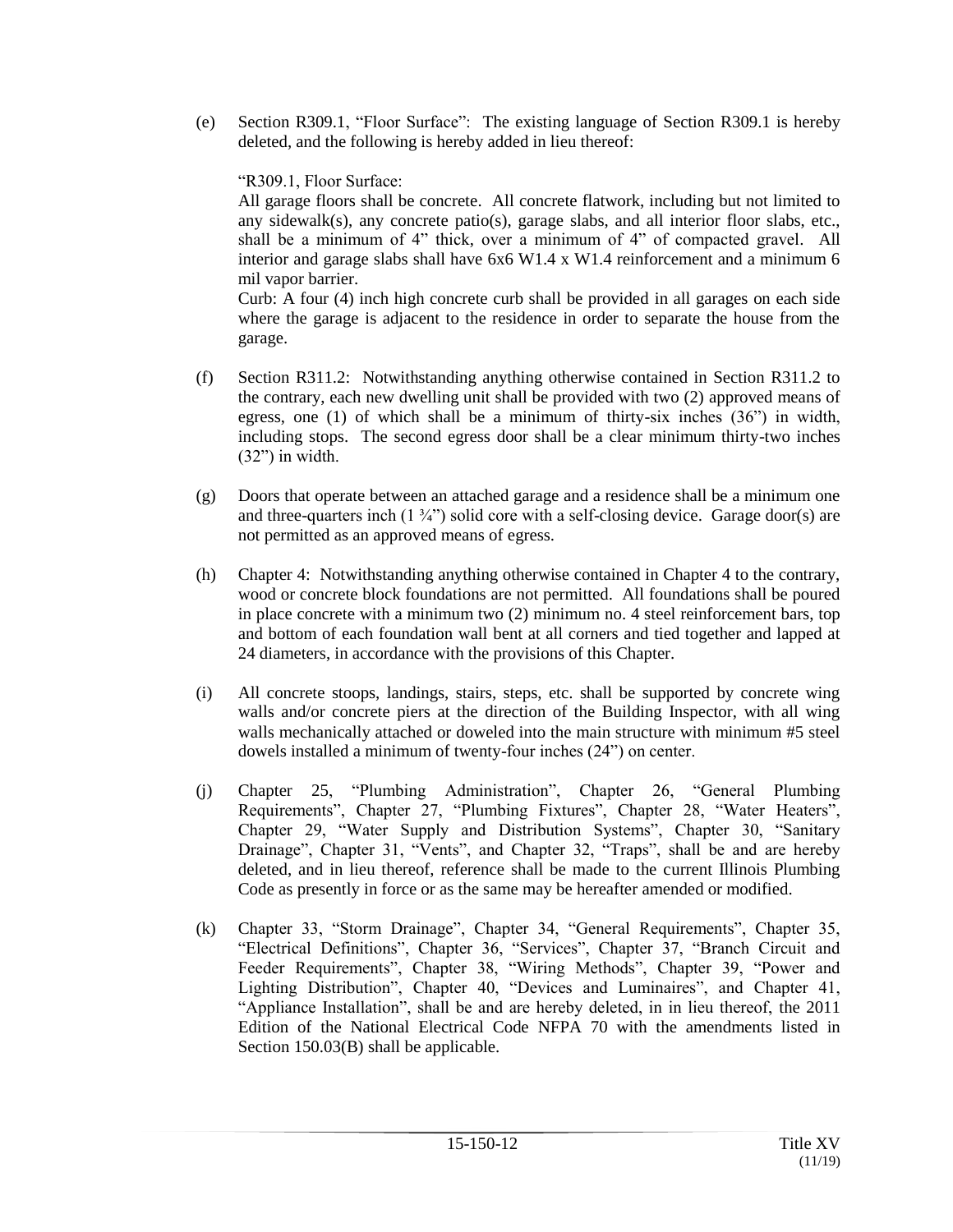(e) Section R309.1, "Floor Surface": The existing language of Section R309.1 is hereby deleted, and the following is hereby added in lieu thereof:

"R309.1, Floor Surface:

All garage floors shall be concrete. All concrete flatwork, including but not limited to any sidewalk(s), any concrete patio(s), garage slabs, and all interior floor slabs, etc., shall be a minimum of 4" thick, over a minimum of 4" of compacted gravel. All interior and garage slabs shall have  $6x6 W1.4 x W1.4$  reinforcement and a minimum 6 mil vapor barrier.

Curb: A four (4) inch high concrete curb shall be provided in all garages on each side where the garage is adjacent to the residence in order to separate the house from the garage.

- (f) Section R311.2: Notwithstanding anything otherwise contained in Section R311.2 to the contrary, each new dwelling unit shall be provided with two (2) approved means of egress, one  $(1)$  of which shall be a minimum of thirty-six inches  $(36)$  in width, including stops. The second egress door shall be a clear minimum thirty-two inches (32") in width.
- (g) Doors that operate between an attached garage and a residence shall be a minimum one and three-quarters inch  $(1 \frac{3}{4})$  solid core with a self-closing device. Garage door(s) are not permitted as an approved means of egress.
- (h) Chapter 4: Notwithstanding anything otherwise contained in Chapter 4 to the contrary, wood or concrete block foundations are not permitted. All foundations shall be poured in place concrete with a minimum two (2) minimum no. 4 steel reinforcement bars, top and bottom of each foundation wall bent at all corners and tied together and lapped at 24 diameters, in accordance with the provisions of this Chapter.
- (i) All concrete stoops, landings, stairs, steps, etc. shall be supported by concrete wing walls and/or concrete piers at the direction of the Building Inspector, with all wing walls mechanically attached or doweled into the main structure with minimum #5 steel dowels installed a minimum of twenty-four inches (24") on center.
- (j) Chapter 25, "Plumbing Administration", Chapter 26, "General Plumbing Requirements", Chapter 27, "Plumbing Fixtures", Chapter 28, "Water Heaters", Chapter 29, "Water Supply and Distribution Systems", Chapter 30, "Sanitary Drainage", Chapter 31, "Vents", and Chapter 32, "Traps", shall be and are hereby deleted, and in lieu thereof, reference shall be made to the current Illinois Plumbing Code as presently in force or as the same may be hereafter amended or modified.
- (k) Chapter 33, "Storm Drainage", Chapter 34, "General Requirements", Chapter 35, "Electrical Definitions", Chapter 36, "Services", Chapter 37, "Branch Circuit and Feeder Requirements", Chapter 38, "Wiring Methods", Chapter 39, "Power and Lighting Distribution", Chapter 40, "Devices and Luminaires", and Chapter 41, "Appliance Installation", shall be and are hereby deleted, in in lieu thereof, the 2011 Edition of the National Electrical Code NFPA 70 with the amendments listed in Section 150.03(B) shall be applicable.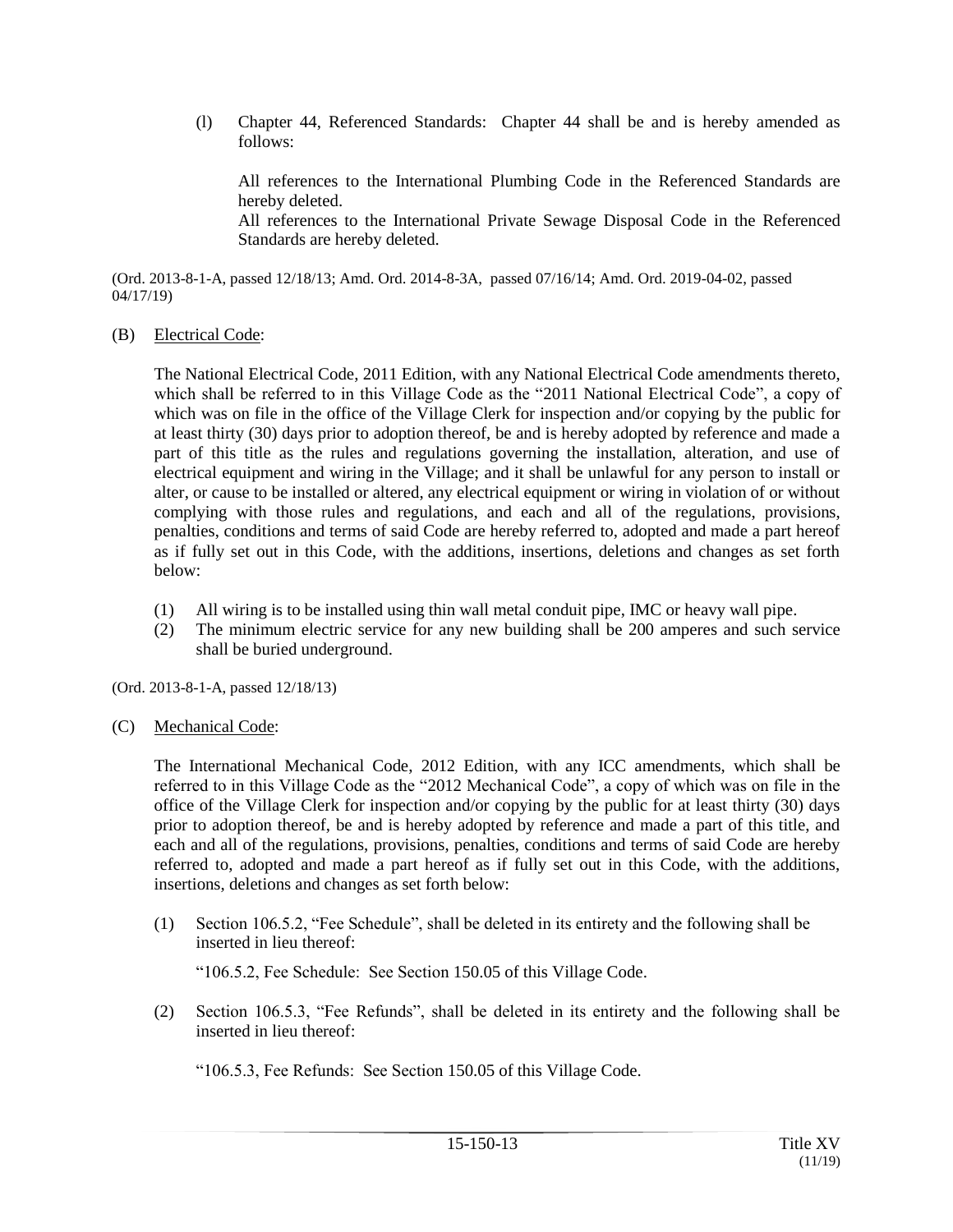(l) Chapter 44, Referenced Standards: Chapter 44 shall be and is hereby amended as follows:

All references to the International Plumbing Code in the Referenced Standards are hereby deleted. All references to the International Private Sewage Disposal Code in the Referenced Standards are hereby deleted.

(Ord. 2013-8-1-A, passed 12/18/13; Amd. Ord. 2014-8-3A, passed 07/16/14; Amd. Ord. 2019-04-02, passed 04/17/19)

(B) Electrical Code:

The National Electrical Code, 2011 Edition, with any National Electrical Code amendments thereto, which shall be referred to in this Village Code as the "2011 National Electrical Code", a copy of which was on file in the office of the Village Clerk for inspection and/or copying by the public for at least thirty (30) days prior to adoption thereof, be and is hereby adopted by reference and made a part of this title as the rules and regulations governing the installation, alteration, and use of electrical equipment and wiring in the Village; and it shall be unlawful for any person to install or alter, or cause to be installed or altered, any electrical equipment or wiring in violation of or without complying with those rules and regulations, and each and all of the regulations, provisions, penalties, conditions and terms of said Code are hereby referred to, adopted and made a part hereof as if fully set out in this Code, with the additions, insertions, deletions and changes as set forth below:

- (1) All wiring is to be installed using thin wall metal conduit pipe, IMC or heavy wall pipe.
- (2) The minimum electric service for any new building shall be 200 amperes and such service shall be buried underground.

(Ord. 2013-8-1-A, passed 12/18/13)

(C) Mechanical Code:

The International Mechanical Code, 2012 Edition, with any ICC amendments, which shall be referred to in this Village Code as the "2012 Mechanical Code", a copy of which was on file in the office of the Village Clerk for inspection and/or copying by the public for at least thirty (30) days prior to adoption thereof, be and is hereby adopted by reference and made a part of this title, and each and all of the regulations, provisions, penalties, conditions and terms of said Code are hereby referred to, adopted and made a part hereof as if fully set out in this Code, with the additions, insertions, deletions and changes as set forth below:

(1) Section 106.5.2, "Fee Schedule", shall be deleted in its entirety and the following shall be inserted in lieu thereof:

"106.5.2, Fee Schedule: See Section 150.05 of this Village Code.

(2) Section 106.5.3, "Fee Refunds", shall be deleted in its entirety and the following shall be inserted in lieu thereof:

"106.5.3, Fee Refunds: See Section 150.05 of this Village Code.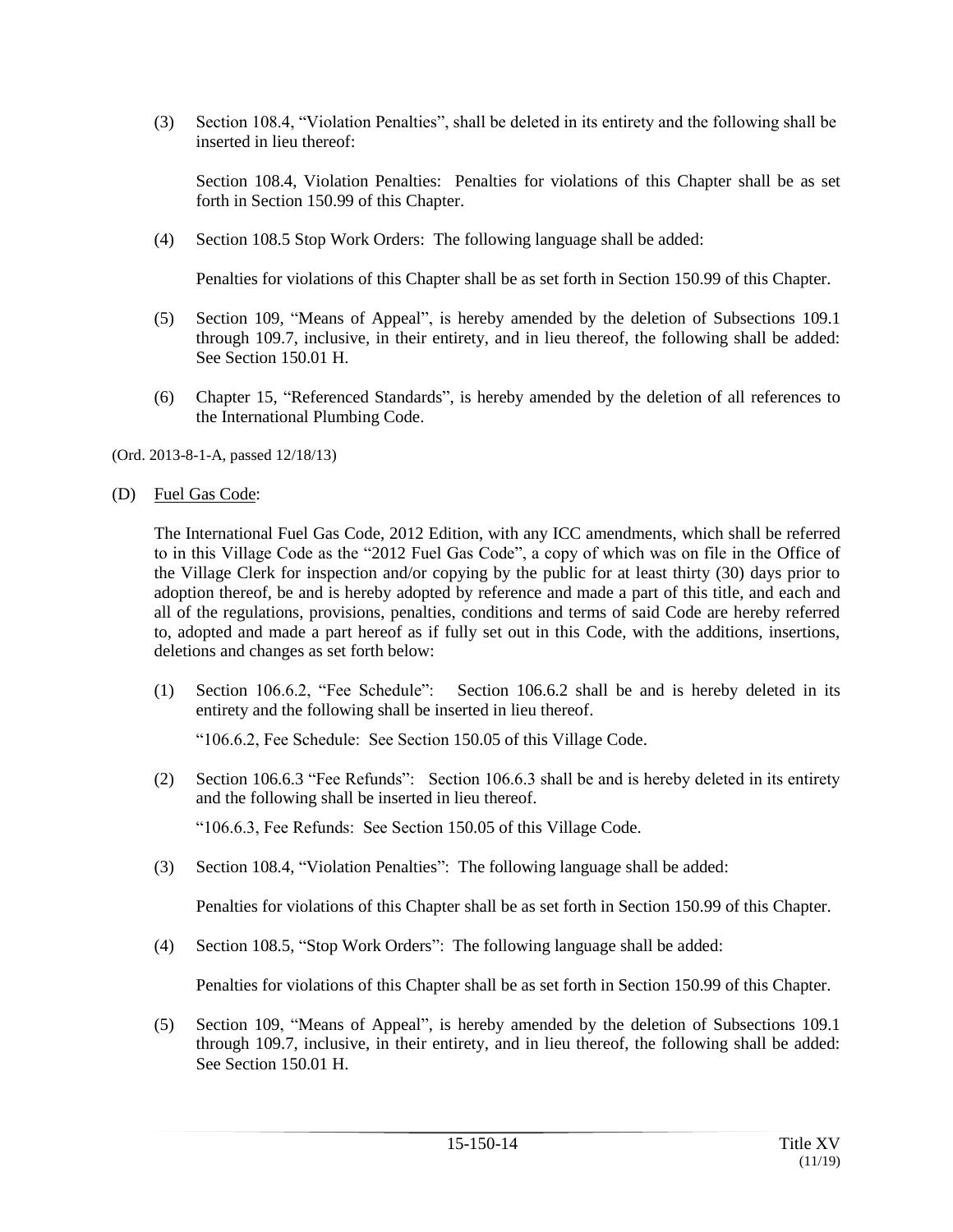(3) Section 108.4, "Violation Penalties", shall be deleted in its entirety and the following shall be inserted in lieu thereof:

Section 108.4, Violation Penalties: Penalties for violations of this Chapter shall be as set forth in Section 150.99 of this Chapter.

(4) Section 108.5 Stop Work Orders: The following language shall be added:

Penalties for violations of this Chapter shall be as set forth in Section 150.99 of this Chapter.

- (5) Section 109, "Means of Appeal", is hereby amended by the deletion of Subsections 109.1 through 109.7, inclusive, in their entirety, and in lieu thereof, the following shall be added: See Section 150.01 H.
- (6) Chapter 15, "Referenced Standards", is hereby amended by the deletion of all references to the International Plumbing Code.

(Ord. 2013-8-1-A, passed 12/18/13)

(D) Fuel Gas Code:

The International Fuel Gas Code, 2012 Edition, with any ICC amendments, which shall be referred to in this Village Code as the "2012 Fuel Gas Code", a copy of which was on file in the Office of the Village Clerk for inspection and/or copying by the public for at least thirty (30) days prior to adoption thereof, be and is hereby adopted by reference and made a part of this title, and each and all of the regulations, provisions, penalties, conditions and terms of said Code are hereby referred to, adopted and made a part hereof as if fully set out in this Code, with the additions, insertions, deletions and changes as set forth below:

(1) Section 106.6.2, "Fee Schedule": Section 106.6.2 shall be and is hereby deleted in its entirety and the following shall be inserted in lieu thereof.

"106.6.2, Fee Schedule: See Section 150.05 of this Village Code.

(2) Section 106.6.3 "Fee Refunds": Section 106.6.3 shall be and is hereby deleted in its entirety and the following shall be inserted in lieu thereof.

"106.6.3, Fee Refunds: See Section 150.05 of this Village Code.

(3) Section 108.4, "Violation Penalties": The following language shall be added:

Penalties for violations of this Chapter shall be as set forth in Section 150.99 of this Chapter.

(4) Section 108.5, "Stop Work Orders": The following language shall be added:

Penalties for violations of this Chapter shall be as set forth in Section 150.99 of this Chapter.

(5) Section 109, "Means of Appeal", is hereby amended by the deletion of Subsections 109.1 through 109.7, inclusive, in their entirety, and in lieu thereof, the following shall be added: See Section 150.01 H.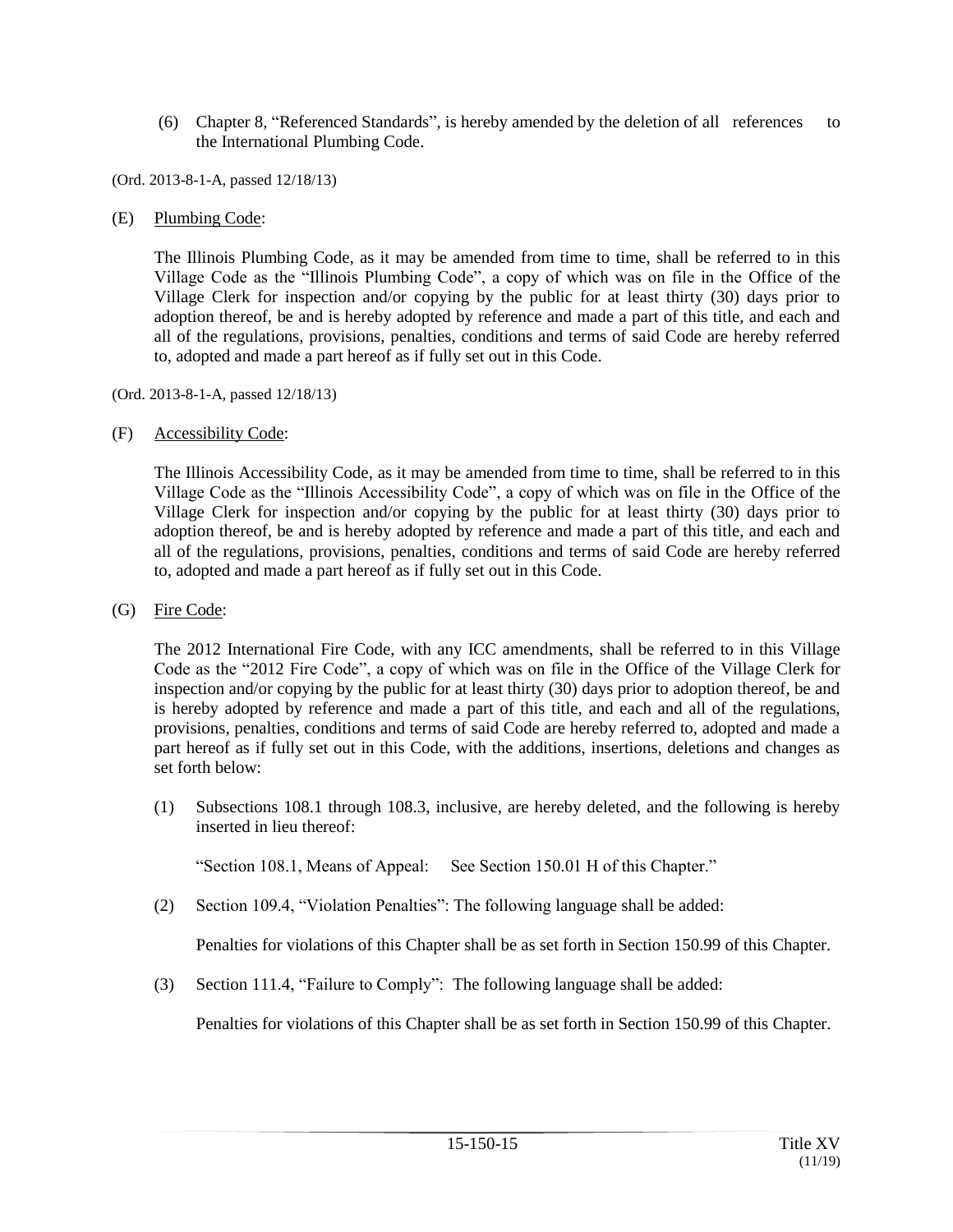(6) Chapter 8, "Referenced Standards", is hereby amended by the deletion of all references to the International Plumbing Code.

(Ord. 2013-8-1-A, passed 12/18/13)

(E) Plumbing Code:

The Illinois Plumbing Code, as it may be amended from time to time, shall be referred to in this Village Code as the "Illinois Plumbing Code", a copy of which was on file in the Office of the Village Clerk for inspection and/or copying by the public for at least thirty (30) days prior to adoption thereof, be and is hereby adopted by reference and made a part of this title, and each and all of the regulations, provisions, penalties, conditions and terms of said Code are hereby referred to, adopted and made a part hereof as if fully set out in this Code.

(Ord. 2013-8-1-A, passed 12/18/13)

## (F) Accessibility Code:

The Illinois Accessibility Code, as it may be amended from time to time, shall be referred to in this Village Code as the "Illinois Accessibility Code", a copy of which was on file in the Office of the Village Clerk for inspection and/or copying by the public for at least thirty (30) days prior to adoption thereof, be and is hereby adopted by reference and made a part of this title, and each and all of the regulations, provisions, penalties, conditions and terms of said Code are hereby referred to, adopted and made a part hereof as if fully set out in this Code.

#### (G) Fire Code:

The 2012 International Fire Code, with any ICC amendments, shall be referred to in this Village Code as the "2012 Fire Code", a copy of which was on file in the Office of the Village Clerk for inspection and/or copying by the public for at least thirty (30) days prior to adoption thereof, be and is hereby adopted by reference and made a part of this title, and each and all of the regulations, provisions, penalties, conditions and terms of said Code are hereby referred to, adopted and made a part hereof as if fully set out in this Code, with the additions, insertions, deletions and changes as set forth below:

(1) Subsections 108.1 through 108.3, inclusive, are hereby deleted, and the following is hereby inserted in lieu thereof:

"Section 108.1, Means of Appeal: See Section 150.01 H of this Chapter."

(2) Section 109.4, "Violation Penalties": The following language shall be added:

Penalties for violations of this Chapter shall be as set forth in Section 150.99 of this Chapter.

(3) Section 111.4, "Failure to Comply": The following language shall be added:

Penalties for violations of this Chapter shall be as set forth in Section 150.99 of this Chapter.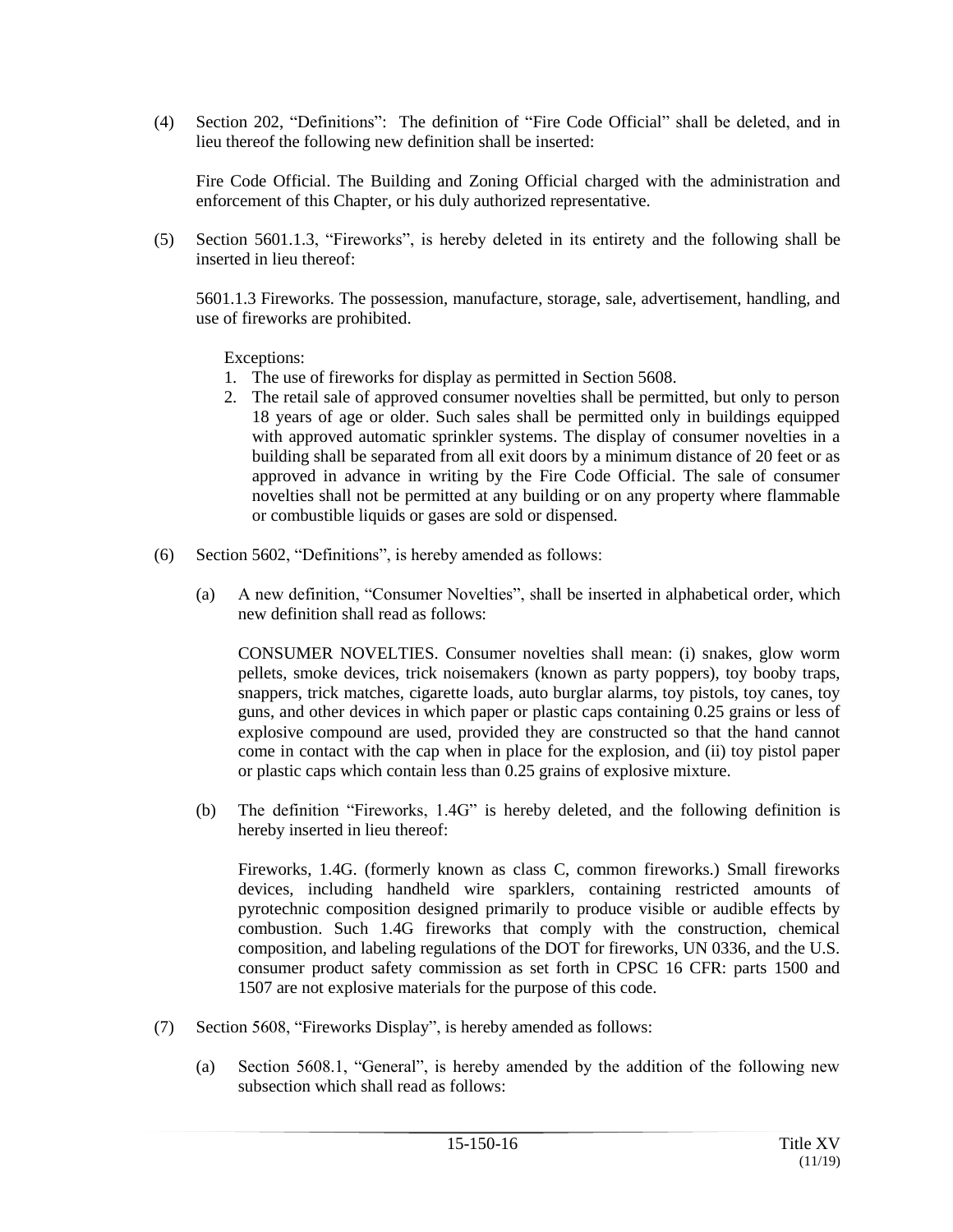(4) Section 202, "Definitions": The definition of "Fire Code Official" shall be deleted, and in lieu thereof the following new definition shall be inserted:

Fire Code Official. The Building and Zoning Official charged with the administration and enforcement of this Chapter, or his duly authorized representative.

(5) Section 5601.1.3, "Fireworks", is hereby deleted in its entirety and the following shall be inserted in lieu thereof:

5601.1.3 Fireworks. The possession, manufacture, storage, sale, advertisement, handling, and use of fireworks are prohibited.

Exceptions:

- 1. The use of fireworks for display as permitted in Section 5608.
- 2. The retail sale of approved consumer novelties shall be permitted, but only to person 18 years of age or older. Such sales shall be permitted only in buildings equipped with approved automatic sprinkler systems. The display of consumer novelties in a building shall be separated from all exit doors by a minimum distance of 20 feet or as approved in advance in writing by the Fire Code Official. The sale of consumer novelties shall not be permitted at any building or on any property where flammable or combustible liquids or gases are sold or dispensed.
- (6) Section 5602, "Definitions", is hereby amended as follows:
	- (a) A new definition, "Consumer Novelties", shall be inserted in alphabetical order, which new definition shall read as follows:

CONSUMER NOVELTIES. Consumer novelties shall mean: (i) snakes, glow worm pellets, smoke devices, trick noisemakers (known as party poppers), toy booby traps, snappers, trick matches, cigarette loads, auto burglar alarms, toy pistols, toy canes, toy guns, and other devices in which paper or plastic caps containing 0.25 grains or less of explosive compound are used, provided they are constructed so that the hand cannot come in contact with the cap when in place for the explosion, and (ii) toy pistol paper or plastic caps which contain less than 0.25 grains of explosive mixture.

(b) The definition "Fireworks, 1.4G" is hereby deleted, and the following definition is hereby inserted in lieu thereof:

Fireworks, 1.4G. (formerly known as class C, common fireworks.) Small fireworks devices, including handheld wire sparklers, containing restricted amounts of pyrotechnic composition designed primarily to produce visible or audible effects by combustion. Such 1.4G fireworks that comply with the construction, chemical composition, and labeling regulations of the DOT for fireworks, UN 0336, and the U.S. consumer product safety commission as set forth in CPSC 16 CFR: parts 1500 and 1507 are not explosive materials for the purpose of this code.

- (7) Section 5608, "Fireworks Display", is hereby amended as follows:
	- (a) Section 5608.1, "General", is hereby amended by the addition of the following new subsection which shall read as follows: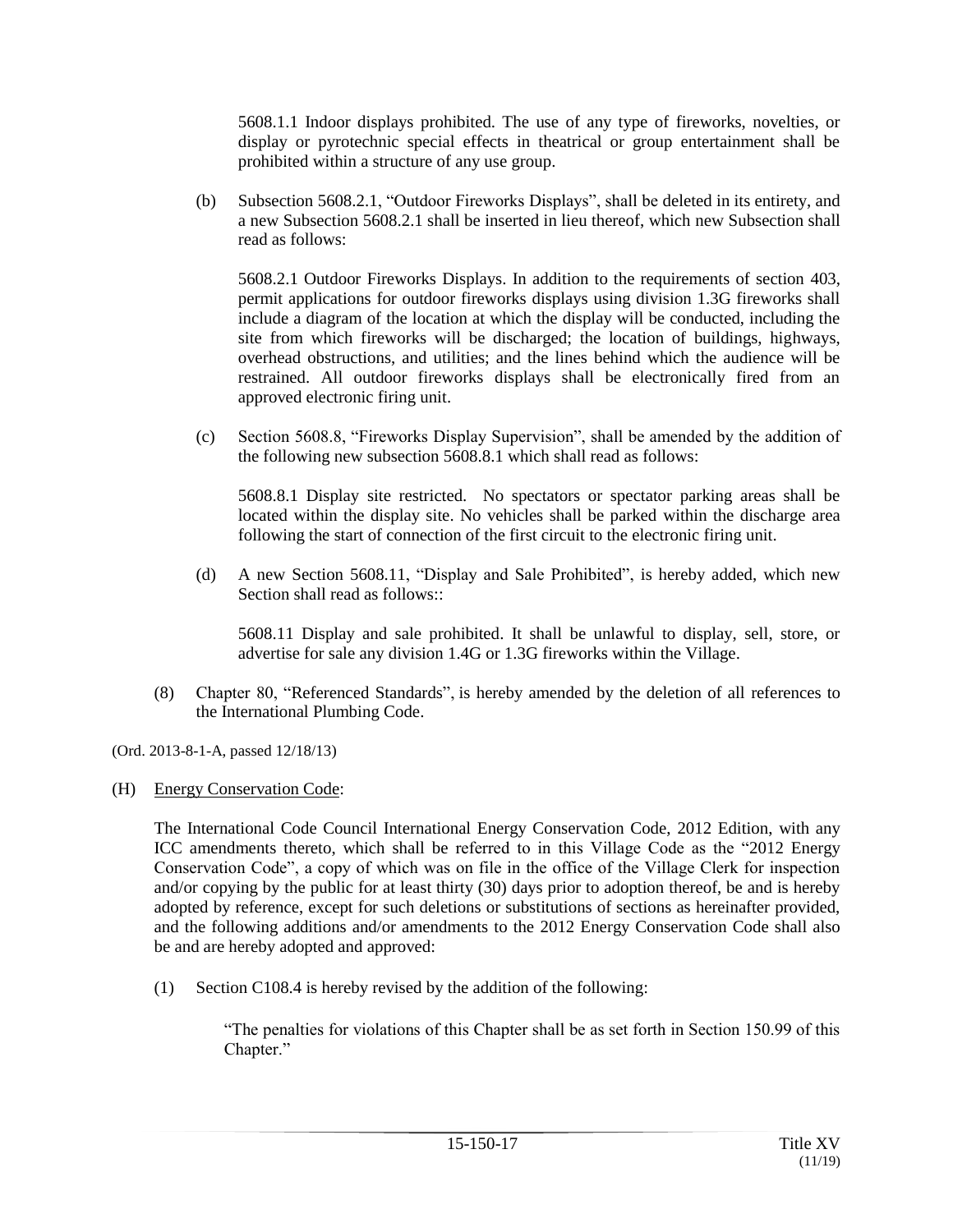5608.1.1 Indoor displays prohibited. The use of any type of fireworks, novelties, or display or pyrotechnic special effects in theatrical or group entertainment shall be prohibited within a structure of any use group.

(b) Subsection 5608.2.1, "Outdoor Fireworks Displays", shall be deleted in its entirety, and a new Subsection 5608.2.1 shall be inserted in lieu thereof, which new Subsection shall read as follows:

5608.2.1 Outdoor Fireworks Displays. In addition to the requirements of section 403, permit applications for outdoor fireworks displays using division 1.3G fireworks shall include a diagram of the location at which the display will be conducted, including the site from which fireworks will be discharged; the location of buildings, highways, overhead obstructions, and utilities; and the lines behind which the audience will be restrained. All outdoor fireworks displays shall be electronically fired from an approved electronic firing unit.

(c) Section 5608.8, "Fireworks Display Supervision", shall be amended by the addition of the following new subsection 5608.8.1 which shall read as follows:

5608.8.1 Display site restricted. No spectators or spectator parking areas shall be located within the display site. No vehicles shall be parked within the discharge area following the start of connection of the first circuit to the electronic firing unit.

(d) A new Section 5608.11, "Display and Sale Prohibited", is hereby added, which new Section shall read as follows::

5608.11 Display and sale prohibited. It shall be unlawful to display, sell, store, or advertise for sale any division 1.4G or 1.3G fireworks within the Village.

(8) Chapter 80, "Referenced Standards", is hereby amended by the deletion of all references to the International Plumbing Code.

(Ord. 2013-8-1-A, passed 12/18/13)

## (H) Energy Conservation Code:

The International Code Council International Energy Conservation Code, 2012 Edition, with any ICC amendments thereto, which shall be referred to in this Village Code as the "2012 Energy Conservation Code", a copy of which was on file in the office of the Village Clerk for inspection and/or copying by the public for at least thirty (30) days prior to adoption thereof, be and is hereby adopted by reference, except for such deletions or substitutions of sections as hereinafter provided, and the following additions and/or amendments to the 2012 Energy Conservation Code shall also be and are hereby adopted and approved:

(1) Section C108.4 is hereby revised by the addition of the following:

"The penalties for violations of this Chapter shall be as set forth in Section 150.99 of this Chapter."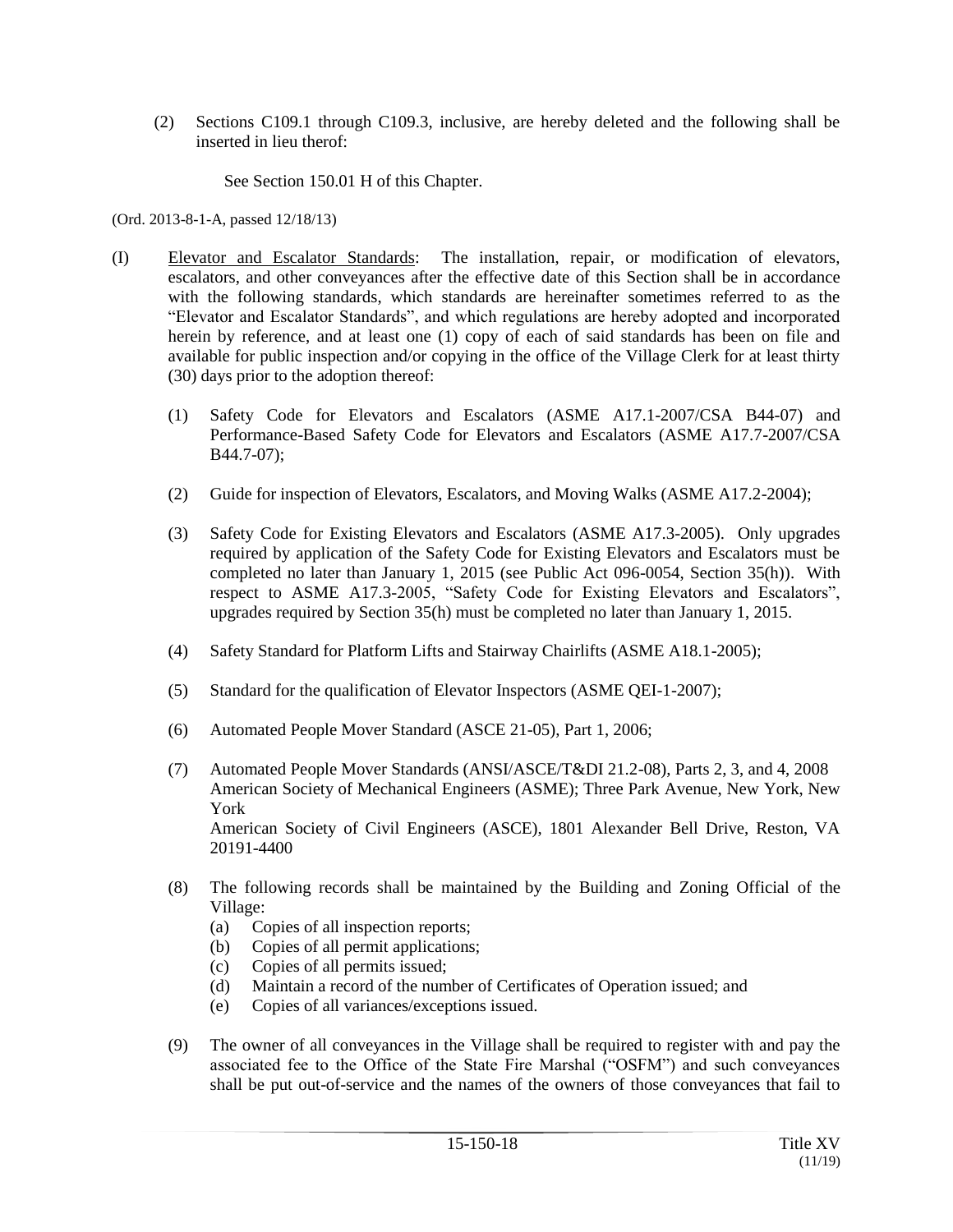(2) Sections C109.1 through C109.3, inclusive, are hereby deleted and the following shall be inserted in lieu therof:

See Section 150.01 H of this Chapter.

(Ord. 2013-8-1-A, passed 12/18/13)

- (I) Elevator and Escalator Standards: The installation, repair, or modification of elevators, escalators, and other conveyances after the effective date of this Section shall be in accordance with the following standards, which standards are hereinafter sometimes referred to as the "Elevator and Escalator Standards", and which regulations are hereby adopted and incorporated herein by reference, and at least one (1) copy of each of said standards has been on file and available for public inspection and/or copying in the office of the Village Clerk for at least thirty (30) days prior to the adoption thereof:
	- (1) Safety Code for Elevators and Escalators (ASME A17.1-2007/CSA B44-07) and Performance-Based Safety Code for Elevators and Escalators (ASME A17.7-2007/CSA B44.7-07);
	- (2) Guide for inspection of Elevators, Escalators, and Moving Walks (ASME A17.2-2004);
	- (3) Safety Code for Existing Elevators and Escalators (ASME A17.3-2005). Only upgrades required by application of the Safety Code for Existing Elevators and Escalators must be completed no later than January 1, 2015 (see Public Act 096-0054, Section 35(h)). With respect to ASME A17.3-2005, "Safety Code for Existing Elevators and Escalators", upgrades required by Section 35(h) must be completed no later than January 1, 2015.
	- (4) Safety Standard for Platform Lifts and Stairway Chairlifts (ASME A18.1-2005);
	- (5) Standard for the qualification of Elevator Inspectors (ASME QEI-1-2007);
	- (6) Automated People Mover Standard (ASCE 21-05), Part 1, 2006;
	- (7) Automated People Mover Standards (ANSI/ASCE/T&DI 21.2-08), Parts 2, 3, and 4, 2008 American Society of Mechanical Engineers (ASME); Three Park Avenue, New York, New York American Society of Civil Engineers (ASCE), 1801 Alexander Bell Drive, Reston, VA 20191-4400
	- (8) The following records shall be maintained by the Building and Zoning Official of the Village:
		- (a) Copies of all inspection reports;
		- (b) Copies of all permit applications;
		- (c) Copies of all permits issued;
		- (d) Maintain a record of the number of Certificates of Operation issued; and
		- (e) Copies of all variances/exceptions issued.
	- (9) The owner of all conveyances in the Village shall be required to register with and pay the associated fee to the Office of the State Fire Marshal ("OSFM") and such conveyances shall be put out-of-service and the names of the owners of those conveyances that fail to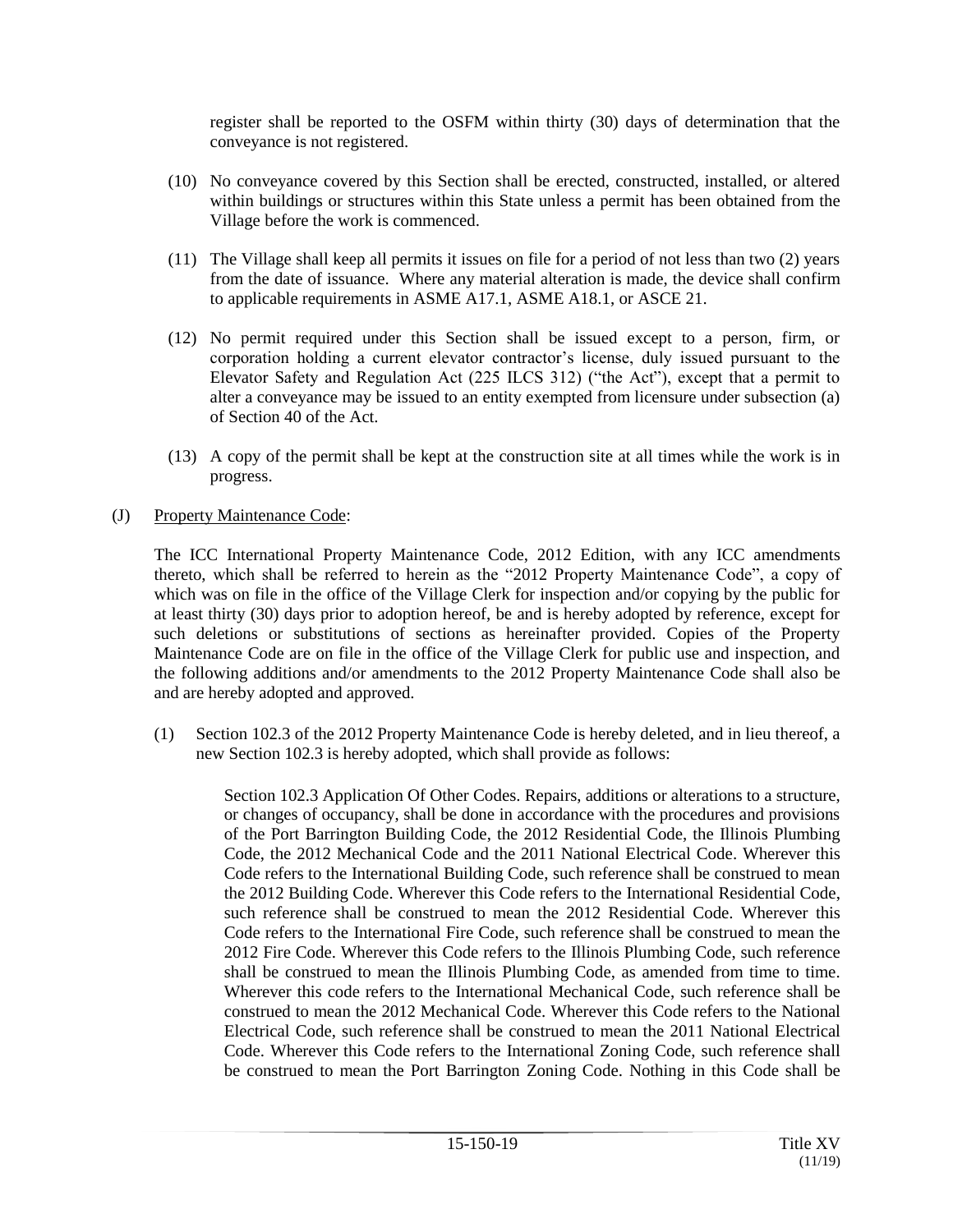register shall be reported to the OSFM within thirty (30) days of determination that the conveyance is not registered.

- (10) No conveyance covered by this Section shall be erected, constructed, installed, or altered within buildings or structures within this State unless a permit has been obtained from the Village before the work is commenced.
- (11) The Village shall keep all permits it issues on file for a period of not less than two (2) years from the date of issuance. Where any material alteration is made, the device shall confirm to applicable requirements in ASME A17.1, ASME A18.1, or ASCE 21.
- (12) No permit required under this Section shall be issued except to a person, firm, or corporation holding a current elevator contractor's license, duly issued pursuant to the Elevator Safety and Regulation Act (225 ILCS 312) ("the Act"), except that a permit to alter a conveyance may be issued to an entity exempted from licensure under subsection (a) of Section 40 of the Act.
- (13) A copy of the permit shall be kept at the construction site at all times while the work is in progress.

## (J) Property Maintenance Code:

The ICC International Property Maintenance Code, 2012 Edition, with any ICC amendments thereto, which shall be referred to herein as the "2012 Property Maintenance Code", a copy of which was on file in the office of the Village Clerk for inspection and/or copying by the public for at least thirty (30) days prior to adoption hereof, be and is hereby adopted by reference, except for such deletions or substitutions of sections as hereinafter provided. Copies of the Property Maintenance Code are on file in the office of the Village Clerk for public use and inspection, and the following additions and/or amendments to the 2012 Property Maintenance Code shall also be and are hereby adopted and approved.

(1) Section 102.3 of the 2012 Property Maintenance Code is hereby deleted, and in lieu thereof, a new Section 102.3 is hereby adopted, which shall provide as follows:

> Section 102.3 Application Of Other Codes. Repairs, additions or alterations to a structure, or changes of occupancy, shall be done in accordance with the procedures and provisions of the Port Barrington Building Code, the 2012 Residential Code, the Illinois Plumbing Code, the 2012 Mechanical Code and the 2011 National Electrical Code. Wherever this Code refers to the International Building Code, such reference shall be construed to mean the 2012 Building Code. Wherever this Code refers to the International Residential Code, such reference shall be construed to mean the 2012 Residential Code. Wherever this Code refers to the International Fire Code, such reference shall be construed to mean the 2012 Fire Code. Wherever this Code refers to the Illinois Plumbing Code, such reference shall be construed to mean the Illinois Plumbing Code, as amended from time to time. Wherever this code refers to the International Mechanical Code, such reference shall be construed to mean the 2012 Mechanical Code. Wherever this Code refers to the National Electrical Code, such reference shall be construed to mean the 2011 National Electrical Code. Wherever this Code refers to the International Zoning Code, such reference shall be construed to mean the Port Barrington Zoning Code. Nothing in this Code shall be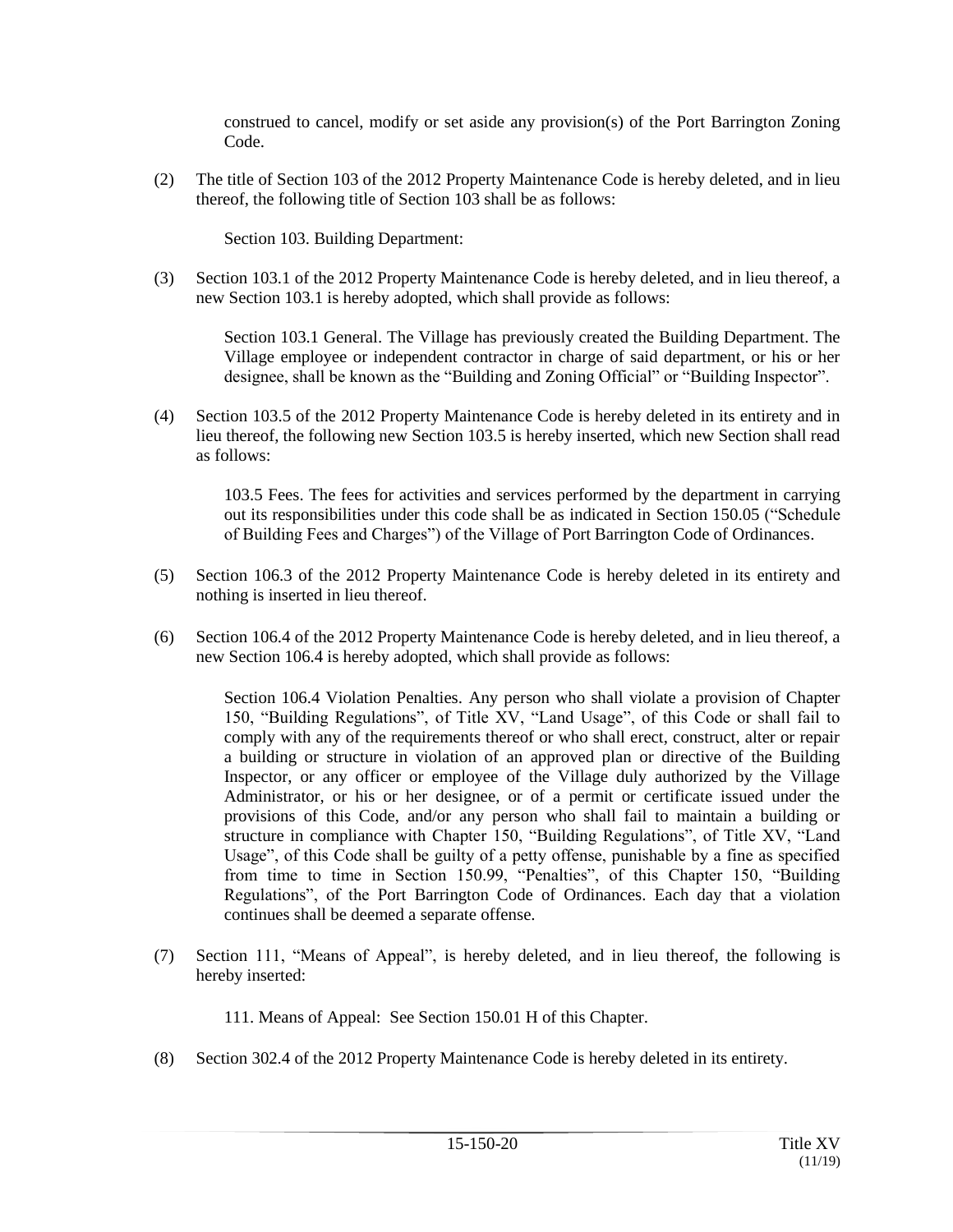construed to cancel, modify or set aside any provision(s) of the Port Barrington Zoning Code.

(2) The title of Section 103 of the 2012 Property Maintenance Code is hereby deleted, and in lieu thereof, the following title of Section 103 shall be as follows:

Section 103. Building Department:

(3) Section 103.1 of the 2012 Property Maintenance Code is hereby deleted, and in lieu thereof, a new Section 103.1 is hereby adopted, which shall provide as follows:

> Section 103.1 General. The Village has previously created the Building Department. The Village employee or independent contractor in charge of said department, or his or her designee, shall be known as the "Building and Zoning Official" or "Building Inspector".

(4) Section 103.5 of the 2012 Property Maintenance Code is hereby deleted in its entirety and in lieu thereof, the following new Section 103.5 is hereby inserted, which new Section shall read as follows:

> 103.5 Fees. The fees for activities and services performed by the department in carrying out its responsibilities under this code shall be as indicated in Section 150.05 ("Schedule of Building Fees and Charges") of the Village of Port Barrington Code of Ordinances.

- (5) Section 106.3 of the 2012 Property Maintenance Code is hereby deleted in its entirety and nothing is inserted in lieu thereof.
- (6) Section 106.4 of the 2012 Property Maintenance Code is hereby deleted, and in lieu thereof, a new Section 106.4 is hereby adopted, which shall provide as follows:

Section 106.4 Violation Penalties. Any person who shall violate a provision of Chapter 150, "Building Regulations", of Title XV, "Land Usage", of this Code or shall fail to comply with any of the requirements thereof or who shall erect, construct, alter or repair a building or structure in violation of an approved plan or directive of the Building Inspector, or any officer or employee of the Village duly authorized by the Village Administrator, or his or her designee, or of a permit or certificate issued under the provisions of this Code, and/or any person who shall fail to maintain a building or structure in compliance with Chapter 150, "Building Regulations", of Title XV, "Land Usage", of this Code shall be guilty of a petty offense, punishable by a fine as specified from time to time in Section 150.99, "Penalties", of this Chapter 150, "Building Regulations", of the Port Barrington Code of Ordinances. Each day that a violation continues shall be deemed a separate offense.

(7) Section 111, "Means of Appeal", is hereby deleted, and in lieu thereof, the following is hereby inserted:

111. Means of Appeal: See Section 150.01 H of this Chapter.

(8) Section 302.4 of the 2012 Property Maintenance Code is hereby deleted in its entirety.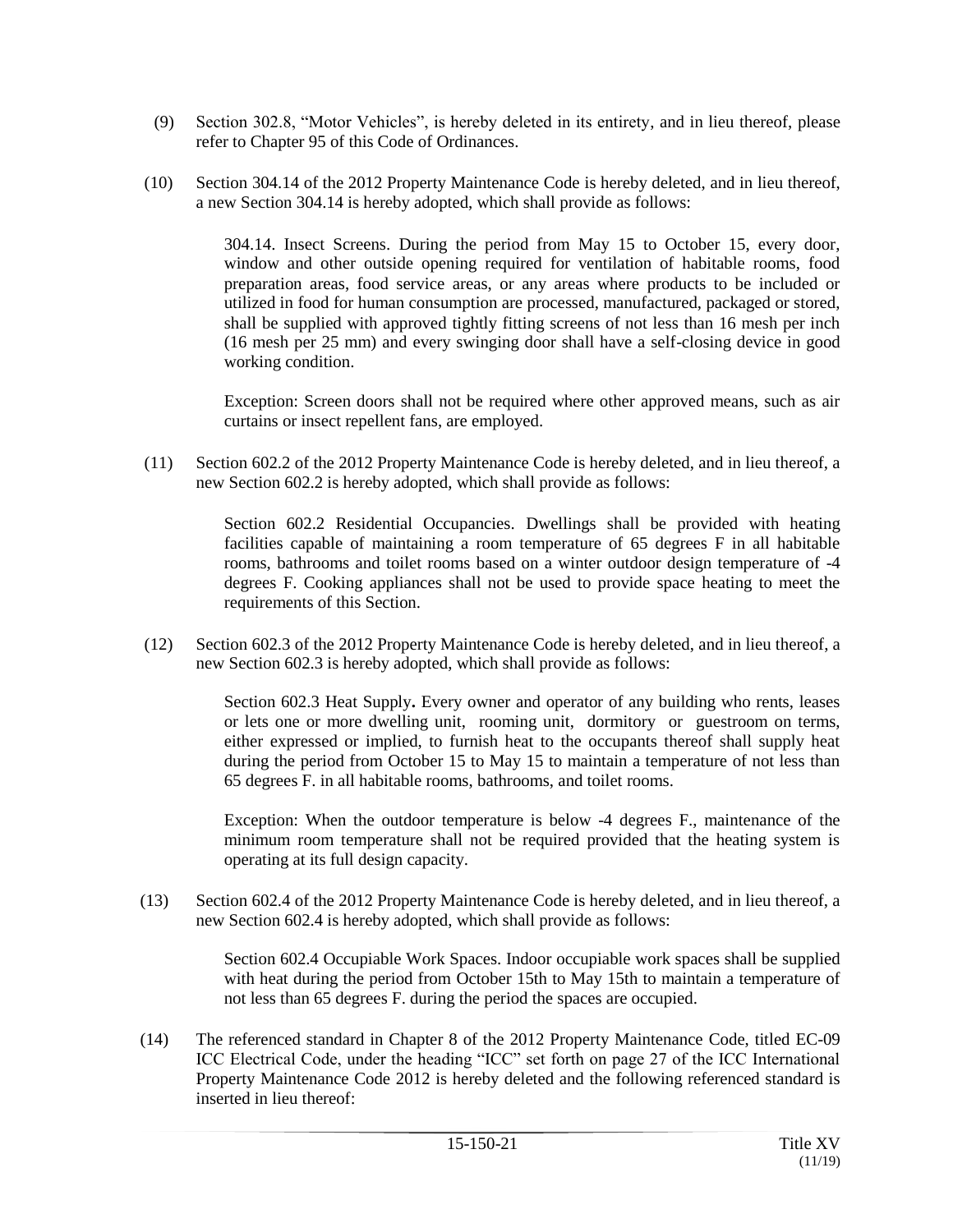- (9) Section 302.8, "Motor Vehicles", is hereby deleted in its entirety, and in lieu thereof, please refer to Chapter 95 of this Code of Ordinances.
- (10) Section 304.14 of the 2012 Property Maintenance Code is hereby deleted, and in lieu thereof, a new Section 304.14 is hereby adopted, which shall provide as follows:

304.14. Insect Screens. During the period from May 15 to October 15, every door, window and other outside opening required for ventilation of habitable rooms, food preparation areas, food service areas, or any areas where products to be included or utilized in food for human consumption are processed, manufactured, packaged or stored, shall be supplied with approved tightly fitting screens of not less than 16 mesh per inch (16 mesh per 25 mm) and every swinging door shall have a self-closing device in good working condition.

Exception: Screen doors shall not be required where other approved means, such as air curtains or insect repellent fans, are employed.

(11) Section 602.2 of the 2012 Property Maintenance Code is hereby deleted, and in lieu thereof, a new Section 602.2 is hereby adopted, which shall provide as follows:

> Section 602.2 Residential Occupancies. Dwellings shall be provided with heating facilities capable of maintaining a room temperature of 65 degrees F in all habitable rooms, bathrooms and toilet rooms based on a winter outdoor design temperature of -4 degrees F. Cooking appliances shall not be used to provide space heating to meet the requirements of this Section.

(12) Section 602.3 of the 2012 Property Maintenance Code is hereby deleted, and in lieu thereof, a new Section 602.3 is hereby adopted, which shall provide as follows:

> Section 602.3 Heat Supply**.** Every owner and operator of any building who rents, leases or lets one or more dwelling unit, rooming unit, dormitory or guestroom on terms, either expressed or implied, to furnish heat to the occupants thereof shall supply heat during the period from October 15 to May 15 to maintain a temperature of not less than 65 degrees F. in all habitable rooms, bathrooms, and toilet rooms.

> Exception: When the outdoor temperature is below -4 degrees F., maintenance of the minimum room temperature shall not be required provided that the heating system is operating at its full design capacity.

(13) Section 602.4 of the 2012 Property Maintenance Code is hereby deleted, and in lieu thereof, a new Section 602.4 is hereby adopted, which shall provide as follows:

> Section 602.4 Occupiable Work Spaces. Indoor occupiable work spaces shall be supplied with heat during the period from October 15th to May 15th to maintain a temperature of not less than 65 degrees F. during the period the spaces are occupied.

(14) The referenced standard in Chapter 8 of the 2012 Property Maintenance Code, titled EC-09 ICC Electrical Code, under the heading "ICC" set forth on page 27 of the ICC International Property Maintenance Code 2012 is hereby deleted and the following referenced standard is inserted in lieu thereof: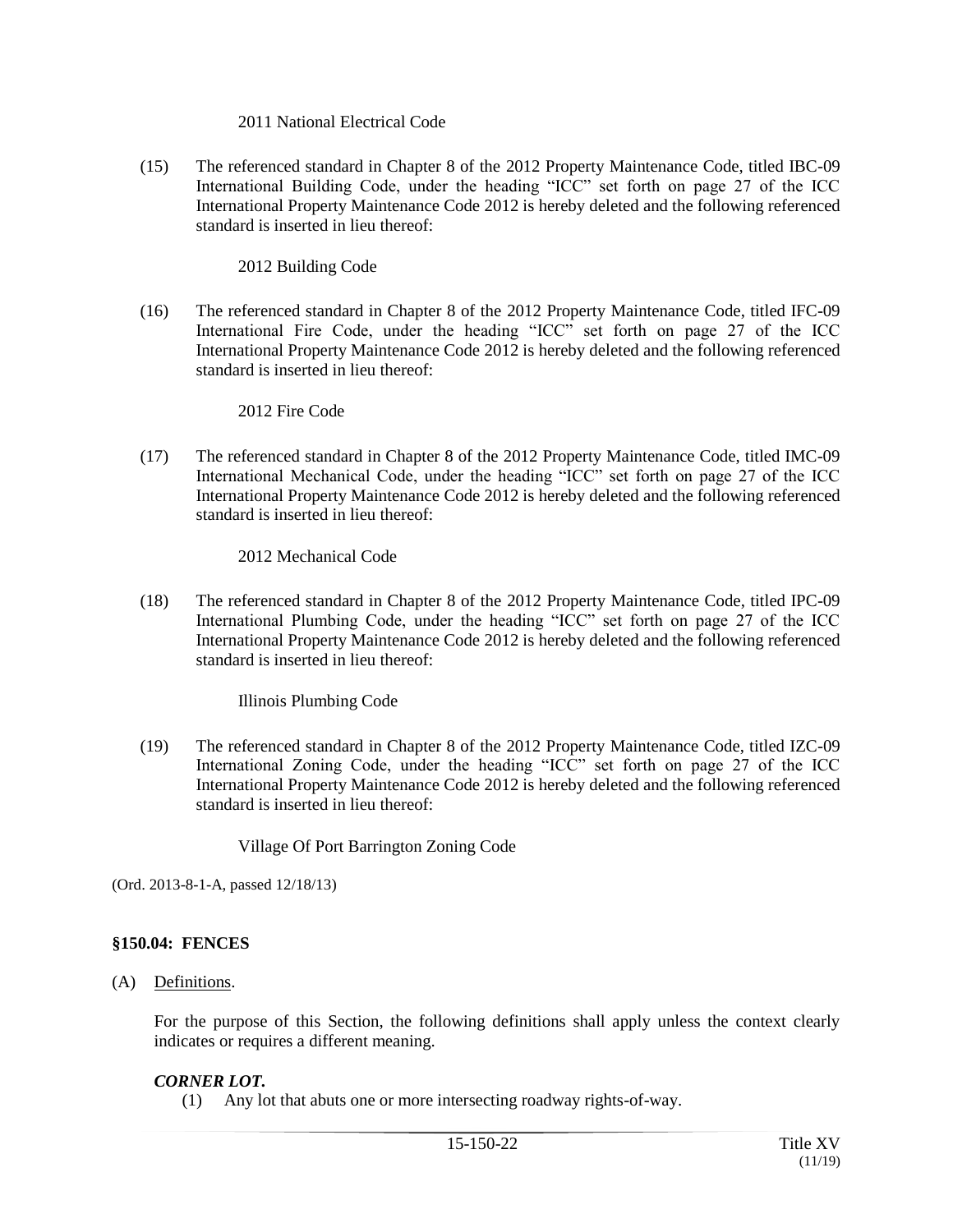#### 2011 National Electrical Code

(15) The referenced standard in Chapter 8 of the 2012 Property Maintenance Code, titled IBC-09 International Building Code, under the heading "ICC" set forth on page 27 of the ICC International Property Maintenance Code 2012 is hereby deleted and the following referenced standard is inserted in lieu thereof:

## 2012 Building Code

(16) The referenced standard in Chapter 8 of the 2012 Property Maintenance Code, titled IFC-09 International Fire Code, under the heading "ICC" set forth on page 27 of the ICC International Property Maintenance Code 2012 is hereby deleted and the following referenced standard is inserted in lieu thereof:

#### 2012 Fire Code

(17) The referenced standard in Chapter 8 of the 2012 Property Maintenance Code, titled IMC-09 International Mechanical Code, under the heading "ICC" set forth on page 27 of the ICC International Property Maintenance Code 2012 is hereby deleted and the following referenced standard is inserted in lieu thereof:

## 2012 Mechanical Code

(18) The referenced standard in Chapter 8 of the 2012 Property Maintenance Code, titled IPC-09 International Plumbing Code, under the heading "ICC" set forth on page 27 of the ICC International Property Maintenance Code 2012 is hereby deleted and the following referenced standard is inserted in lieu thereof:

## Illinois Plumbing Code

(19) The referenced standard in Chapter 8 of the 2012 Property Maintenance Code, titled IZC-09 International Zoning Code, under the heading "ICC" set forth on page 27 of the ICC International Property Maintenance Code 2012 is hereby deleted and the following referenced standard is inserted in lieu thereof:

Village Of Port Barrington Zoning Code

(Ord. 2013-8-1-A, passed 12/18/13)

## **§150.04: FENCES**

## (A) Definitions.

For the purpose of this Section, the following definitions shall apply unless the context clearly indicates or requires a different meaning.

## *CORNER LOT.*

(1) Any lot that abuts one or more intersecting roadway rights-of-way.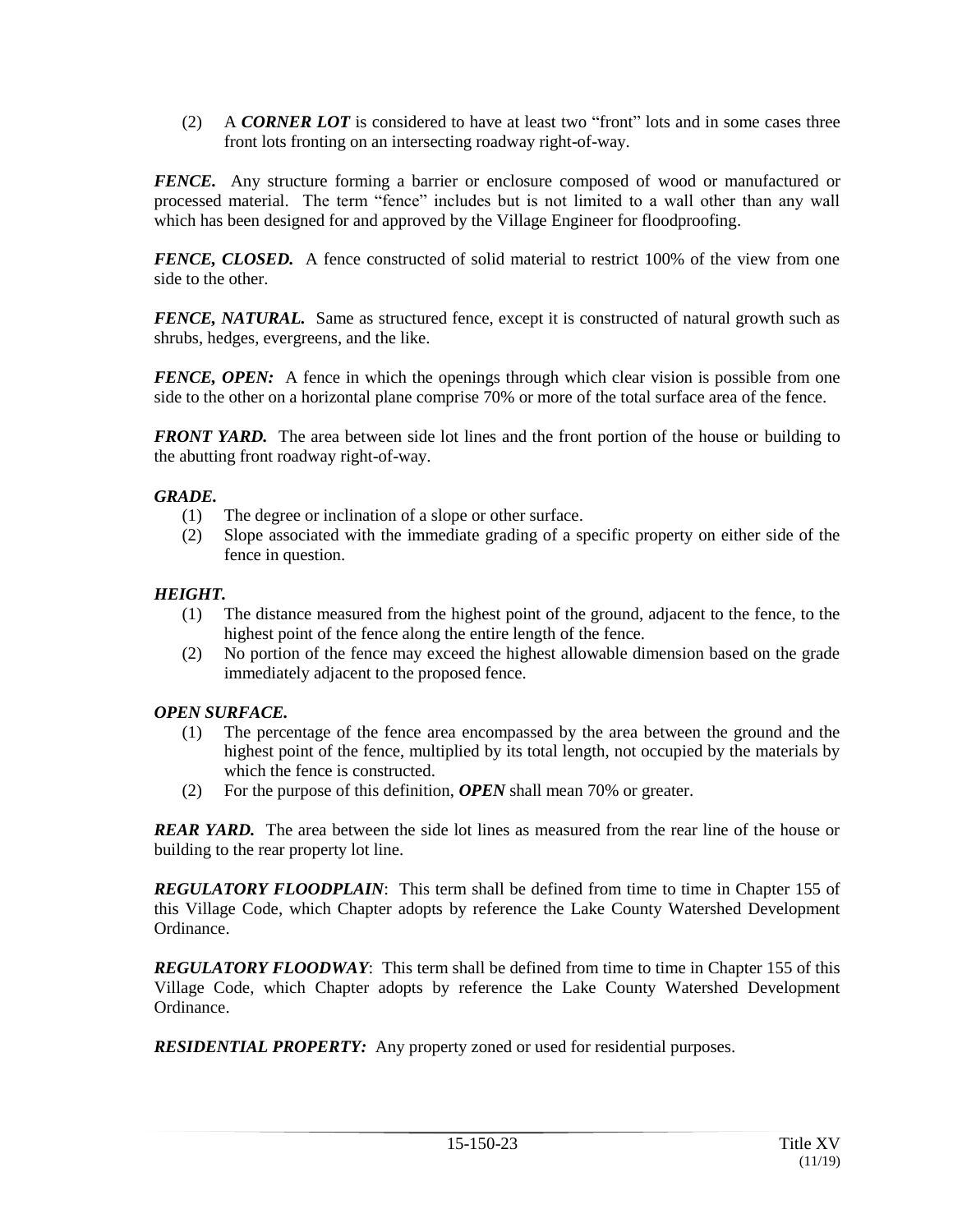(2) A *CORNER LOT* is considered to have at least two "front" lots and in some cases three front lots fronting on an intersecting roadway right-of-way.

*FENCE.* Any structure forming a barrier or enclosure composed of wood or manufactured or processed material. The term "fence" includes but is not limited to a wall other than any wall which has been designed for and approved by the Village Engineer for floodproofing.

*FENCE, CLOSED.* A fence constructed of solid material to restrict 100% of the view from one side to the other.

*FENCE, NATURAL.* Same as structured fence, except it is constructed of natural growth such as shrubs, hedges, evergreens, and the like.

*FENCE, OPEN:* A fence in which the openings through which clear vision is possible from one side to the other on a horizontal plane comprise 70% or more of the total surface area of the fence.

*FRONT YARD.* The area between side lot lines and the front portion of the house or building to the abutting front roadway right-of-way.

## *GRADE.*

- (1) The degree or inclination of a slope or other surface.
- (2) Slope associated with the immediate grading of a specific property on either side of the fence in question.

#### *HEIGHT.*

- (1) The distance measured from the highest point of the ground, adjacent to the fence, to the highest point of the fence along the entire length of the fence.
- (2) No portion of the fence may exceed the highest allowable dimension based on the grade immediately adjacent to the proposed fence.

## *OPEN SURFACE.*

- (1) The percentage of the fence area encompassed by the area between the ground and the highest point of the fence, multiplied by its total length, not occupied by the materials by which the fence is constructed.
- (2) For the purpose of this definition, *OPEN* shall mean 70% or greater.

*REAR YARD.* The area between the side lot lines as measured from the rear line of the house or building to the rear property lot line.

*REGULATORY FLOODPLAIN*: This term shall be defined from time to time in Chapter 155 of this Village Code, which Chapter adopts by reference the Lake County Watershed Development Ordinance.

*REGULATORY FLOODWAY*: This term shall be defined from time to time in Chapter 155 of this Village Code, which Chapter adopts by reference the Lake County Watershed Development Ordinance.

*RESIDENTIAL PROPERTY:* Any property zoned or used for residential purposes.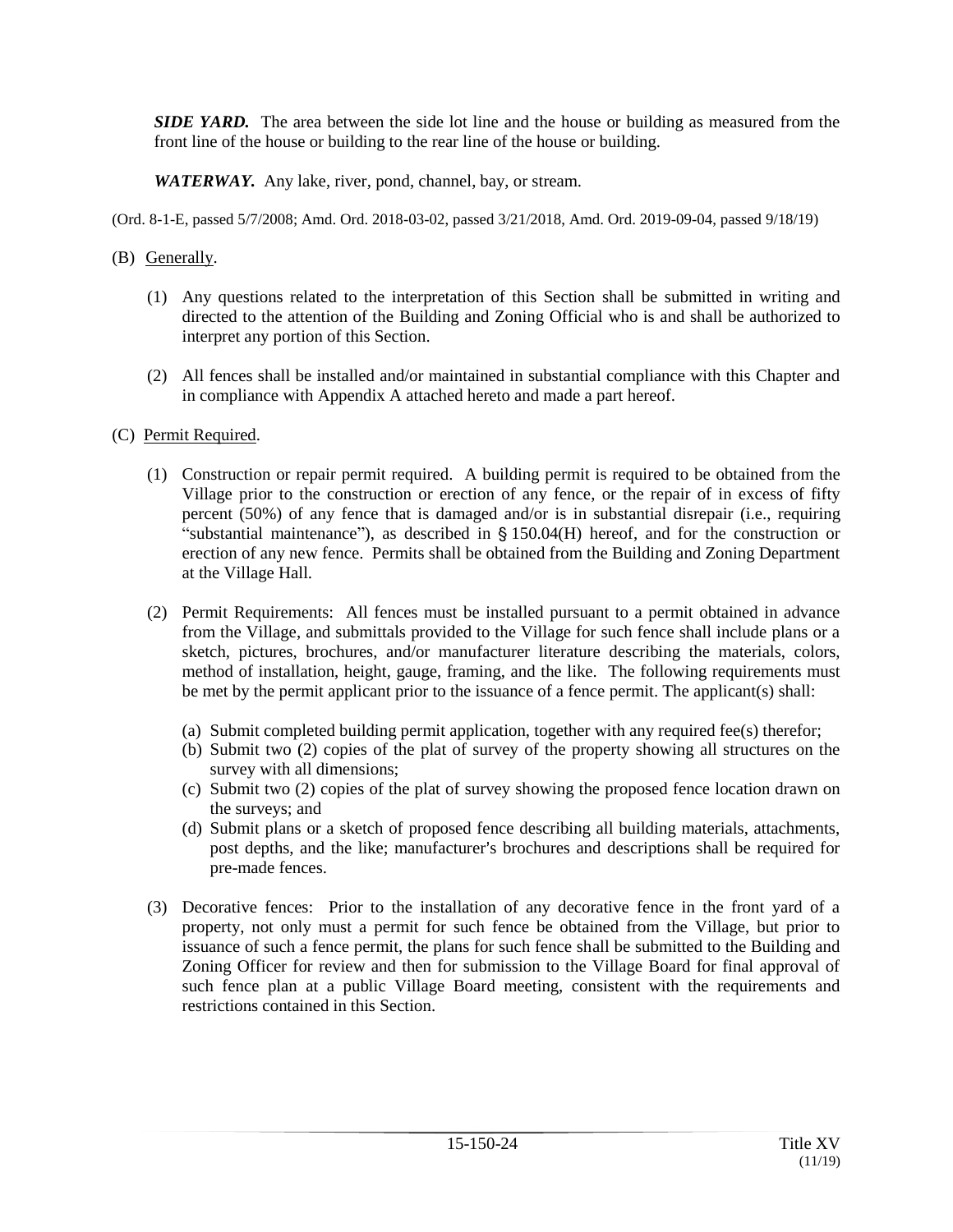*SIDE YARD.* The area between the side lot line and the house or building as measured from the front line of the house or building to the rear line of the house or building.

*WATERWAY.* Any lake, river, pond, channel, bay, or stream.

(Ord. 8-1-E, passed 5/7/2008; Amd. Ord. 2018-03-02, passed 3/21/2018, Amd. Ord. 2019-09-04, passed 9/18/19)

- (B) Generally.
	- (1) Any questions related to the interpretation of this Section shall be submitted in writing and directed to the attention of the Building and Zoning Official who is and shall be authorized to interpret any portion of this Section.
	- (2) All fences shall be installed and/or maintained in substantial compliance with this Chapter and in compliance with Appendix A attached hereto and made a part hereof.
- (C) Permit Required.
	- (1) Construction or repair permit required. A building permit is required to be obtained from the Village prior to the construction or erection of any fence, or the repair of in excess of fifty percent (50%) of any fence that is damaged and/or is in substantial disrepair (i.e., requiring "substantial maintenance"), as described in  $\S$  150.04(H) hereof, and for the construction or erection of any new fence. Permits shall be obtained from the Building and Zoning Department at the Village Hall.
	- (2) Permit Requirements: All fences must be installed pursuant to a permit obtained in advance from the Village, and submittals provided to the Village for such fence shall include plans or a sketch, pictures, brochures, and/or manufacturer literature describing the materials, colors, method of installation, height, gauge, framing, and the like. The following requirements must be met by the permit applicant prior to the issuance of a fence permit. The applicant(s) shall:
		- (a) Submit completed building permit application, together with any required fee(s) therefor;
		- (b) Submit two (2) copies of the plat of survey of the property showing all structures on the survey with all dimensions;
		- (c) Submit two (2) copies of the plat of survey showing the proposed fence location drawn on the surveys; and
		- (d) Submit plans or a sketch of proposed fence describing all building materials, attachments, post depths, and the like; manufacturer's brochures and descriptions shall be required for pre-made fences.
	- (3) Decorative fences: Prior to the installation of any decorative fence in the front yard of a property, not only must a permit for such fence be obtained from the Village, but prior to issuance of such a fence permit, the plans for such fence shall be submitted to the Building and Zoning Officer for review and then for submission to the Village Board for final approval of such fence plan at a public Village Board meeting, consistent with the requirements and restrictions contained in this Section.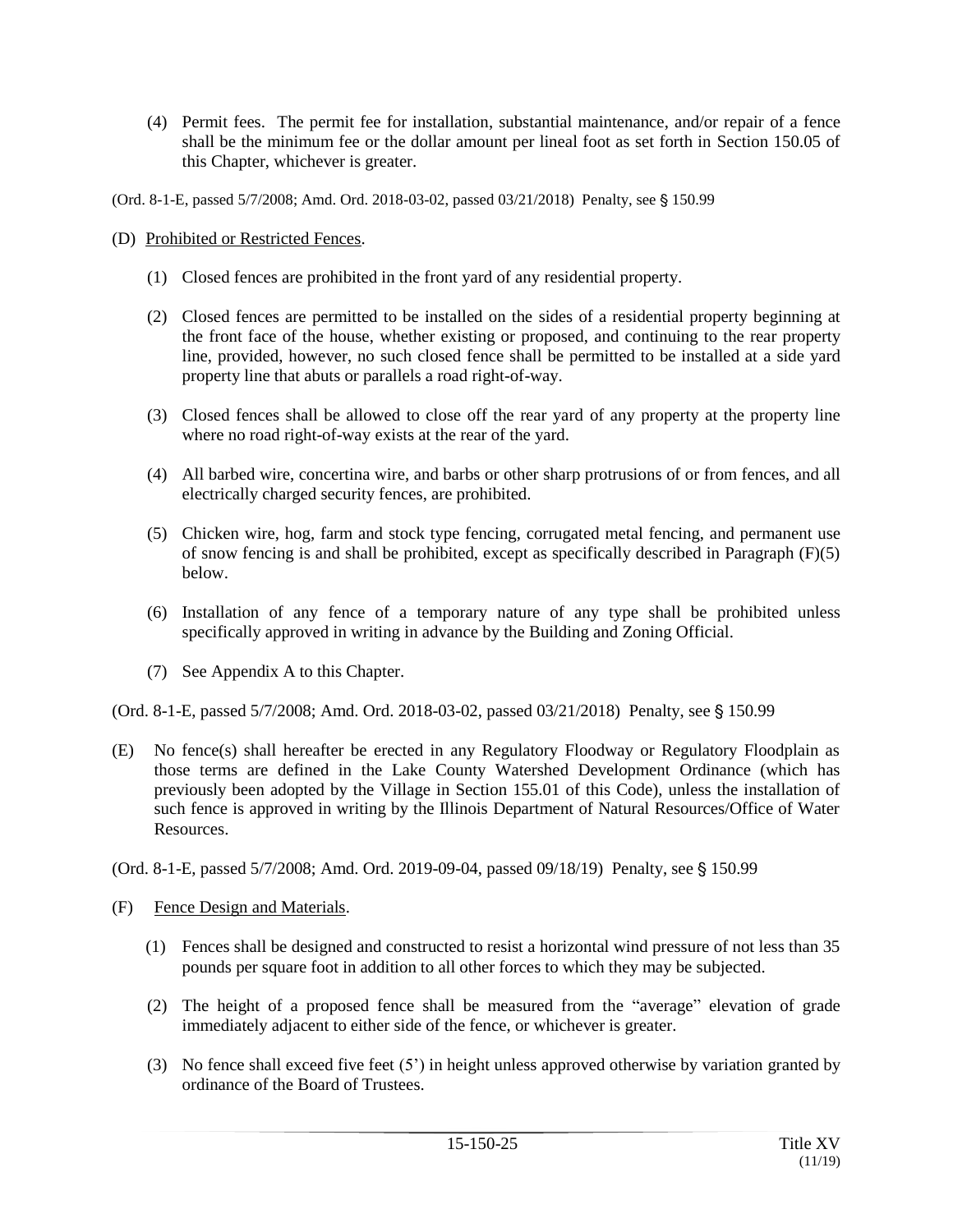- (4) Permit fees. The permit fee for installation, substantial maintenance, and/or repair of a fence shall be the minimum fee or the dollar amount per lineal foot as set forth in Section 150.05 of this Chapter, whichever is greater.
- (Ord. 8-1-E, passed 5/7/2008; Amd. Ord. 2018-03-02, passed 03/21/2018) Penalty, see § 150.99
- (D) Prohibited or Restricted Fences.
	- (1) Closed fences are prohibited in the front yard of any residential property.
	- (2) Closed fences are permitted to be installed on the sides of a residential property beginning at the front face of the house, whether existing or proposed, and continuing to the rear property line, provided, however, no such closed fence shall be permitted to be installed at a side yard property line that abuts or parallels a road right-of-way.
	- (3) Closed fences shall be allowed to close off the rear yard of any property at the property line where no road right-of-way exists at the rear of the yard.
	- (4) All barbed wire, concertina wire, and barbs or other sharp protrusions of or from fences, and all electrically charged security fences, are prohibited.
	- (5) Chicken wire, hog, farm and stock type fencing, corrugated metal fencing, and permanent use of snow fencing is and shall be prohibited, except as specifically described in Paragraph  $(F)(5)$ below.
	- (6) Installation of any fence of a temporary nature of any type shall be prohibited unless specifically approved in writing in advance by the Building and Zoning Official.
	- (7) See Appendix A to this Chapter.

(Ord. 8-1-E, passed 5/7/2008; Amd. Ord. 2018-03-02, passed 03/21/2018) Penalty, see § 150.99

- (E) No fence(s) shall hereafter be erected in any Regulatory Floodway or Regulatory Floodplain as those terms are defined in the Lake County Watershed Development Ordinance (which has previously been adopted by the Village in Section 155.01 of this Code), unless the installation of such fence is approved in writing by the Illinois Department of Natural Resources/Office of Water Resources.
- (Ord. 8-1-E, passed 5/7/2008; Amd. Ord. 2019-09-04, passed 09/18/19) Penalty, see § 150.99
- (F) Fence Design and Materials.
	- (1) Fences shall be designed and constructed to resist a horizontal wind pressure of not less than 35 pounds per square foot in addition to all other forces to which they may be subjected.
	- (2) The height of a proposed fence shall be measured from the "average" elevation of grade immediately adjacent to either side of the fence, or whichever is greater.
	- (3) No fence shall exceed five feet (5') in height unless approved otherwise by variation granted by ordinance of the Board of Trustees.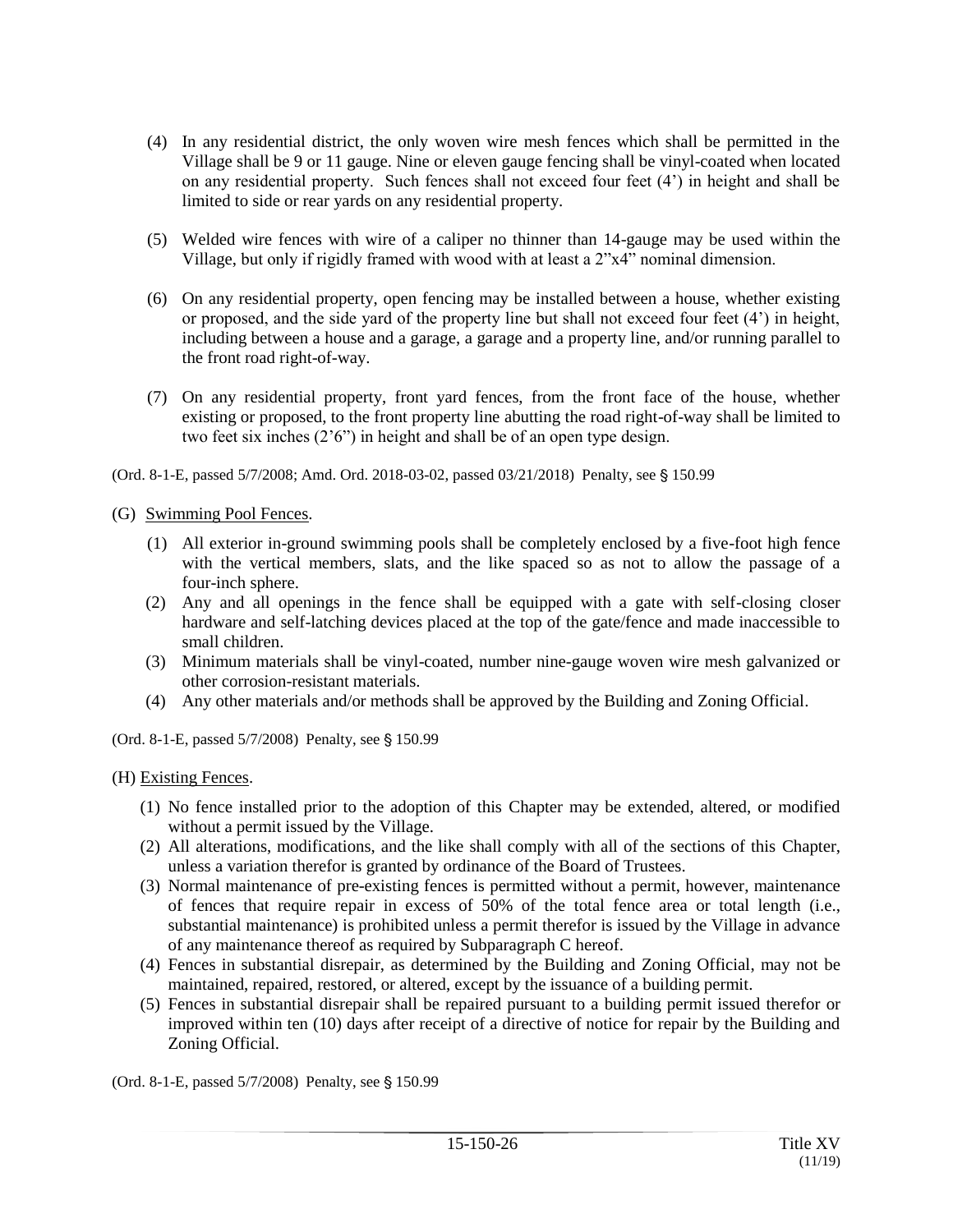- (4) In any residential district, the only woven wire mesh fences which shall be permitted in the Village shall be 9 or 11 gauge. Nine or eleven gauge fencing shall be vinyl-coated when located on any residential property. Such fences shall not exceed four feet (4') in height and shall be limited to side or rear yards on any residential property.
- (5) Welded wire fences with wire of a caliper no thinner than 14-gauge may be used within the Village, but only if rigidly framed with wood with at least a 2"x4" nominal dimension.
- (6) On any residential property, open fencing may be installed between a house, whether existing or proposed, and the side yard of the property line but shall not exceed four feet (4') in height, including between a house and a garage, a garage and a property line, and/or running parallel to the front road right-of-way.
- (7) On any residential property, front yard fences, from the front face of the house, whether existing or proposed, to the front property line abutting the road right-of-way shall be limited to two feet six inches (2'6") in height and shall be of an open type design.

(Ord. 8-1-E, passed 5/7/2008; Amd. Ord. 2018-03-02, passed 03/21/2018) Penalty, see § 150.99

(G) Swimming Pool Fences.

- (1) All exterior in-ground swimming pools shall be completely enclosed by a five-foot high fence with the vertical members, slats, and the like spaced so as not to allow the passage of a four-inch sphere.
- (2) Any and all openings in the fence shall be equipped with a gate with self-closing closer hardware and self-latching devices placed at the top of the gate/fence and made inaccessible to small children.
- (3) Minimum materials shall be vinyl-coated, number nine-gauge woven wire mesh galvanized or other corrosion-resistant materials.
- (4) Any other materials and/or methods shall be approved by the Building and Zoning Official.

(Ord. 8-1-E, passed 5/7/2008) Penalty, see § 150.99

(H) Existing Fences.

- (1) No fence installed prior to the adoption of this Chapter may be extended, altered, or modified without a permit issued by the Village.
- (2) All alterations, modifications, and the like shall comply with all of the sections of this Chapter, unless a variation therefor is granted by ordinance of the Board of Trustees.
- (3) Normal maintenance of pre-existing fences is permitted without a permit, however, maintenance of fences that require repair in excess of 50% of the total fence area or total length (i.e., substantial maintenance) is prohibited unless a permit therefor is issued by the Village in advance of any maintenance thereof as required by Subparagraph C hereof.
- (4) Fences in substantial disrepair, as determined by the Building and Zoning Official, may not be maintained, repaired, restored, or altered, except by the issuance of a building permit.
- (5) Fences in substantial disrepair shall be repaired pursuant to a building permit issued therefor or improved within ten (10) days after receipt of a directive of notice for repair by the Building and Zoning Official.

(Ord. 8-1-E, passed  $5/7/2008$ ) Penalty, see § 150.99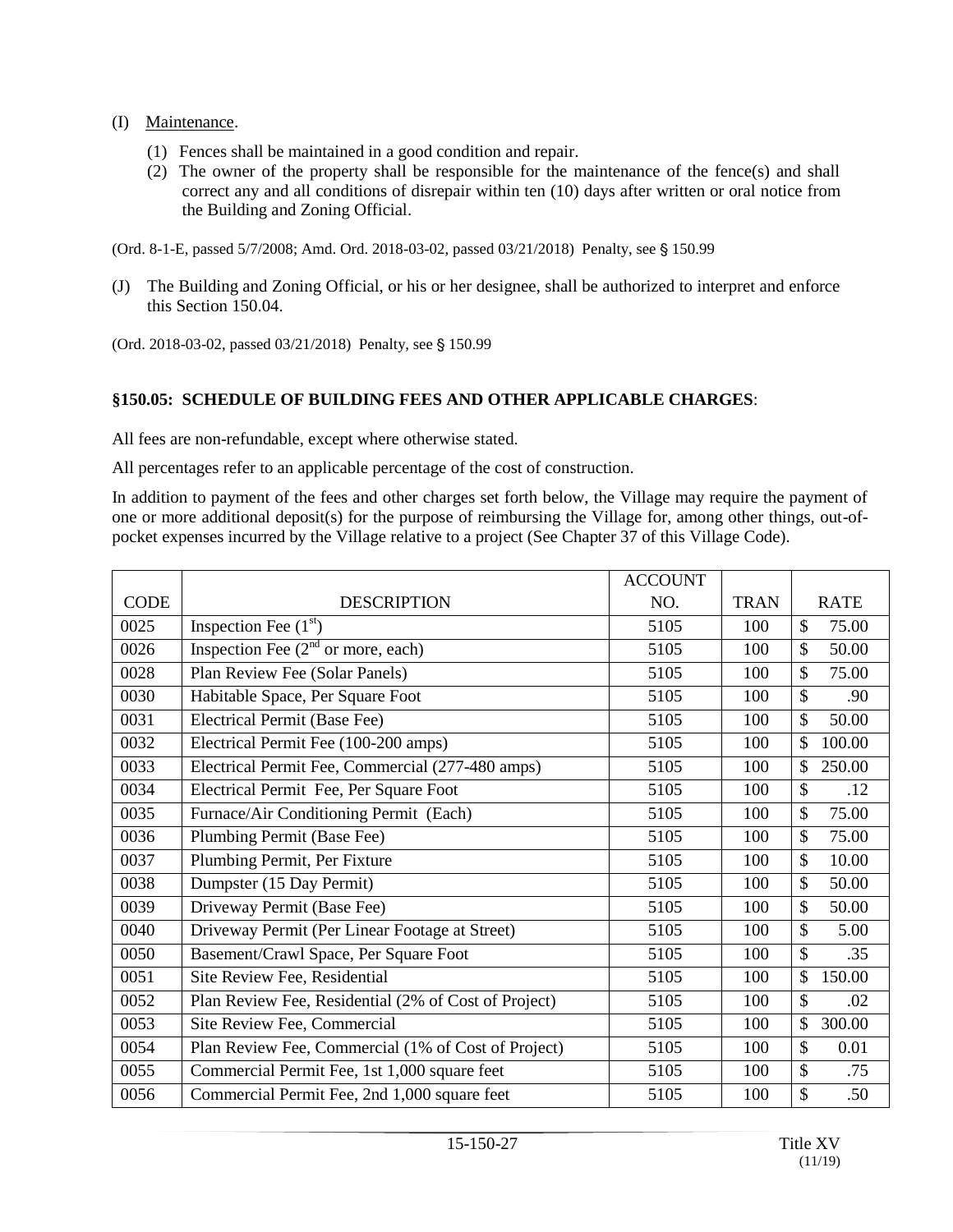- (I) Maintenance.
	- (1) Fences shall be maintained in a good condition and repair.
	- (2) The owner of the property shall be responsible for the maintenance of the fence(s) and shall correct any and all conditions of disrepair within ten (10) days after written or oral notice from the Building and Zoning Official.

(Ord. 8-1-E, passed 5/7/2008; Amd. Ord. 2018-03-02, passed 03/21/2018) Penalty, see § 150.99

(J) The Building and Zoning Official, or his or her designee, shall be authorized to interpret and enforce this Section 150.04.

(Ord. 2018-03-02, passed 03/21/2018) Penalty, see § 150.99

## **§150.05: SCHEDULE OF BUILDING FEES AND OTHER APPLICABLE CHARGES**:

All fees are non-refundable, except where otherwise stated.

All percentages refer to an applicable percentage of the cost of construction.

In addition to payment of the fees and other charges set forth below, the Village may require the payment of one or more additional deposit(s) for the purpose of reimbursing the Village for, among other things, out-ofpocket expenses incurred by the Village relative to a project (See Chapter 37 of this Village Code).

|             |                                                      | <b>ACCOUNT</b> |             |                        |
|-------------|------------------------------------------------------|----------------|-------------|------------------------|
| <b>CODE</b> | <b>DESCRIPTION</b>                                   | NO.            | <b>TRAN</b> | <b>RATE</b>            |
| 0025        | Inspection Fee $(1st)$                               | 5105           | 100         | $\mathcal{S}$<br>75.00 |
| 0026        | Inspection Fee $(2nd$ or more, each)                 | 5105           | 100         | $\mathcal{S}$<br>50.00 |
| 0028        | Plan Review Fee (Solar Panels)                       | 5105           | 100         | $\mathcal{S}$<br>75.00 |
| 0030        | Habitable Space, Per Square Foot                     | 5105           | 100         | $\mathcal{S}$<br>.90   |
| 0031        | Electrical Permit (Base Fee)                         | 5105           | 100         | \$<br>50.00            |
| 0032        | Electrical Permit Fee (100-200 amps)                 | 5105           | 100         | \$<br>100.00           |
| 0033        | Electrical Permit Fee, Commercial (277-480 amps)     | 5105           | 100         | 250.00<br>\$           |
| 0034        | Electrical Permit Fee, Per Square Foot               | 5105           | 100         | $\mathcal{S}$<br>.12   |
| 0035        | Furnace/Air Conditioning Permit (Each)               | 5105           | 100         | 75.00<br>\$            |
| 0036        | Plumbing Permit (Base Fee)                           | 5105           | 100         | \$<br>75.00            |
| 0037        | Plumbing Permit, Per Fixture                         | 5105           | 100         | $\mathcal{S}$<br>10.00 |
| 0038        | Dumpster (15 Day Permit)                             | 5105           | 100         | \$<br>50.00            |
| 0039        | Driveway Permit (Base Fee)                           | 5105           | 100         | \$<br>50.00            |
| 0040        | Driveway Permit (Per Linear Footage at Street)       | 5105           | 100         | \$<br>5.00             |
| 0050        | Basement/Crawl Space, Per Square Foot                | 5105           | 100         | $\mathcal{S}$<br>.35   |
| 0051        | Site Review Fee, Residential                         | 5105           | 100         | \$<br>150.00           |
| 0052        | Plan Review Fee, Residential (2% of Cost of Project) | 5105           | 100         | $\mathcal{S}$<br>.02   |
| 0053        | Site Review Fee, Commercial                          | 5105           | 100         | \$<br>300.00           |
| 0054        | Plan Review Fee, Commercial (1% of Cost of Project)  | 5105           | 100         | $\mathcal{S}$<br>0.01  |
| 0055        | Commercial Permit Fee, 1st 1,000 square feet         | 5105           | 100         | \$<br>.75              |
| 0056        | Commercial Permit Fee, 2nd 1,000 square feet         | 5105           | 100         | \$<br>.50              |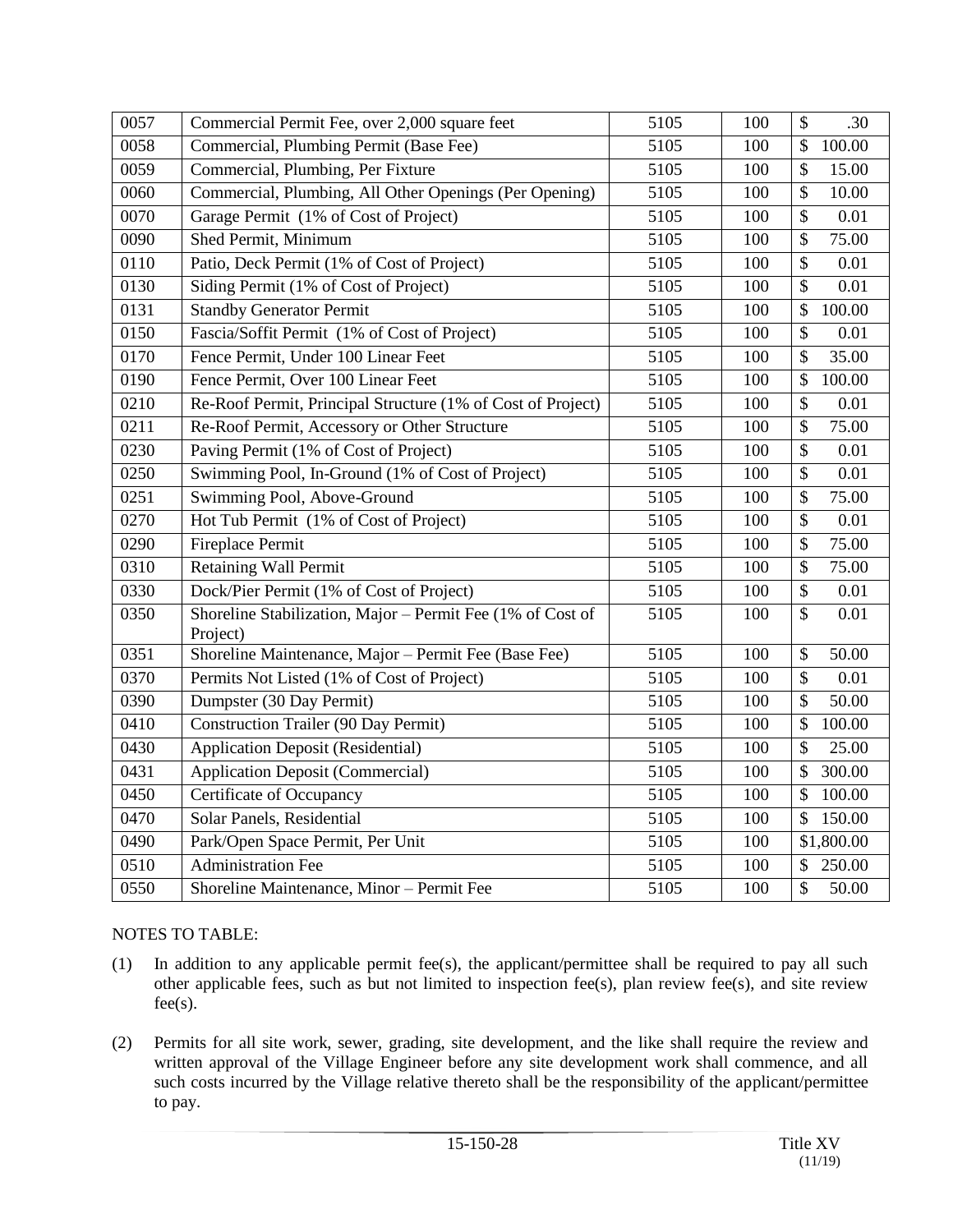| 0057 | Commercial Permit Fee, over 2,000 square feet                          | 5105 | 100 | $\mathcal{S}$<br>.30               |
|------|------------------------------------------------------------------------|------|-----|------------------------------------|
| 0058 | Commercial, Plumbing Permit (Base Fee)                                 | 5105 | 100 | 100.00<br>$\mathcal{S}$            |
| 0059 | Commercial, Plumbing, Per Fixture                                      | 5105 | 100 | $\mathcal{S}$<br>15.00             |
| 0060 | Commercial, Plumbing, All Other Openings (Per Opening)                 | 5105 | 100 | $\boldsymbol{\mathsf{S}}$<br>10.00 |
| 0070 | Garage Permit (1% of Cost of Project)                                  | 5105 | 100 | $\boldsymbol{\mathsf{S}}$<br>0.01  |
| 0090 | Shed Permit, Minimum                                                   | 5105 | 100 | $\mathcal{S}$<br>75.00             |
| 0110 | Patio, Deck Permit (1% of Cost of Project)                             | 5105 | 100 | $\boldsymbol{\mathsf{S}}$<br>0.01  |
| 0130 | Siding Permit (1% of Cost of Project)                                  | 5105 | 100 | $\mathcal{S}$<br>0.01              |
| 0131 | <b>Standby Generator Permit</b>                                        | 5105 | 100 | $\mathcal{S}$<br>100.00            |
| 0150 | Fascia/Soffit Permit (1% of Cost of Project)                           | 5105 | 100 | $\boldsymbol{\mathsf{S}}$<br>0.01  |
| 0170 | Fence Permit, Under 100 Linear Feet                                    | 5105 | 100 | 35.00<br>\$                        |
| 0190 | Fence Permit, Over 100 Linear Feet                                     | 5105 | 100 | $\mathcal{S}$<br>100.00            |
| 0210 | Re-Roof Permit, Principal Structure (1% of Cost of Project)            | 5105 | 100 | $\mathcal{S}$<br>0.01              |
| 0211 | Re-Roof Permit, Accessory or Other Structure                           | 5105 | 100 | $\boldsymbol{\mathsf{S}}$<br>75.00 |
| 0230 | Paving Permit (1% of Cost of Project)                                  | 5105 | 100 | $\mathcal{S}$<br>0.01              |
| 0250 | Swimming Pool, In-Ground (1% of Cost of Project)                       | 5105 | 100 | $\mathcal{S}$<br>0.01              |
| 0251 | Swimming Pool, Above-Ground                                            | 5105 | 100 | $\overline{\mathcal{S}}$<br>75.00  |
| 0270 | Hot Tub Permit (1% of Cost of Project)                                 | 5105 | 100 | $\overline{\$}$<br>0.01            |
| 0290 | Fireplace Permit                                                       | 5105 | 100 | \$<br>75.00                        |
| 0310 | <b>Retaining Wall Permit</b>                                           | 5105 | 100 | $\mathcal{S}$<br>75.00             |
| 0330 | Dock/Pier Permit (1% of Cost of Project)                               | 5105 | 100 | \$<br>$0.01\,$                     |
| 0350 | Shoreline Stabilization, Major - Permit Fee (1% of Cost of<br>Project) | 5105 | 100 | \$<br>0.01                         |
| 0351 | Shoreline Maintenance, Major - Permit Fee (Base Fee)                   | 5105 | 100 | 50.00<br>$\mathcal{S}$             |
| 0370 | Permits Not Listed (1% of Cost of Project)                             | 5105 | 100 | $\mathcal{S}$<br>0.01              |
| 0390 | Dumpster (30 Day Permit)                                               | 5105 | 100 | \$<br>50.00                        |
| 0410 | <b>Construction Trailer (90 Day Permit)</b>                            | 5105 | 100 | \$<br>100.00                       |
| 0430 | <b>Application Deposit (Residential)</b>                               | 5105 | 100 | $\mathcal{S}$<br>25.00             |
| 0431 | <b>Application Deposit (Commercial)</b>                                | 5105 | 100 | 300.00<br>$\mathcal{S}$            |
| 0450 | Certificate of Occupancy                                               | 5105 | 100 | $\mathcal{S}$<br>100.00            |
| 0470 | Solar Panels, Residential                                              | 5105 | 100 | 150.00<br>$\mathcal{S}$            |
| 0490 | Park/Open Space Permit, Per Unit                                       | 5105 | 100 | \$1,800.00                         |
| 0510 | <b>Administration Fee</b>                                              | 5105 | 100 | 250.00<br>\$                       |
| 0550 | Shoreline Maintenance, Minor - Permit Fee                              | 5105 | 100 | \$<br>50.00                        |

## NOTES TO TABLE:

- (1) In addition to any applicable permit fee(s), the applicant/permittee shall be required to pay all such other applicable fees, such as but not limited to inspection fee(s), plan review fee(s), and site review  $fee(s)$ .
- (2) Permits for all site work, sewer, grading, site development, and the like shall require the review and written approval of the Village Engineer before any site development work shall commence, and all such costs incurred by the Village relative thereto shall be the responsibility of the applicant/permittee to pay.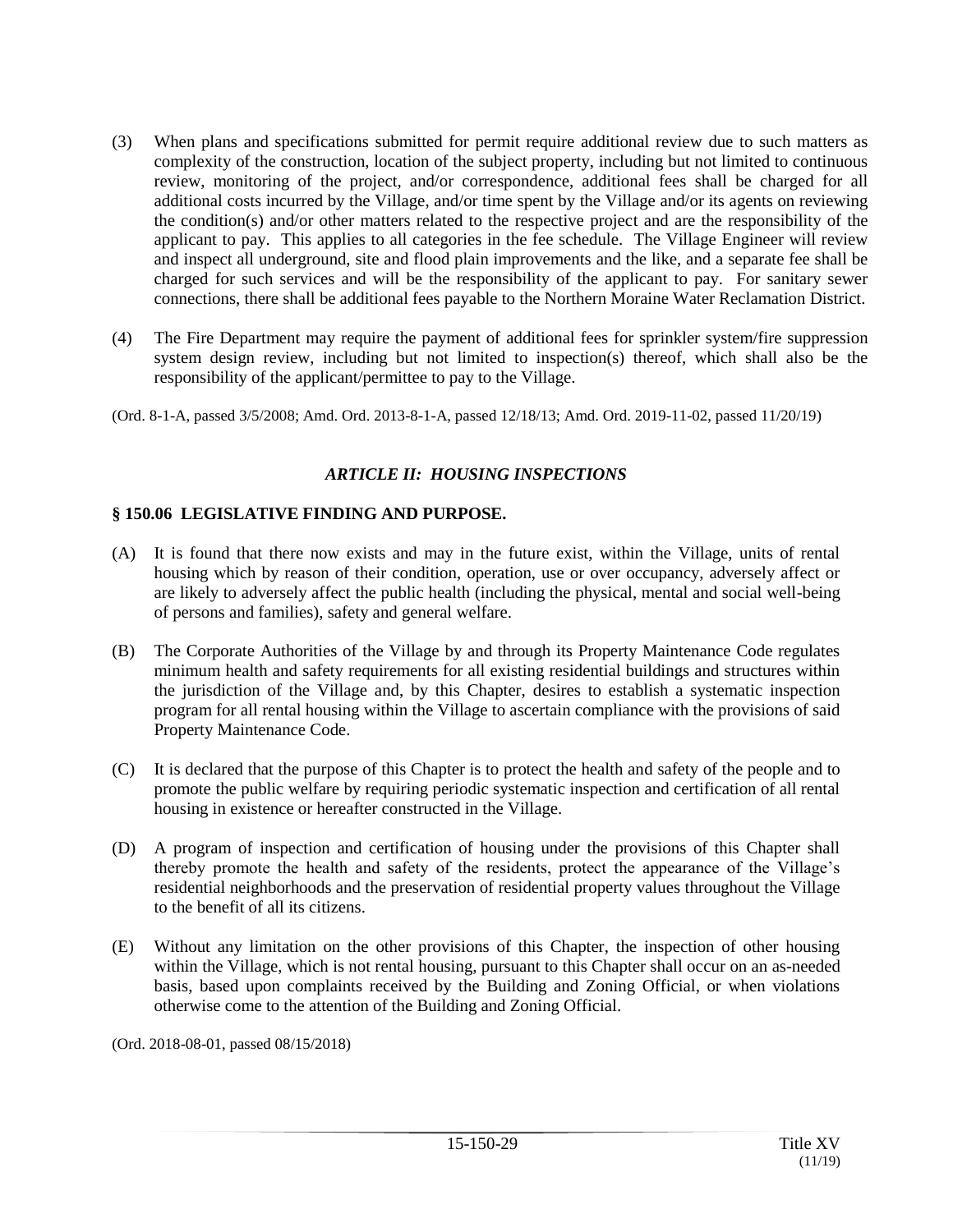- (3) When plans and specifications submitted for permit require additional review due to such matters as complexity of the construction, location of the subject property, including but not limited to continuous review, monitoring of the project, and/or correspondence, additional fees shall be charged for all additional costs incurred by the Village, and/or time spent by the Village and/or its agents on reviewing the condition(s) and/or other matters related to the respective project and are the responsibility of the applicant to pay. This applies to all categories in the fee schedule. The Village Engineer will review and inspect all underground, site and flood plain improvements and the like, and a separate fee shall be charged for such services and will be the responsibility of the applicant to pay. For sanitary sewer connections, there shall be additional fees payable to the Northern Moraine Water Reclamation District.
- (4) The Fire Department may require the payment of additional fees for sprinkler system/fire suppression system design review, including but not limited to inspection(s) thereof, which shall also be the responsibility of the applicant/permittee to pay to the Village.

(Ord. 8-1-A, passed 3/5/2008; Amd. Ord. 2013-8-1-A, passed 12/18/13; Amd. Ord. 2019-11-02, passed 11/20/19)

# *ARTICLE II: HOUSING INSPECTIONS*

## **§ 150.06 LEGISLATIVE FINDING AND PURPOSE.**

- (A) It is found that there now exists and may in the future exist, within the Village, units of rental housing which by reason of their condition, operation, use or over occupancy, adversely affect or are likely to adversely affect the public health (including the physical, mental and social well-being of persons and families), safety and general welfare.
- (B) The Corporate Authorities of the Village by and through its Property Maintenance Code regulates minimum health and safety requirements for all existing residential buildings and structures within the jurisdiction of the Village and, by this Chapter, desires to establish a systematic inspection program for all rental housing within the Village to ascertain compliance with the provisions of said Property Maintenance Code.
- (C) It is declared that the purpose of this Chapter is to protect the health and safety of the people and to promote the public welfare by requiring periodic systematic inspection and certification of all rental housing in existence or hereafter constructed in the Village.
- (D) A program of inspection and certification of housing under the provisions of this Chapter shall thereby promote the health and safety of the residents, protect the appearance of the Village's residential neighborhoods and the preservation of residential property values throughout the Village to the benefit of all its citizens.
- (E) Without any limitation on the other provisions of this Chapter, the inspection of other housing within the Village, which is not rental housing, pursuant to this Chapter shall occur on an as-needed basis, based upon complaints received by the Building and Zoning Official, or when violations otherwise come to the attention of the Building and Zoning Official.

(Ord. 2018-08-01, passed 08/15/2018)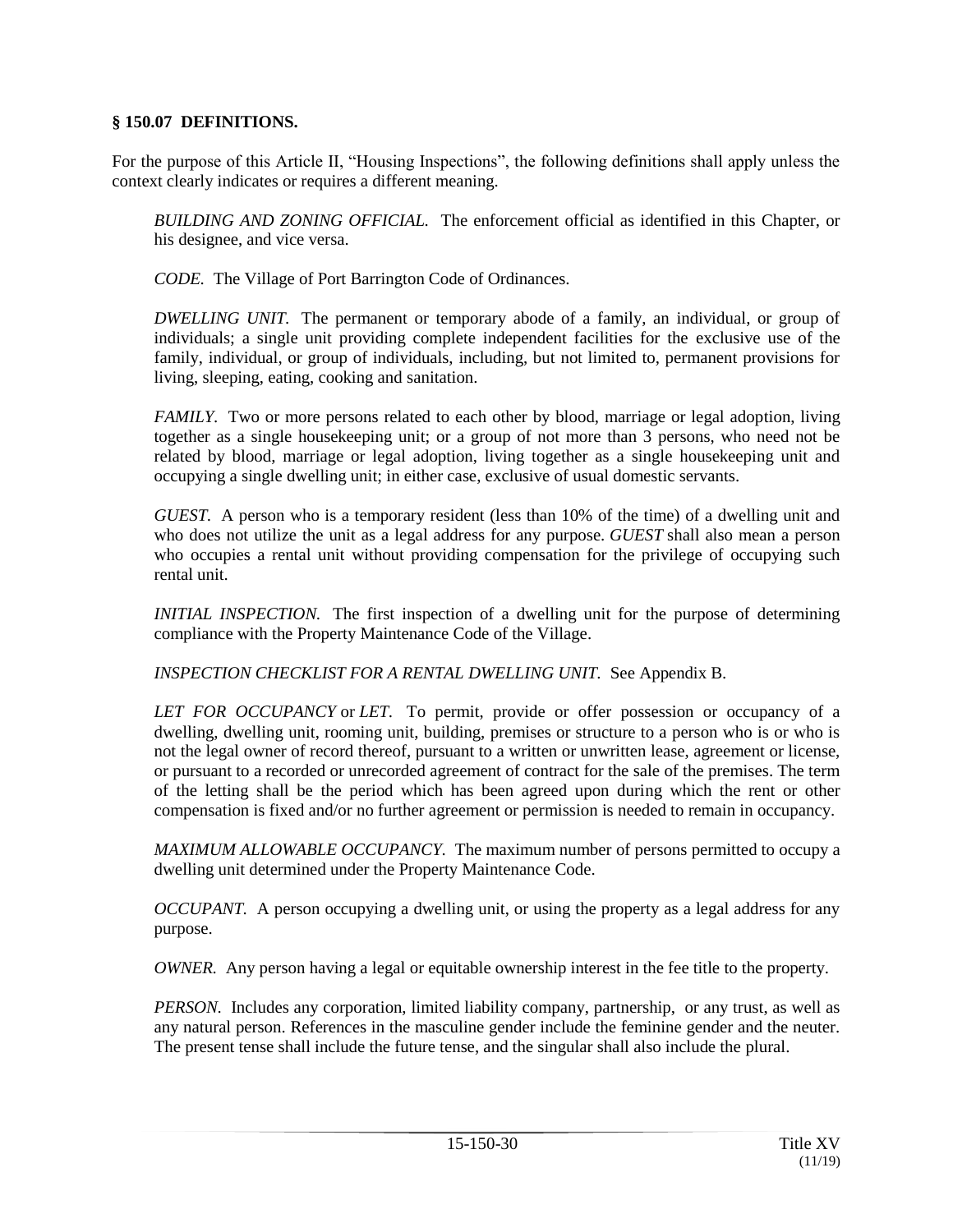## **§ 150.07 DEFINITIONS.**

For the purpose of this Article II, "Housing Inspections", the following definitions shall apply unless the context clearly indicates or requires a different meaning.

*BUILDING AND ZONING OFFICIAL.* The enforcement official as identified in this Chapter, or his designee, and vice versa.

*CODE.* The Village of Port Barrington Code of Ordinances.

*DWELLING UNIT.* The permanent or temporary abode of a family, an individual, or group of individuals; a single unit providing complete independent facilities for the exclusive use of the family, individual, or group of individuals, including, but not limited to, permanent provisions for living, sleeping, eating, cooking and sanitation.

*FAMILY.* Two or more persons related to each other by blood, marriage or legal adoption, living together as a single housekeeping unit; or a group of not more than 3 persons, who need not be related by blood, marriage or legal adoption, living together as a single housekeeping unit and occupying a single dwelling unit; in either case, exclusive of usual domestic servants.

*GUEST.* A person who is a temporary resident (less than 10% of the time) of a dwelling unit and who does not utilize the unit as a legal address for any purpose. *GUEST* shall also mean a person who occupies a rental unit without providing compensation for the privilege of occupying such rental unit.

*INITIAL INSPECTION.* The first inspection of a dwelling unit for the purpose of determining compliance with the Property Maintenance Code of the Village.

*INSPECTION CHECKLIST FOR A RENTAL DWELLING UNIT.* See Appendix B.

*LET FOR OCCUPANCY* or *LET.* To permit, provide or offer possession or occupancy of a dwelling, dwelling unit, rooming unit, building, premises or structure to a person who is or who is not the legal owner of record thereof, pursuant to a written or unwritten lease, agreement or license, or pursuant to a recorded or unrecorded agreement of contract for the sale of the premises. The term of the letting shall be the period which has been agreed upon during which the rent or other compensation is fixed and/or no further agreement or permission is needed to remain in occupancy.

*MAXIMUM ALLOWABLE OCCUPANCY.* The maximum number of persons permitted to occupy a dwelling unit determined under the Property Maintenance Code.

*OCCUPANT*. A person occupying a dwelling unit, or using the property as a legal address for any purpose.

*OWNER.* Any person having a legal or equitable ownership interest in the fee title to the property.

*PERSON.* Includes any corporation, limited liability company, partnership, or any trust, as well as any natural person. References in the masculine gender include the feminine gender and the neuter. The present tense shall include the future tense, and the singular shall also include the plural.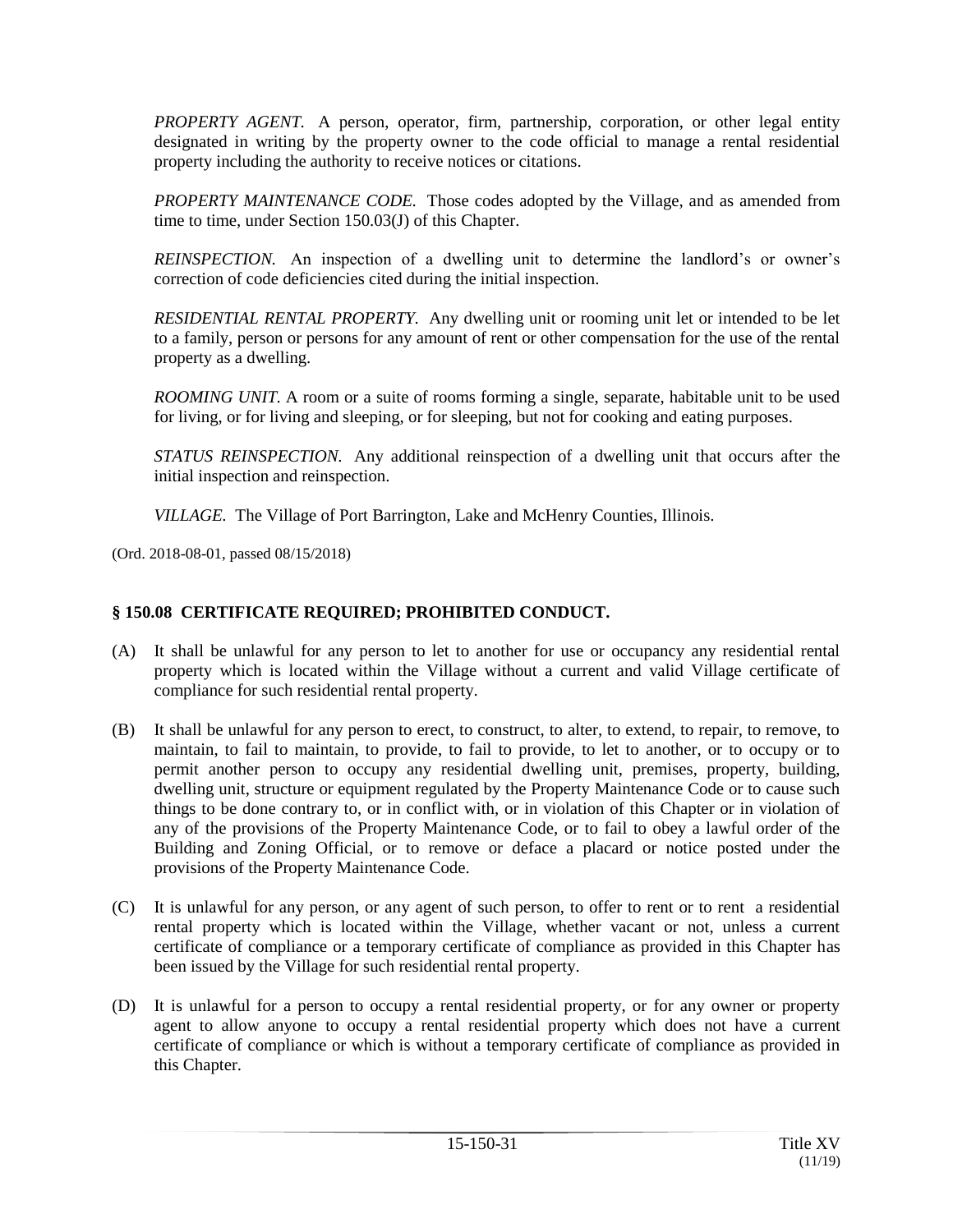*PROPERTY AGENT.* A person, operator, firm, partnership, corporation, or other legal entity designated in writing by the property owner to the code official to manage a rental residential property including the authority to receive notices or citations.

*PROPERTY MAINTENANCE CODE.* Those codes adopted by the Village, and as amended from time to time, under Section 150.03(J) of this Chapter.

*REINSPECTION.* An inspection of a dwelling unit to determine the landlord's or owner's correction of code deficiencies cited during the initial inspection.

*RESIDENTIAL RENTAL PROPERTY.* Any dwelling unit or rooming unit let or intended to be let to a family, person or persons for any amount of rent or other compensation for the use of the rental property as a dwelling.

*ROOMING UNIT.* A room or a suite of rooms forming a single, separate, habitable unit to be used for living, or for living and sleeping, or for sleeping, but not for cooking and eating purposes.

*STATUS REINSPECTION.* Any additional reinspection of a dwelling unit that occurs after the initial inspection and reinspection.

*VILLAGE.* The Village of Port Barrington, Lake and McHenry Counties, Illinois.

(Ord. 2018-08-01, passed 08/15/2018)

## **§ 150.08 CERTIFICATE REQUIRED; PROHIBITED CONDUCT.**

- (A) It shall be unlawful for any person to let to another for use or occupancy any residential rental property which is located within the Village without a current and valid Village certificate of compliance for such residential rental property.
- (B) It shall be unlawful for any person to erect, to construct, to alter, to extend, to repair, to remove, to maintain, to fail to maintain, to provide, to fail to provide, to let to another, or to occupy or to permit another person to occupy any residential dwelling unit, premises, property, building, dwelling unit, structure or equipment regulated by the Property Maintenance Code or to cause such things to be done contrary to, or in conflict with, or in violation of this Chapter or in violation of any of the provisions of the Property Maintenance Code, or to fail to obey a lawful order of the Building and Zoning Official, or to remove or deface a placard or notice posted under the provisions of the Property Maintenance Code.
- (C) It is unlawful for any person, or any agent of such person, to offer to rent or to rent a residential rental property which is located within the Village, whether vacant or not, unless a current certificate of compliance or a temporary certificate of compliance as provided in this Chapter has been issued by the Village for such residential rental property.
- (D) It is unlawful for a person to occupy a rental residential property, or for any owner or property agent to allow anyone to occupy a rental residential property which does not have a current certificate of compliance or which is without a temporary certificate of compliance as provided in this Chapter.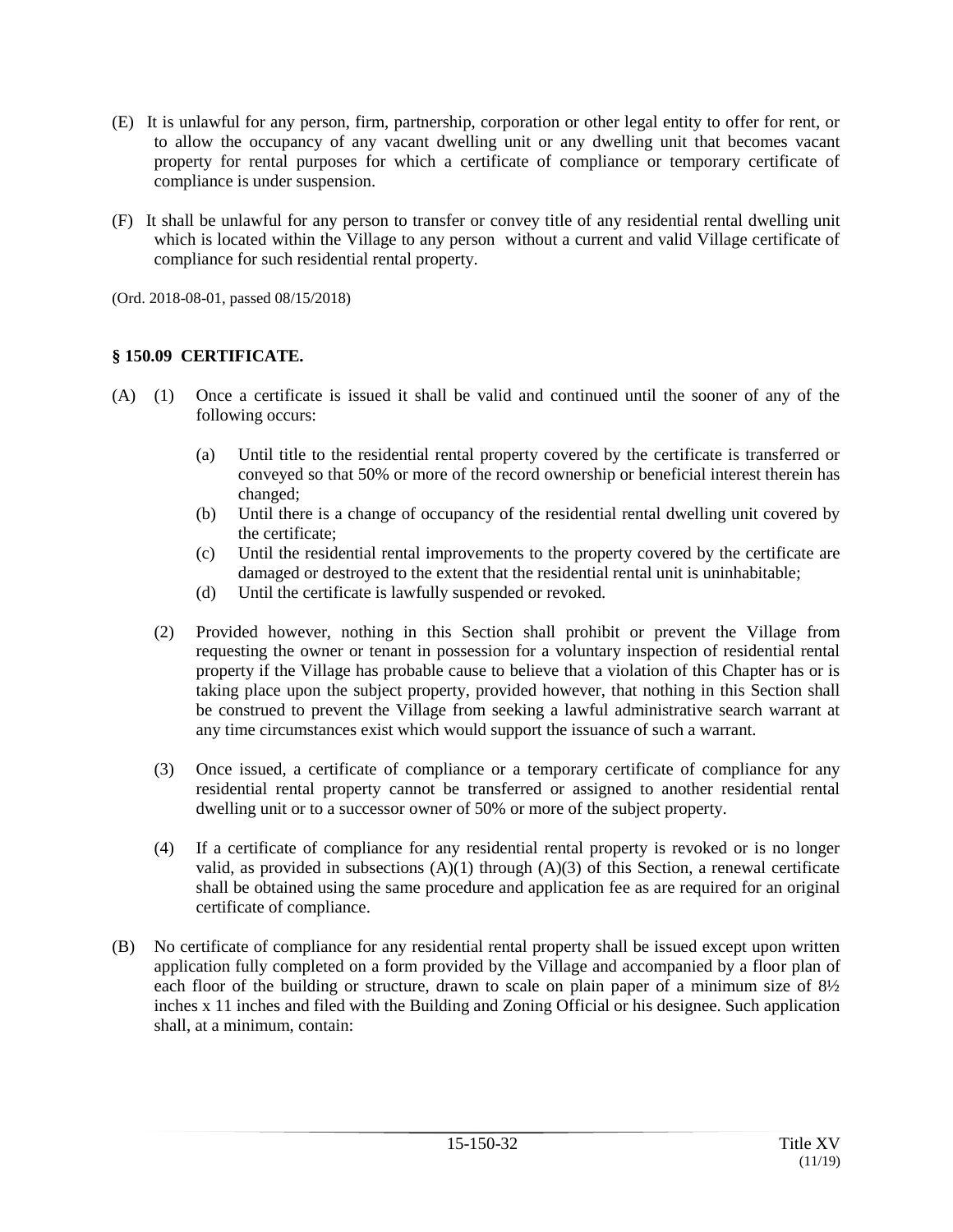- (E) It is unlawful for any person, firm, partnership, corporation or other legal entity to offer for rent, or to allow the occupancy of any vacant dwelling unit or any dwelling unit that becomes vacant property for rental purposes for which a certificate of compliance or temporary certificate of compliance is under suspension.
- (F) It shall be unlawful for any person to transfer or convey title of any residential rental dwelling unit which is located within the Village to any person without a current and valid Village certificate of compliance for such residential rental property.

(Ord. 2018-08-01, passed 08/15/2018)

## **§ 150.09 CERTIFICATE.**

- (A) (1) Once a certificate is issued it shall be valid and continued until the sooner of any of the following occurs:
	- (a) Until title to the residential rental property covered by the certificate is transferred or conveyed so that 50% or more of the record ownership or beneficial interest therein has changed;
	- (b) Until there is a change of occupancy of the residential rental dwelling unit covered by the certificate;
	- (c) Until the residential rental improvements to the property covered by the certificate are damaged or destroyed to the extent that the residential rental unit is uninhabitable;
	- (d) Until the certificate is lawfully suspended or revoked.
	- (2) Provided however, nothing in this Section shall prohibit or prevent the Village from requesting the owner or tenant in possession for a voluntary inspection of residential rental property if the Village has probable cause to believe that a violation of this Chapter has or is taking place upon the subject property, provided however, that nothing in this Section shall be construed to prevent the Village from seeking a lawful administrative search warrant at any time circumstances exist which would support the issuance of such a warrant.
	- (3) Once issued, a certificate of compliance or a temporary certificate of compliance for any residential rental property cannot be transferred or assigned to another residential rental dwelling unit or to a successor owner of 50% or more of the subject property.
	- (4) If a certificate of compliance for any residential rental property is revoked or is no longer valid, as provided in subsections  $(A)(1)$  through  $(A)(3)$  of this Section, a renewal certificate shall be obtained using the same procedure and application fee as are required for an original certificate of compliance.
- (B) No certificate of compliance for any residential rental property shall be issued except upon written application fully completed on a form provided by the Village and accompanied by a floor plan of each floor of the building or structure, drawn to scale on plain paper of a minimum size of 8½ inches x 11 inches and filed with the Building and Zoning Official or his designee. Such application shall, at a minimum, contain: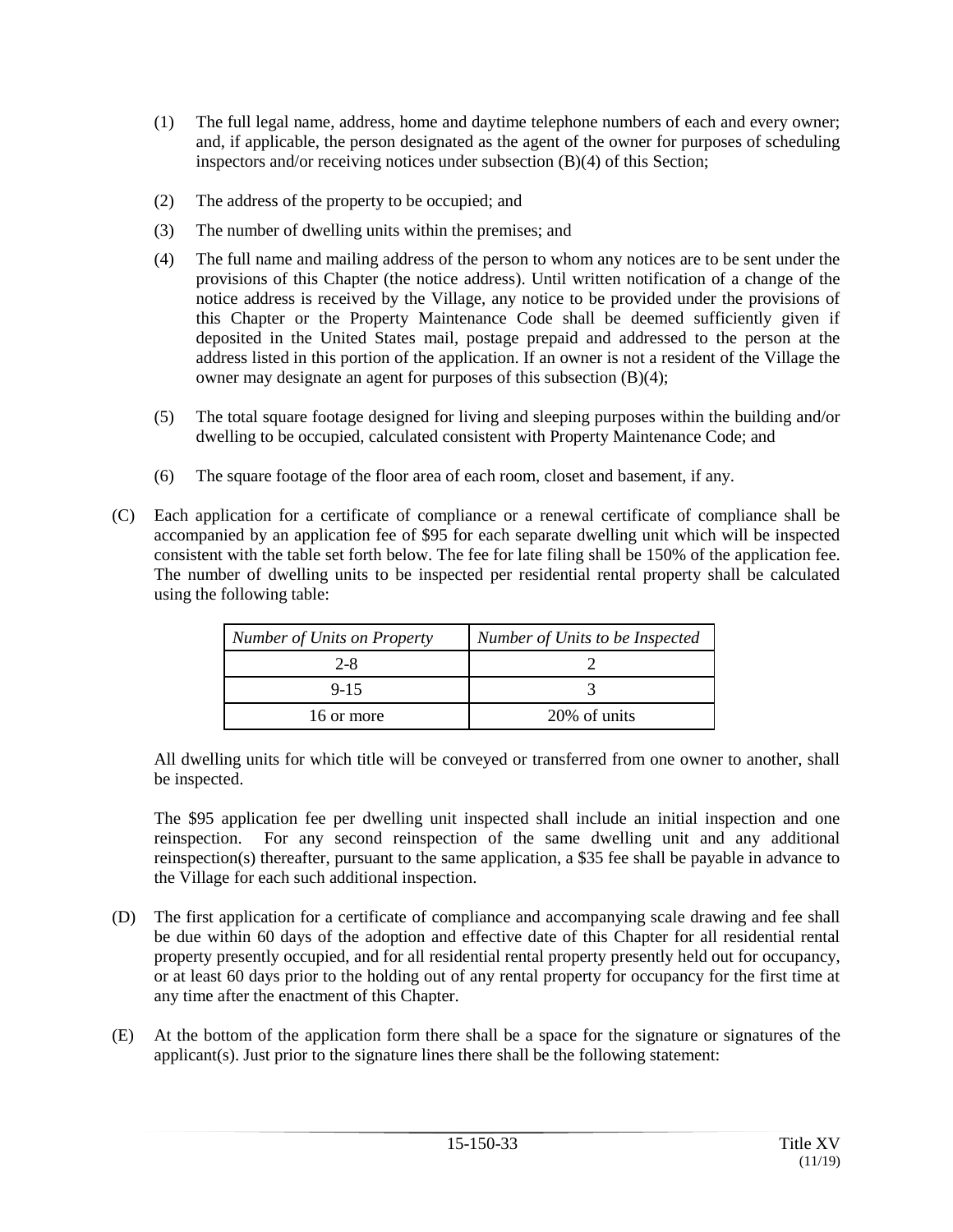- (1) The full legal name, address, home and daytime telephone numbers of each and every owner; and, if applicable, the person designated as the agent of the owner for purposes of scheduling inspectors and/or receiving notices under subsection (B)(4) of this Section;
- (2) The address of the property to be occupied; and
- (3) The number of dwelling units within the premises; and
- (4) The full name and mailing address of the person to whom any notices are to be sent under the provisions of this Chapter (the notice address). Until written notification of a change of the notice address is received by the Village, any notice to be provided under the provisions of this Chapter or the Property Maintenance Code shall be deemed sufficiently given if deposited in the United States mail, postage prepaid and addressed to the person at the address listed in this portion of the application. If an owner is not a resident of the Village the owner may designate an agent for purposes of this subsection (B)(4);
- (5) The total square footage designed for living and sleeping purposes within the building and/or dwelling to be occupied, calculated consistent with Property Maintenance Code; and
- (6) The square footage of the floor area of each room, closet and basement, if any.
- (C) Each application for a certificate of compliance or a renewal certificate of compliance shall be accompanied by an application fee of \$95 for each separate dwelling unit which will be inspected consistent with the table set forth below. The fee for late filing shall be 150% of the application fee. The number of dwelling units to be inspected per residential rental property shall be calculated using the following table:

| Number of Units on Property | Number of Units to be Inspected |
|-----------------------------|---------------------------------|
| 2-8                         |                                 |
| $9 - 15$                    |                                 |
| 16 or more                  | 20% of units                    |

All dwelling units for which title will be conveyed or transferred from one owner to another, shall be inspected.

The \$95 application fee per dwelling unit inspected shall include an initial inspection and one reinspection. For any second reinspection of the same dwelling unit and any additional reinspection(s) thereafter, pursuant to the same application, a \$35 fee shall be payable in advance to the Village for each such additional inspection.

- (D) The first application for a certificate of compliance and accompanying scale drawing and fee shall be due within 60 days of the adoption and effective date of this Chapter for all residential rental property presently occupied, and for all residential rental property presently held out for occupancy, or at least 60 days prior to the holding out of any rental property for occupancy for the first time at any time after the enactment of this Chapter.
- (E) At the bottom of the application form there shall be a space for the signature or signatures of the applicant(s). Just prior to the signature lines there shall be the following statement: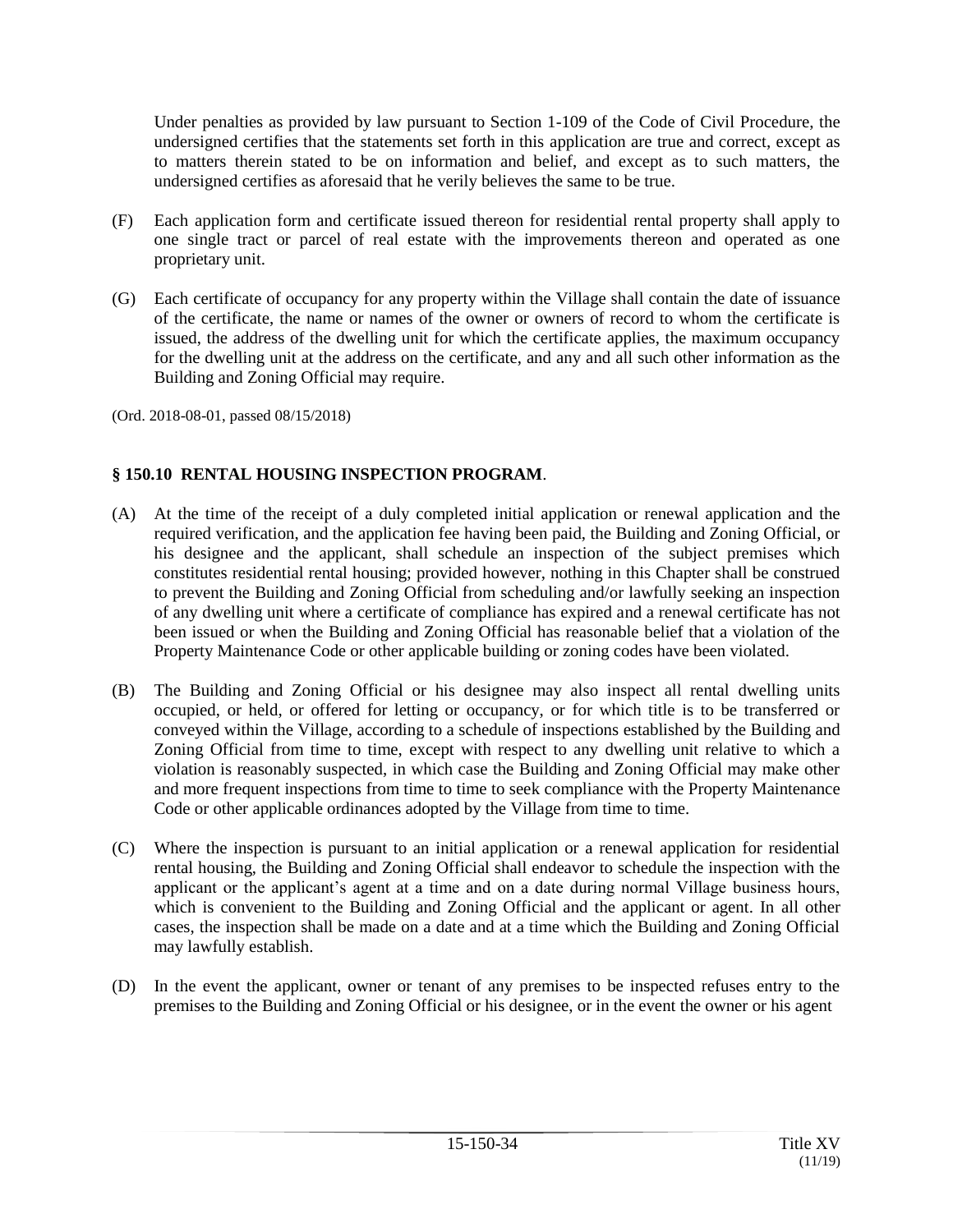Under penalties as provided by law pursuant to Section 1-109 of the Code of Civil Procedure, the undersigned certifies that the statements set forth in this application are true and correct, except as to matters therein stated to be on information and belief, and except as to such matters, the undersigned certifies as aforesaid that he verily believes the same to be true.

- (F) Each application form and certificate issued thereon for residential rental property shall apply to one single tract or parcel of real estate with the improvements thereon and operated as one proprietary unit.
- (G) Each certificate of occupancy for any property within the Village shall contain the date of issuance of the certificate, the name or names of the owner or owners of record to whom the certificate is issued, the address of the dwelling unit for which the certificate applies, the maximum occupancy for the dwelling unit at the address on the certificate, and any and all such other information as the Building and Zoning Official may require.

(Ord. 2018-08-01, passed 08/15/2018)

## **§ 150.10 RENTAL HOUSING INSPECTION PROGRAM**.

- (A) At the time of the receipt of a duly completed initial application or renewal application and the required verification, and the application fee having been paid, the Building and Zoning Official, or his designee and the applicant, shall schedule an inspection of the subject premises which constitutes residential rental housing; provided however, nothing in this Chapter shall be construed to prevent the Building and Zoning Official from scheduling and/or lawfully seeking an inspection of any dwelling unit where a certificate of compliance has expired and a renewal certificate has not been issued or when the Building and Zoning Official has reasonable belief that a violation of the Property Maintenance Code or other applicable building or zoning codes have been violated.
- (B) The Building and Zoning Official or his designee may also inspect all rental dwelling units occupied, or held, or offered for letting or occupancy, or for which title is to be transferred or conveyed within the Village, according to a schedule of inspections established by the Building and Zoning Official from time to time, except with respect to any dwelling unit relative to which a violation is reasonably suspected, in which case the Building and Zoning Official may make other and more frequent inspections from time to time to seek compliance with the Property Maintenance Code or other applicable ordinances adopted by the Village from time to time.
- (C) Where the inspection is pursuant to an initial application or a renewal application for residential rental housing, the Building and Zoning Official shall endeavor to schedule the inspection with the applicant or the applicant's agent at a time and on a date during normal Village business hours, which is convenient to the Building and Zoning Official and the applicant or agent. In all other cases, the inspection shall be made on a date and at a time which the Building and Zoning Official may lawfully establish.
- (D) In the event the applicant, owner or tenant of any premises to be inspected refuses entry to the premises to the Building and Zoning Official or his designee, or in the event the owner or his agent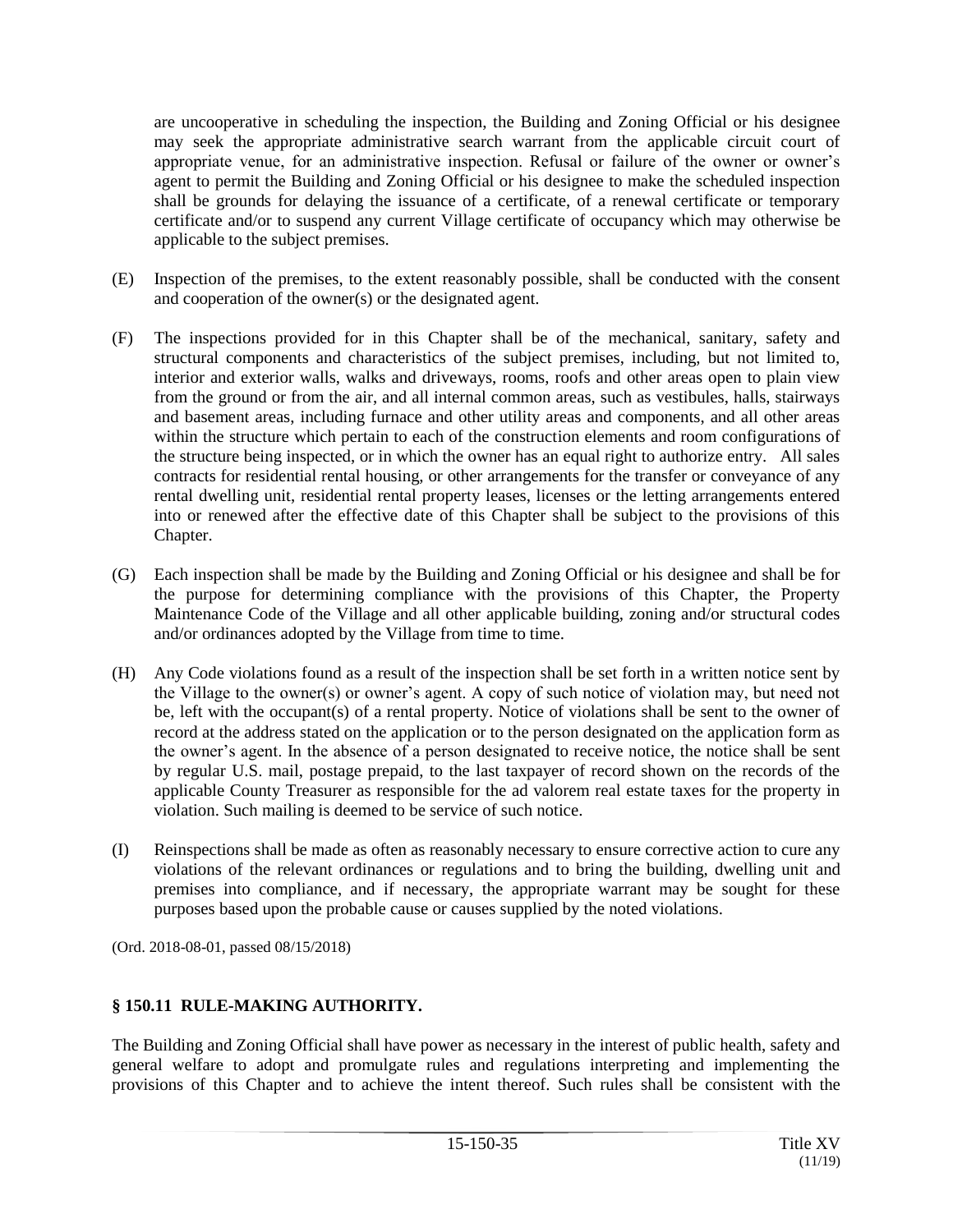are uncooperative in scheduling the inspection, the Building and Zoning Official or his designee may seek the appropriate administrative search warrant from the applicable circuit court of appropriate venue, for an administrative inspection. Refusal or failure of the owner or owner's agent to permit the Building and Zoning Official or his designee to make the scheduled inspection shall be grounds for delaying the issuance of a certificate, of a renewal certificate or temporary certificate and/or to suspend any current Village certificate of occupancy which may otherwise be applicable to the subject premises.

- (E) Inspection of the premises, to the extent reasonably possible, shall be conducted with the consent and cooperation of the owner(s) or the designated agent.
- (F) The inspections provided for in this Chapter shall be of the mechanical, sanitary, safety and structural components and characteristics of the subject premises, including, but not limited to, interior and exterior walls, walks and driveways, rooms, roofs and other areas open to plain view from the ground or from the air, and all internal common areas, such as vestibules, halls, stairways and basement areas, including furnace and other utility areas and components, and all other areas within the structure which pertain to each of the construction elements and room configurations of the structure being inspected, or in which the owner has an equal right to authorize entry. All sales contracts for residential rental housing, or other arrangements for the transfer or conveyance of any rental dwelling unit, residential rental property leases, licenses or the letting arrangements entered into or renewed after the effective date of this Chapter shall be subject to the provisions of this Chapter.
- (G) Each inspection shall be made by the Building and Zoning Official or his designee and shall be for the purpose for determining compliance with the provisions of this Chapter, the Property Maintenance Code of the Village and all other applicable building, zoning and/or structural codes and/or ordinances adopted by the Village from time to time.
- (H) Any Code violations found as a result of the inspection shall be set forth in a written notice sent by the Village to the owner(s) or owner's agent. A copy of such notice of violation may, but need not be, left with the occupant(s) of a rental property. Notice of violations shall be sent to the owner of record at the address stated on the application or to the person designated on the application form as the owner's agent. In the absence of a person designated to receive notice, the notice shall be sent by regular U.S. mail, postage prepaid, to the last taxpayer of record shown on the records of the applicable County Treasurer as responsible for the ad valorem real estate taxes for the property in violation. Such mailing is deemed to be service of such notice.
- (I) Reinspections shall be made as often as reasonably necessary to ensure corrective action to cure any violations of the relevant ordinances or regulations and to bring the building, dwelling unit and premises into compliance, and if necessary, the appropriate warrant may be sought for these purposes based upon the probable cause or causes supplied by the noted violations.

(Ord. 2018-08-01, passed 08/15/2018)

## **§ 150.11 RULE-MAKING AUTHORITY.**

The Building and Zoning Official shall have power as necessary in the interest of public health, safety and general welfare to adopt and promulgate rules and regulations interpreting and implementing the provisions of this Chapter and to achieve the intent thereof. Such rules shall be consistent with the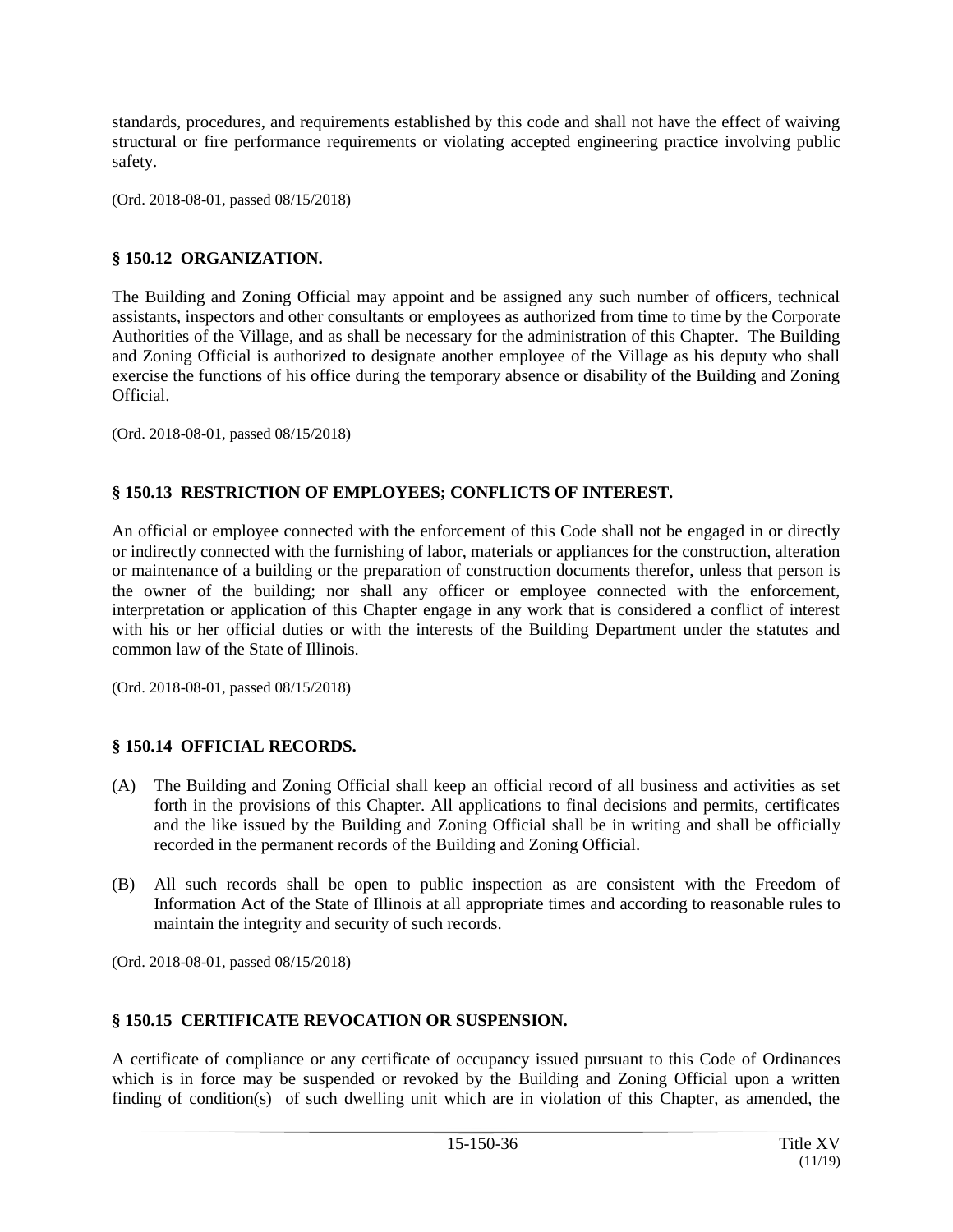standards, procedures, and requirements established by this code and shall not have the effect of waiving structural or fire performance requirements or violating accepted engineering practice involving public safety.

(Ord. 2018-08-01, passed 08/15/2018)

## **§ 150.12 ORGANIZATION.**

The Building and Zoning Official may appoint and be assigned any such number of officers, technical assistants, inspectors and other consultants or employees as authorized from time to time by the Corporate Authorities of the Village, and as shall be necessary for the administration of this Chapter. The Building and Zoning Official is authorized to designate another employee of the Village as his deputy who shall exercise the functions of his office during the temporary absence or disability of the Building and Zoning Official.

(Ord. 2018-08-01, passed 08/15/2018)

## **§ 150.13 RESTRICTION OF EMPLOYEES; CONFLICTS OF INTEREST.**

An official or employee connected with the enforcement of this Code shall not be engaged in or directly or indirectly connected with the furnishing of labor, materials or appliances for the construction, alteration or maintenance of a building or the preparation of construction documents therefor, unless that person is the owner of the building; nor shall any officer or employee connected with the enforcement, interpretation or application of this Chapter engage in any work that is considered a conflict of interest with his or her official duties or with the interests of the Building Department under the statutes and common law of the State of Illinois.

(Ord. 2018-08-01, passed 08/15/2018)

## **§ 150.14 OFFICIAL RECORDS.**

- (A) The Building and Zoning Official shall keep an official record of all business and activities as set forth in the provisions of this Chapter. All applications to final decisions and permits, certificates and the like issued by the Building and Zoning Official shall be in writing and shall be officially recorded in the permanent records of the Building and Zoning Official.
- (B) All such records shall be open to public inspection as are consistent with the Freedom of Information Act of the State of Illinois at all appropriate times and according to reasonable rules to maintain the integrity and security of such records.

(Ord. 2018-08-01, passed 08/15/2018)

## **§ 150.15 CERTIFICATE REVOCATION OR SUSPENSION.**

A certificate of compliance or any certificate of occupancy issued pursuant to this Code of Ordinances which is in force may be suspended or revoked by the Building and Zoning Official upon a written finding of condition(s) of such dwelling unit which are in violation of this Chapter, as amended, the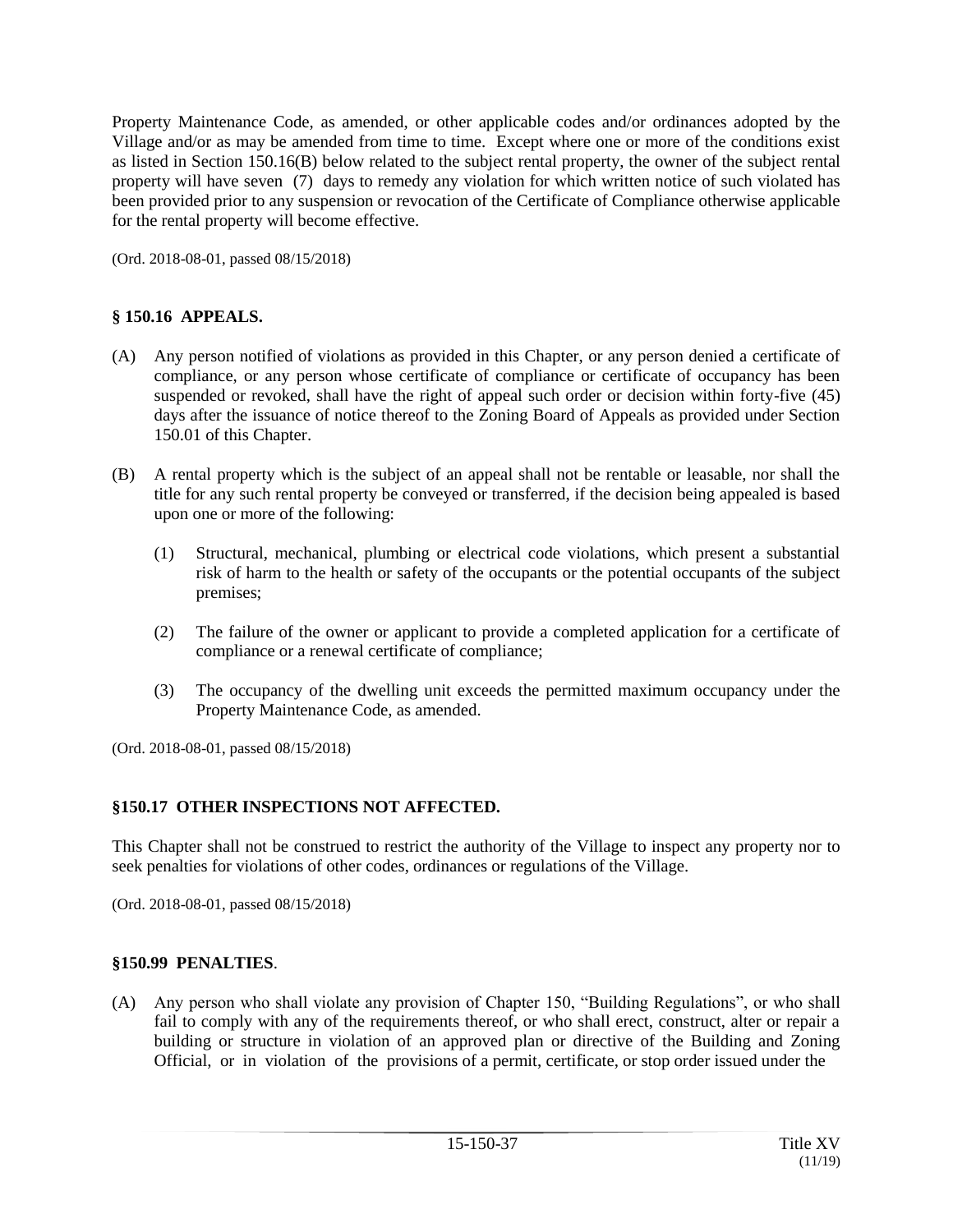Property Maintenance Code, as amended, or other applicable codes and/or ordinances adopted by the Village and/or as may be amended from time to time. Except where one or more of the conditions exist as listed in Section 150.16(B) below related to the subject rental property, the owner of the subject rental property will have seven (7) days to remedy any violation for which written notice of such violated has been provided prior to any suspension or revocation of the Certificate of Compliance otherwise applicable for the rental property will become effective.

(Ord. 2018-08-01, passed 08/15/2018)

## **§ 150.16 APPEALS.**

- (A) Any person notified of violations as provided in this Chapter, or any person denied a certificate of compliance, or any person whose certificate of compliance or certificate of occupancy has been suspended or revoked, shall have the right of appeal such order or decision within forty-five (45) days after the issuance of notice thereof to the Zoning Board of Appeals as provided under Section 150.01 of this Chapter.
- (B) A rental property which is the subject of an appeal shall not be rentable or leasable, nor shall the title for any such rental property be conveyed or transferred, if the decision being appealed is based upon one or more of the following:
	- (1) Structural, mechanical, plumbing or electrical code violations, which present a substantial risk of harm to the health or safety of the occupants or the potential occupants of the subject premises;
	- (2) The failure of the owner or applicant to provide a completed application for a certificate of compliance or a renewal certificate of compliance;
	- (3) The occupancy of the dwelling unit exceeds the permitted maximum occupancy under the Property Maintenance Code, as amended.

(Ord. 2018-08-01, passed 08/15/2018)

## **§150.17 OTHER INSPECTIONS NOT AFFECTED.**

This Chapter shall not be construed to restrict the authority of the Village to inspect any property nor to seek penalties for violations of other codes, ordinances or regulations of the Village.

(Ord. 2018-08-01, passed 08/15/2018)

#### **§150.99 PENALTIES**.

(A) Any person who shall violate any provision of Chapter 150, "Building Regulations", or who shall fail to comply with any of the requirements thereof, or who shall erect, construct, alter or repair a building or structure in violation of an approved plan or directive of the Building and Zoning Official, or in violation of the provisions of a permit, certificate, or stop order issued under the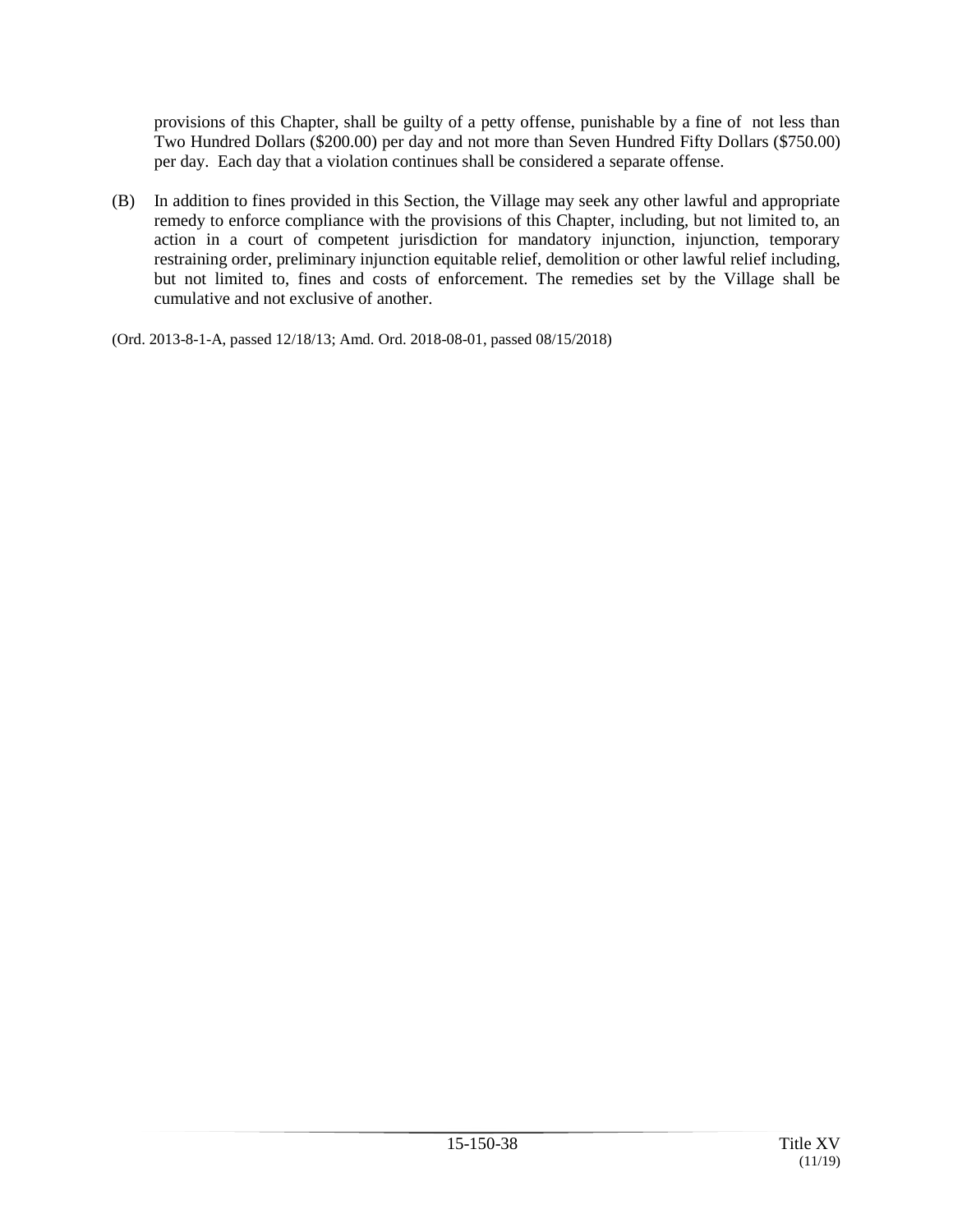provisions of this Chapter, shall be guilty of a petty offense, punishable by a fine of not less than Two Hundred Dollars (\$200.00) per day and not more than Seven Hundred Fifty Dollars (\$750.00) per day. Each day that a violation continues shall be considered a separate offense.

(B) In addition to fines provided in this Section, the Village may seek any other lawful and appropriate remedy to enforce compliance with the provisions of this Chapter, including, but not limited to, an action in a court of competent jurisdiction for mandatory injunction, injunction, temporary restraining order, preliminary injunction equitable relief, demolition or other lawful relief including, but not limited to, fines and costs of enforcement. The remedies set by the Village shall be cumulative and not exclusive of another.

(Ord. 2013-8-1-A, passed 12/18/13; Amd. Ord. 2018-08-01, passed 08/15/2018)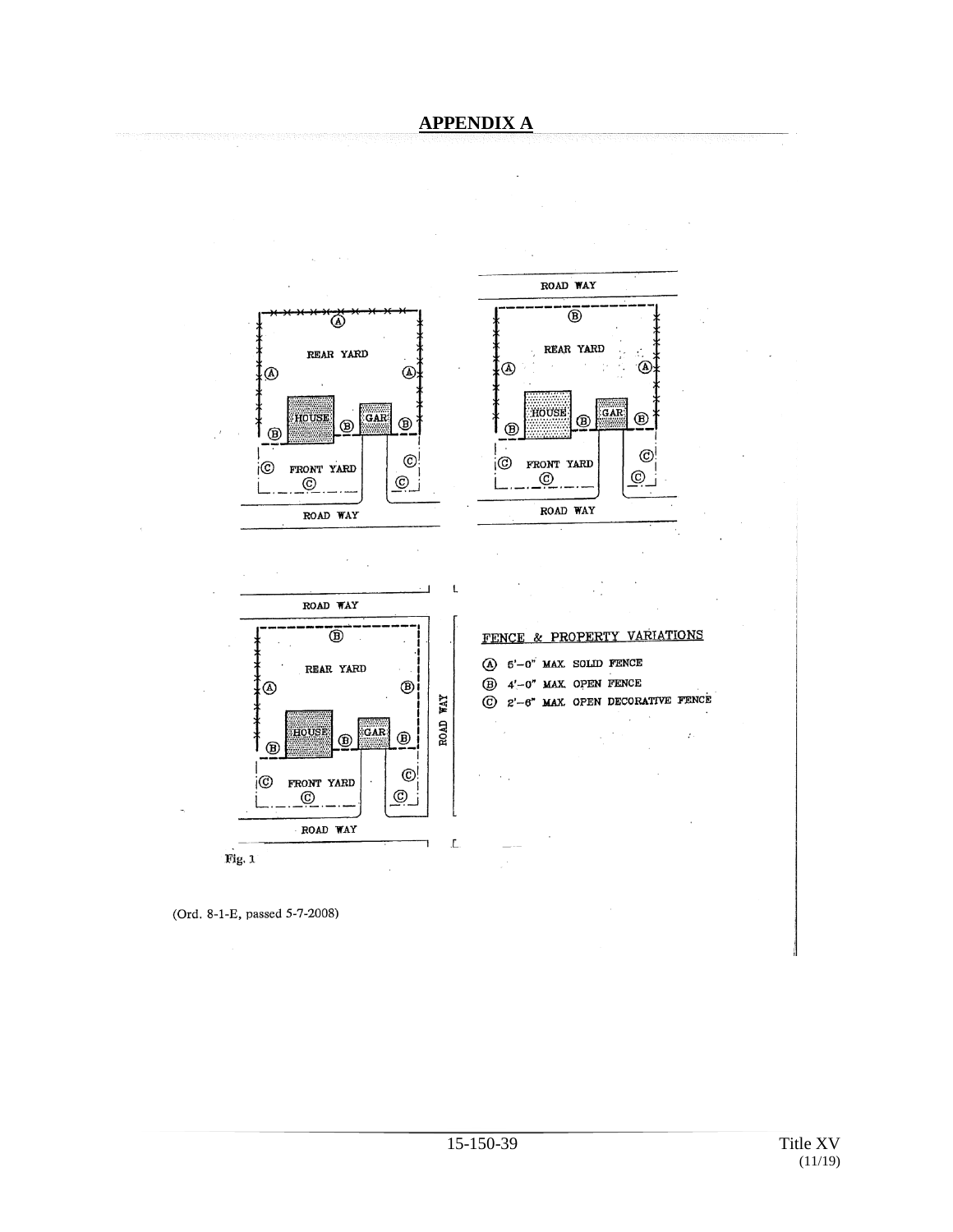## **APPENDIX A**



(Ord. 8-1-E, passed 5-7-2008)